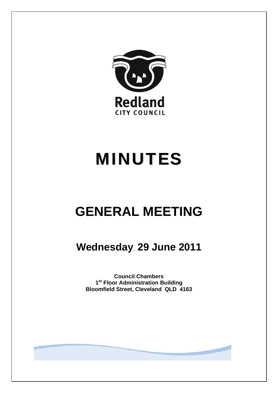

# MINUTES

## **GENERAL MEETING**

### **Wednesday**, **29 June 2011**

**Council Chambers 1st Floor Administration Building Bloomfield Street, Cleveland QLD 4163**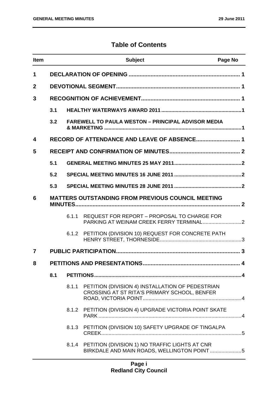#### **Table of Contents**

| <b>Item</b>             |     |       | <b>Subject</b>                                                                                      | Page No |
|-------------------------|-----|-------|-----------------------------------------------------------------------------------------------------|---------|
| 1                       |     |       |                                                                                                     |         |
| $\mathbf{2}$            |     |       |                                                                                                     |         |
| 3                       |     |       |                                                                                                     |         |
|                         | 3.1 |       |                                                                                                     |         |
|                         | 3.2 |       | <b>FAREWELL TO PAULA WESTON - PRINCIPAL ADVISOR MEDIA</b>                                           |         |
| $\overline{\mathbf{4}}$ |     |       |                                                                                                     |         |
| 5                       |     |       |                                                                                                     |         |
|                         | 5.1 |       |                                                                                                     |         |
|                         | 5.2 |       |                                                                                                     |         |
|                         | 5.3 |       |                                                                                                     |         |
| 6                       |     |       | <b>MATTERS OUTSTANDING FROM PREVIOUS COUNCIL MEETING</b>                                            |         |
|                         |     | 6.1.1 | REQUEST FOR REPORT - PROPOSAL TO CHARGE FOR                                                         |         |
|                         |     |       | 6.1.2 PETITION (DIVISION 10) REQUEST FOR CONCRETE PATH                                              |         |
| 7                       |     |       |                                                                                                     |         |
| 8                       |     |       |                                                                                                     | . 4     |
|                         | 8.1 |       |                                                                                                     |         |
|                         |     | 8.1.1 | PETITION (DIVISION 4) INSTALLATION OF PEDESTRIAN<br>CROSSING AT ST RITA'S PRIMARY SCHOOL, BENFER    |         |
|                         |     |       | 8.1.2 PETITION (DIVISION 4) UPGRADE VICTORIA POINT SKATE                                            |         |
|                         |     |       | 8.1.3 PETITION (DIVISION 10) SAFETY UPGRADE OF TINGALPA                                             |         |
|                         |     |       | 8.1.4 PETITION (DIVISION 1) NO TRAFFIC LIGHTS AT CNR<br>BIRKDALE AND MAIN ROADS, WELLINGTON POINT 5 |         |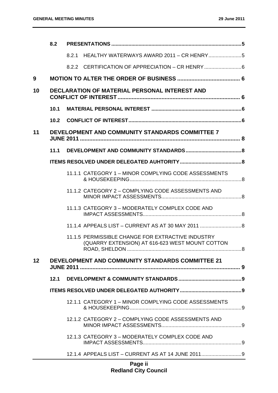|    | 8.2  |                                                                                                                        |    |
|----|------|------------------------------------------------------------------------------------------------------------------------|----|
|    |      | 8.2.1                                                                                                                  |    |
|    |      | 8.2.2 CERTIFICATION OF APPRECIATION - CR HENRY                                                                         |    |
| 9  |      |                                                                                                                        |    |
| 10 |      | DECLARATION OF MATERIAL PERSONAL INTEREST AND                                                                          |    |
|    | 10.1 |                                                                                                                        |    |
|    | 10.2 |                                                                                                                        |    |
| 11 |      | <b>DEVELOPMENT AND COMMUNITY STANDARDS COMMITTEE 7</b>                                                                 |    |
|    | 11.1 |                                                                                                                        |    |
|    |      |                                                                                                                        |    |
|    |      | 11.1.1 CATEGORY 1 - MINOR COMPLYING CODE ASSESSMENTS                                                                   |    |
|    |      | 11.1.2 CATEGORY 2 - COMPLYING CODE ASSESSMENTS AND                                                                     |    |
|    |      | 11.1.3 CATEGORY 3 - MODERATELY COMPLEX CODE AND                                                                        |    |
|    |      | 11.1.4 APPEALS LIST - CURRENT AS AT 30 MAY 2011  8                                                                     |    |
|    |      | 11.1.5 PERMISSIBLE CHANGE FOR EXTRACTIVE INDUSTRY<br>(QUARRY EXTENSION) AT 616-623 WEST MOUNT COTTON<br>ROAD. SHELDON. | .8 |
| 12 |      | DEVELOPMENT AND COMMUNITY STANDARDS COMMITTEE 21                                                                       |    |
|    | 12.1 |                                                                                                                        |    |
|    |      |                                                                                                                        |    |
|    |      | 12.1.1 CATEGORY 1 - MINOR COMPLYING CODE ASSESSMENTS                                                                   |    |
|    |      | 12.1.2 CATEGORY 2 - COMPLYING CODE ASSESSMENTS AND                                                                     |    |
|    |      | 12.1.3 CATEGORY 3 - MODERATELY COMPLEX CODE AND                                                                        |    |
|    |      | 12.1.4 APPEALS LIST - CURRENT AS AT 14 JUNE 20119                                                                      |    |
|    |      |                                                                                                                        |    |

#### **Page ii Redland City Council**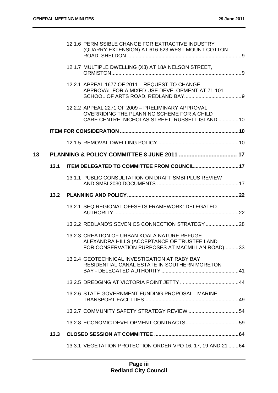|    |      | 12.1.6 PERMISSIBLE CHANGE FOR EXTRACTIVE INDUSTRY<br>(QUARRY EXTENSION) AT 616-623 WEST MOUNT COTTON                                                |  |
|----|------|-----------------------------------------------------------------------------------------------------------------------------------------------------|--|
|    |      | 12.1.7 MULTIPLE DWELLING (X3) AT 18A NELSON STREET,                                                                                                 |  |
|    |      | 12.2.1 APPEAL 1677 OF 2011 - REQUEST TO CHANGE<br>APPROVAL FOR A MIXED USE DEVELOPMENT AT 71-101                                                    |  |
|    |      | 12.2.2 APPEAL 2271 OF 2009 - PRELIMINARY APPROVAL<br>OVERRIDING THE PLANNING SCHEME FOR A CHILD<br>CARE CENTRE, NICHOLAS STREET, RUSSELL ISLAND  10 |  |
|    |      |                                                                                                                                                     |  |
|    |      |                                                                                                                                                     |  |
| 13 |      |                                                                                                                                                     |  |
|    | 13.1 | <b>ITEM DELEGATED TO COMMITTEE FROM COUNCIL17</b>                                                                                                   |  |
|    |      | 13.1.1 PUBLIC CONSULTATION ON DRAFT SMBI PLUS REVIEW                                                                                                |  |
|    | 13.2 |                                                                                                                                                     |  |
|    |      | 13.2.1 SEQ REGIONAL OFFSETS FRAMEWORK: DELEGATED                                                                                                    |  |
|    |      | 13.2.2 REDLAND'S SEVEN CS CONNECTION STRATEGY                                                                                                       |  |
|    |      | 13.2.3 CREATION OF URBAN KOALA NATURE REFUGE -<br>ALEXANDRA HILLS (ACCEPTANCE OF TRUSTEE LAND<br>FOR CONSERVATION PURPOSES AT MACMILLAN ROAD)33     |  |
|    |      | 13.2.4 GEOTECHNICAL INVESTIGATION AT RABY BAY<br>RESIDENTIAL CANAL ESTATE IN SOUTHERN MORETON                                                       |  |
|    |      |                                                                                                                                                     |  |
|    |      | 13.2.6 STATE GOVERNMENT FUNDING PROPOSAL - MARINE                                                                                                   |  |
|    |      |                                                                                                                                                     |  |
|    |      |                                                                                                                                                     |  |
|    | 13.3 |                                                                                                                                                     |  |
|    |      | 13.3.1 VEGETATION PROTECTION ORDER VPO 16, 17, 19 AND 21  64                                                                                        |  |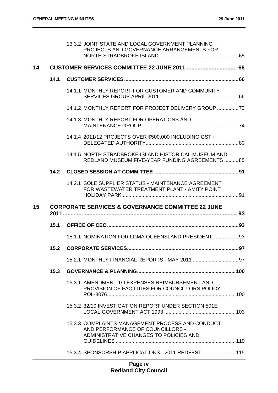|    |      | 13.3.2 JOINT STATE AND LOCAL GOVERNMENT PLANNING<br>PROJECTS AND GOVERNANCE ARRANGEMENTS FOR                                   |  |
|----|------|--------------------------------------------------------------------------------------------------------------------------------|--|
| 14 |      | <b>CUSTOMER SERVICES COMMITTEE 22 JUNE 2011  66</b>                                                                            |  |
|    | 14.1 |                                                                                                                                |  |
|    |      | 14.1.1 MONTHLY REPORT FOR CUSTOMER AND COMMUNITY                                                                               |  |
|    |      | 14.1.2 MONTHLY REPORT FOR PROJECT DELIVERY GROUP                                                                               |  |
|    |      | 14.1.3 MONTHLY REPORT FOR OPERATIONS AND                                                                                       |  |
|    |      | 14.1.4 2011/12 PROJECTS OVER \$500,000 INCLUDING GST -                                                                         |  |
|    |      | 14.1.5 NORTH STRADBROKE ISLAND HISTORICAL MUSEUM AND<br>REDLAND MUSEUM FIVE-YEAR FUNDING AGREEMENTS 85                         |  |
|    |      |                                                                                                                                |  |
|    |      | 14.2.1 SOLE SUPPLIER STATUS - MAINTENANCE AGREEMENT<br>FOR WASTEWATER TREATMENT PLANT - AMITY POINT                            |  |
|    |      |                                                                                                                                |  |
| 15 |      | <b>CORPORATE SERVICES &amp; GOVERNANCE COMMITTEE 22 JUNE</b>                                                                   |  |
|    |      |                                                                                                                                |  |
|    |      | 15.1.1 NOMINATION FOR LGMA QUEENSLAND PRESIDENT 93                                                                             |  |
|    | 15.2 |                                                                                                                                |  |
|    |      |                                                                                                                                |  |
|    | 15.3 |                                                                                                                                |  |
|    |      | 15.3.1 AMENDMENT TO EXPENSES REIMBURSEMENT AND<br>PROVISION OF FACILITIES FOR COUNCILLORS POLICY -                             |  |
|    |      | 15.3.2 32/10 INVESTIGATION REPORT UNDER SECTION 501E                                                                           |  |
|    |      | 15.3.3 COMPLAINTS MANAGEMENT PROCESS AND CONDUCT<br>AND PERFORMANCE OF COUNCILLORS -<br>ADMINISTRATIVE CHANGES TO POLICIES AND |  |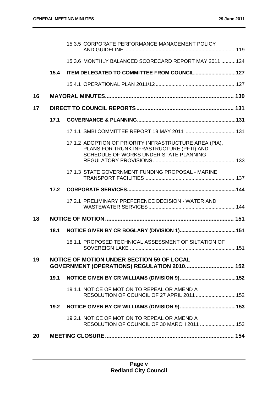|    |      | 15.3.5 CORPORATE PERFORMANCE MANAGEMENT POLICY                                                                                                |      |
|----|------|-----------------------------------------------------------------------------------------------------------------------------------------------|------|
|    |      | 15.3.6 MONTHLY BALANCED SCORECARD REPORT MAY 2011  124                                                                                        |      |
|    | 15.4 | ITEM DELEGATED TO COMMITTEE FROM COUNCIL 127                                                                                                  |      |
|    |      |                                                                                                                                               |      |
| 16 |      |                                                                                                                                               |      |
| 17 |      |                                                                                                                                               |      |
|    | 17.1 |                                                                                                                                               |      |
|    |      |                                                                                                                                               |      |
|    |      | 17.1.2 ADOPTION OF PRIORITY INFRASTRUCTURE AREA (PIA),<br>PLANS FOR TRUNK INFRASTRUCTURE (PFTI) AND<br>SCHEDULE OF WORKS UNDER STATE PLANNING |      |
|    |      | 17.1.3 STATE GOVERNMENT FUNDING PROPOSAL - MARINE                                                                                             |      |
|    | 17.2 |                                                                                                                                               |      |
|    |      | 17.2.1 PRELIMINARY PREFERENCE DECISION - WATER AND                                                                                            |      |
| 18 |      |                                                                                                                                               |      |
|    | 18.1 |                                                                                                                                               |      |
|    |      | 18.1.1 PROPOSED TECHNICAL ASSESSMENT OF SILTATION OF                                                                                          | .151 |
| 19 |      | <b>NOTICE OF MOTION UNDER SECTION 59 OF LOCAL</b><br>GOVERNMENT (OPERATIONS) REGULATION 2010 152                                              |      |
|    | 19.1 |                                                                                                                                               |      |
|    |      | 19.1.1 NOTICE OF MOTION TO REPEAL OR AMEND A<br>RESOLUTION OF COUNCIL OF 27 APRIL 2011  152                                                   |      |
|    | 19.2 |                                                                                                                                               |      |
|    |      | 19.2.1 NOTICE OF MOTION TO REPEAL OR AMEND A<br>RESOLUTION OF COUNCIL OF 30 MARCH 2011  153                                                   |      |
| 20 |      |                                                                                                                                               |      |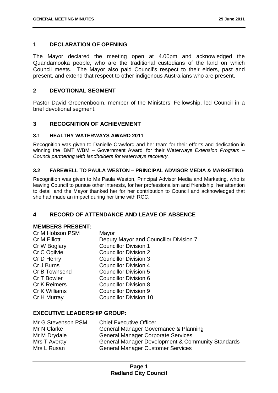#### **1 DECLARATION OF OPENING**

The Mayor declared the meeting open at 4.00pm and acknowledged the Quandamooka people, who are the traditional custodians of the land on which Council meets. The Mayor also paid Council's respect to their elders, past and present, and extend that respect to other indigenous Australians who are present.

#### **2 DEVOTIONAL SEGMENT**

Pastor David Groenenboom, member of the Ministers' Fellowship, led Council in a brief devotional segment.

#### **3 RECOGNITION OF ACHIEVEMENT**

#### **3.1 HEALTHY WATERWAYS AWARD 2011**

Recognition was given to Danielle Crawford and her team for their efforts and dedication in winning the 'BMT WBM – Government Award' for their Waterways *Extension Program – Council partnering with landholders for waterways recovery.* 

#### **3.2 FAREWELL TO PAULA WESTON – PRINCIPAL ADVISOR MEDIA & MARKETING**

Recognition was given to Ms Paula Weston, Principal Advisor Media and Marketing, who is leaving Council to pursue other interests, for her professionalism and friendship, her attention to detail and the Mayor thanked her for her contribution to Council and acknowledged that she had made an impact during her time with RCC.

#### **4 RECORD OF ATTENDANCE AND LEAVE OF ABSENCE**

#### **MEMBERS PRESENT:**

| Cr M Hobson PSM     | Mayor                                  |
|---------------------|----------------------------------------|
| Cr M Elliott        | Deputy Mayor and Councillor Division 7 |
| Cr W Boglary        | <b>Councillor Division 1</b>           |
| Cr C Ogilvie        | <b>Councillor Division 2</b>           |
| Cr D Henry          | <b>Councillor Division 3</b>           |
| Cr J Burns          | <b>Councillor Division 4</b>           |
| Cr B Townsend       | <b>Councillor Division 5</b>           |
| Cr T Bowler         | <b>Councillor Division 6</b>           |
| <b>Cr K Reimers</b> | <b>Councillor Division 8</b>           |
| Cr K Williams       | <b>Councillor Division 9</b>           |
| Cr H Murray         | <b>Councillor Division 10</b>          |
|                     |                                        |

#### **EXECUTIVE LEADERSHIP GROUP:**

| Mr G Stevenson PSM | <b>Chief Executive Officer</b>                               |
|--------------------|--------------------------------------------------------------|
| Mr N Clarke        | General Manager Governance & Planning                        |
| Mr M Drydale       | <b>General Manager Corporate Services</b>                    |
| Mrs T Averay       | <b>General Manager Development &amp; Community Standards</b> |
| Mrs L Rusan        | <b>General Manager Customer Services</b>                     |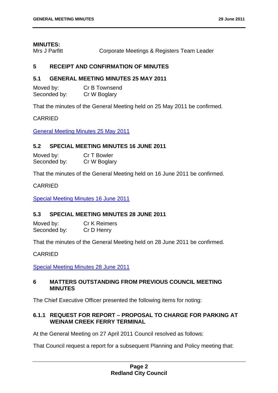#### **MINUTES:**

Mrs J Parfitt **Corporate Meetings & Registers Team Leader** 

#### **5 RECEIPT AND CONFIRMATION OF MINUTES**

#### **5.1 GENERAL MEETING MINUTES 25 MAY 2011**

| Moved by:    | Cr B Townsend |
|--------------|---------------|
| Seconded by: | Cr W Boglary  |

That the minutes of the General Meeting held on 25 May 2011 be confirmed.

#### CARRIED

General Meeting Minutes 25 May 2011

#### **5.2 SPECIAL MEETING MINUTES 16 JUNE 2011**

| Moved by:    | Cr T Bowler  |
|--------------|--------------|
| Seconded by: | Cr W Boglary |

That the minutes of the General Meeting held on 16 June 2011 be confirmed.

#### CARRIED

Special Meeting Minutes 16 June 2011

#### **5.3 SPECIAL MEETING MINUTES 28 JUNE 2011**

Moved by: Cr K Reimers Seconded by: Cr D Henry

That the minutes of the General Meeting held on 28 June 2011 be confirmed.

#### CARRIED

Special Meeting Minutes 28 June 2011

#### **6 MATTERS OUTSTANDING FROM PREVIOUS COUNCIL MEETING MINUTES**

The Chief Executive Officer presented the following items for noting:

#### **6.1.1 REQUEST FOR REPORT – PROPOSAL TO CHARGE FOR PARKING AT WEINAM CREEK FERRY TERMINAL**

At the General Meeting on 27 April 2011 Council resolved as follows:

That Council request a report for a subsequent Planning and Policy meeting that: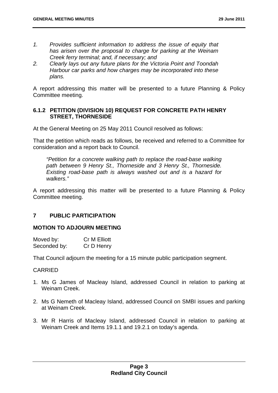- *1. Provides sufficient information to address the issue of equity that has arisen over the proposal to charge for parking at the Weinam Creek ferry terminal; and, if necessary; and*
- *2. Clearly lays out any future plans for the Victoria Point and Toondah Harbour car parks and how charges may be incorporated into these plans.*

A report addressing this matter will be presented to a future Planning & Policy Committee meeting.

#### **6.1.2 PETITION (DIVISION 10) REQUEST FOR CONCRETE PATH HENRY STREET, THORNESIDE**

At the General Meeting on 25 May 2011 Council resolved as follows:

That the petition which reads as follows, be received and referred to a Committee for consideration and a report back to Council.

*"Petition for a concrete walking path to replace the road-base walking path between 9 Henry St., Thorneside and 3 Henry St., Thorneside. Existing road-base path is always washed out and is a hazard for walkers."* 

A report addressing this matter will be presented to a future Planning & Policy Committee meeting.

#### **7 PUBLIC PARTICIPATION**

#### **MOTION TO ADJOURN MEETING**

| Moved by:    | Cr M Elliott |
|--------------|--------------|
| Seconded by: | Cr D Henry   |

That Council adjourn the meeting for a 15 minute public participation segment.

#### CARRIED

- 1. Ms G James of Macleay Island, addressed Council in relation to parking at Weinam Creek.
- 2. Ms G Nemeth of Macleay Island, addressed Council on SMBI issues and parking at Weinam Creek.
- 3. Mr R Harris of Macleay Island, addressed Council in relation to parking at Weinam Creek and Items 19.1.1 and 19.2.1 on today's agenda.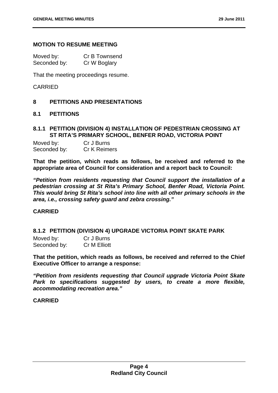#### **MOTION TO RESUME MEETING**

| Moved by:    | Cr B Townsend |
|--------------|---------------|
| Seconded by: | Cr W Boglary  |

That the meeting proceedings resume.

#### CARRIED

#### **8 PETITIONS AND PRESENTATIONS**

#### **8.1 PETITIONS**

#### **8.1.1 PETITION (DIVISION 4) INSTALLATION OF PEDESTRIAN CROSSING AT ST RITA'S PRIMARY SCHOOL, BENFER ROAD, VICTORIA POINT**

| Moved by:    | Cr J Burns          |
|--------------|---------------------|
| Seconded by: | <b>Cr K Reimers</b> |

**That the petition, which reads as follows, be received and referred to the appropriate area of Council for consideration and a report back to Council:** 

*"Petition from residents requesting that Council support the installation of a pedestrian crossing at St Rita's Primary School, Benfer Road, Victoria Point. This would bring St Rita's school into line with all other primary schools in the area, i.e., crossing safety guard and zebra crossing."* 

#### **CARRIED**

#### **8.1.2 PETITION (DIVISION 4) UPGRADE VICTORIA POINT SKATE PARK**

| Moved by:    | Cr J Burns          |
|--------------|---------------------|
| Seconded by: | <b>Cr M Elliott</b> |

**That the petition, which reads as follows, be received and referred to the Chief Executive Officer to arrange a response:** 

*"Petition from residents requesting that Council upgrade Victoria Point Skate Park to specifications suggested by users, to create a more flexible, accommodating recreation area."* 

#### **CARRIED**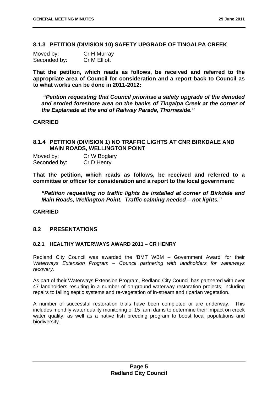#### **8.1.3 PETITION (DIVISION 10) SAFETY UPGRADE OF TINGALPA CREEK**

| Moved by:    | Cr H Murray  |
|--------------|--------------|
| Seconded by: | Cr M Elliott |

**That the petition, which reads as follows, be received and referred to the appropriate area of Council for consideration and a report back to Council as to what works can be done in 2011-2012:** 

 *"Petition requesting that Council prioritise a safety upgrade of the denuded and eroded foreshore area on the banks of Tingalpa Creek at the corner of the Esplanade at the end of Railway Parade, Thorneside."* 

#### **CARRIED**

#### **8.1.4 PETITION (DIVISION 1) NO TRAFFIC LIGHTS AT CNR BIRKDALE AND MAIN ROADS, WELLINGTON POINT**

Moved by: Cr W Boglary Seconded by: Cr D Henry

**That the petition, which reads as follows, be received and referred to a committee or officer for consideration and a report to the local government:** 

*"Petition requesting no traffic lights be installed at corner of Birkdale and Main Roads, Wellington Point. Traffic calming needed – not lights."* 

#### **CARRIED**

#### **8.2 PRESENTATIONS**

#### **8.2.1 HEALTHY WATERWAYS AWARD 2011 – CR HENRY**

Redland City Council was awarded the 'BMT WBM – Government Award' for their *Waterways Extension Program – Council partnering with landholders for waterways recovery.* 

As part of their Waterways Extension Program, Redland City Council has partnered with over 47 landholders resulting in a number of on-ground waterway restoration projects, including repairs to failing septic systems and re-vegetation of in-stream and riparian vegetation.

A number of successful restoration trials have been completed or are underway. This includes monthly water quality monitoring of 15 farm dams to determine their impact on creek water quality, as well as a native fish breeding program to boost local populations and biodiversity.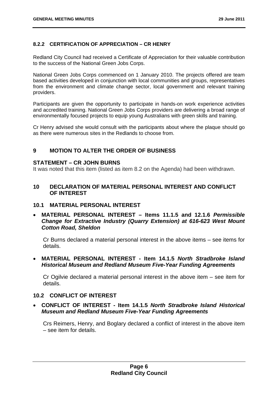#### **8.2.2 CERTIFICATION OF APPRECIATION – CR HENRY**

Redland City Council had received a Certificate of Appreciation for their valuable contribution to the success of the National Green Jobs Corps.

National Green Jobs Corps commenced on 1 January 2010. The projects offered are team based activities developed in conjunction with local communities and groups, representatives from the environment and climate change sector, local government and relevant training providers.

Participants are given the opportunity to participate in hands-on work experience activities and accredited training. National Green Jobs Corps providers are delivering a broad range of environmentally focused projects to equip young Australians with green skills and training.

Cr Henry advised she would consult with the participants about where the plaque should go as there were numerous sites in the Redlands to choose from.

#### **9 MOTION TO ALTER THE ORDER OF BUSINESS**

#### **STATEMENT – CR JOHN BURNS**

It was noted that this item (listed as item 8.2 on the Agenda) had been withdrawn.

#### **10 DECLARATION OF MATERIAL PERSONAL INTEREST AND CONFLICT OF INTEREST**

#### **10.1 MATERIAL PERSONAL INTEREST**

 **MATERIAL PERSONAL INTEREST – Items 11.1.5 and 12.1.6** *Permissible Change for Extractive Industry (Quarry Extension) at 616-623 West Mount Cotton Road, Sheldon* 

Cr Burns declared a material personal interest in the above items – see items for details.

#### **MATERIAL PERSONAL INTEREST - Item 14.1.5** *North Stradbroke Island Historical Museum and Redland Museum Five-Year Funding Agreements*

Cr Ogilvie declared a material personal interest in the above item – see item for details.

#### **10.2 CONFLICT OF INTEREST**

 **CONFLICT OF INTEREST - Item 14.1.5** *North Stradbroke Island Historical Museum and Redland Museum Five-Year Funding Agreements* 

Crs Reimers, Henry, and Boglary declared a conflict of interest in the above item – see item for details.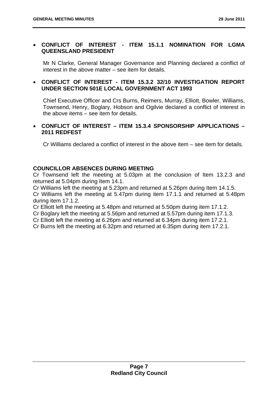#### **CONFLICT OF INTEREST - ITEM 15.1.1 NOMINATION FOR LGMA QUEENSLAND PRESIDENT**

Mr N Clarke, General Manager Governance and Planning declared a conflict of interest in the above matter – see item for details.

#### **CONFLICT OF INTEREST - ITEM 15.3.2 32/10 INVESTIGATION REPORT UNDER SECTION 501E LOCAL GOVERNMENT ACT 1993**

Chief Executive Officer and Crs Burns, Reimers, Murray, Elliott, Bowler, Williams, Townsend, Henry, Boglary, Hobson and Ogilvie declared a conflict of interest in the above items – see item for details.

#### **CONFLICT OF INTEREST – ITEM 15.3.4 SPONSORSHIP APPLICATIONS – 2011 REDFEST**

Cr Williams declared a conflict of interest in the above item – see item for details.

#### **COUNCILLOR ABSENCES DURING MEETING**

Cr Townsend left the meeting at 5.03pm at the conclusion of Item 13.2.3 and returned at 5.04pm during Item 14.1.

Cr Williams left the meeting at 5.23pm and returned at 5.26pm during Item 14.1.5. Cr Williams left the meeting at 5.47pm during item 17.1.1 and returned at 5.48pm during item 17.1.2.

Cr Elliott left the meeting at 5.48pm and returned at 5.50pm during item 17.1.2.

Cr Boglary left the meeting at 5.56pm and returned at 5.57pm during item 17.1.3.

Cr Elliott left the meeting at 6.26pm and returned at 6.34pm during item 17.2.1.

Cr Burns left the meeting at 6.32pm and returned at 6.35pm during item 17.2.1.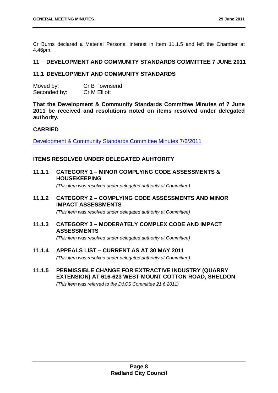Cr Burns declared a Material Personal Interest in Item 11.1.5 and left the Chamber at 4.46pm.

#### **11 DEVELOPMENT AND COMMUNITY STANDARDS COMMITTEE 7 JUNE 2011**

#### **11.1 DEVELOPMENT AND COMMUNITY STANDARDS**

| Moved by:    | Cr B Townsend       |
|--------------|---------------------|
| Seconded by: | <b>Cr M Elliott</b> |

**That the Development & Community Standards Committee Minutes of 7 June 2011 be received and resolutions noted on items resolved under delegated authority.** 

#### **CARRIED**

Development & Community Standards Committee Minutes 7/6/2011

#### **ITEMS RESOLVED UNDER DELEGATED AUHTORITY**

**11.1.1 CATEGORY 1 – MINOR COMPLYING CODE ASSESSMENTS & HOUSEKEEPING** 

 *(This item was resolved under delegated authority at Committee)* 

#### **11.1.2 CATEGORY 2 – COMPLYING CODE ASSESSMENTS AND MINOR IMPACT ASSESSMENTS**

 *(This item was resolved under delegated authority at Committee)* 

#### **11.1.3 CATEGORY 3 – MODERATELY COMPLEX CODE AND IMPACT ASSESSMENTS**

 *(This item was resolved under delegated authority at Committee)* 

**11.1.4 APPEALS LIST – CURRENT AS AT 30 MAY 2011** 

 *(This item was resolved under delegated authority at Committee)* 

**11.1.5 PERMISSIBLE CHANGE FOR EXTRACTIVE INDUSTRY (QUARRY EXTENSION) AT 616-623 WEST MOUNT COTTON ROAD, SHELDON** 

 *(This item was referred to the D&CS Committee 21.6.2011)*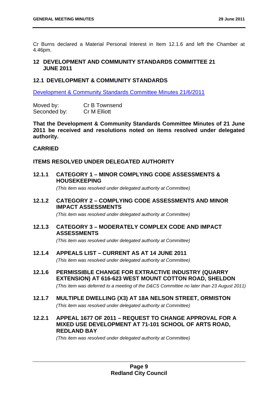Cr Burns declared a Material Personal Interest in Item 12.1.6 and left the Chamber at 4.46pm.

#### **12 DEVELOPMENT AND COMMUNITY STANDARDS COMMITTEE 21 JUNE 2011**

#### **12.1 DEVELOPMENT & COMMUNITY STANDARDS**

Development & Community Standards Committee Minutes 21/6/2011

Moved by: Cr B Townsend Seconded by: Cr M Elliott

**That the Development & Community Standards Committee Minutes of 21 June 2011 be received and resolutions noted on items resolved under delegated authority.** 

#### **CARRIED**

#### **ITEMS RESOLVED UNDER DELEGATED AUTHORITY**

**12.1.1 CATEGORY 1 – MINOR COMPLYING CODE ASSESSMENTS & HOUSEKEEPING** 

 *(This item was resolved under delegated authority at Committee)* 

**12.1.2 CATEGORY 2 – COMPLYING CODE ASSESSMENTS AND MINOR IMPACT ASSESSMENTS** 

 *(This item was resolved under delegated authority at Committee)* 

#### **12.1.3 CATEGORY 3 – MODERATELY COMPLEX CODE AND IMPACT ASSESSMENTS**

 *(This item was resolved under delegated authority at Committee)* 

**12.1.4 APPEALS LIST – CURRENT AS AT 14 JUNE 2011** 

 *(This item was resolved under delegated authority at Committee)*

**12.1.6 PERMISSIBLE CHANGE FOR EXTRACTIVE INDUSTRY (QUARRY EXTENSION) AT 616-623 WEST MOUNT COTTON ROAD, SHELDON** 

 *(This item was deferred to a meeting of the D&CS Committee no later than 23 August 2011)* 

**12.1.7 MULTIPLE DWELLING (X3) AT 18A NELSON STREET, ORMISTON** 

 *(This item was resolved under delegated authority at Committee)* 

**12.2.1 APPEAL 1677 OF 2011 – REQUEST TO CHANGE APPROVAL FOR A MIXED USE DEVELOPMENT AT 71-101 SCHOOL OF ARTS ROAD, REDLAND BAY** 

 *(This item was resolved under delegated authority at Committee)*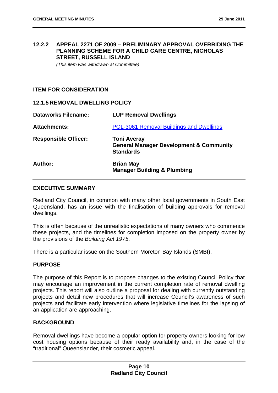#### **12.2.2 APPEAL 2271 OF 2009 – PRELIMINARY APPROVAL OVERRIDING THE PLANNING SCHEME FOR A CHILD CARE CENTRE, NICHOLAS STREET, RUSSELL ISLAND**

 *(This item was withdrawn at Committee)* 

#### **ITEM FOR CONSIDERATION**

#### **12.1.5 REMOVAL DWELLING POLICY**

| <b>Dataworks Filename:</b>  | <b>LUP Removal Dwellings</b>                                                                 |
|-----------------------------|----------------------------------------------------------------------------------------------|
| <b>Attachments:</b>         | <b>POL-3061 Removal Buildings and Dwellings</b>                                              |
| <b>Responsible Officer:</b> | <b>Toni Averay</b><br><b>General Manager Development &amp; Community</b><br><b>Standards</b> |
| Author:                     | <b>Brian May</b><br><b>Manager Building &amp; Plumbing</b>                                   |

#### **EXECUTIVE SUMMARY**

Redland City Council, in common with many other local governments in South East Queensland, has an issue with the finalisation of building approvals for removal dwellings.

This is often because of the unrealistic expectations of many owners who commence these projects, and the timelines for completion imposed on the property owner by the provisions of the *Building Act 1975*.

There is a particular issue on the Southern Moreton Bay Islands (SMBI).

#### **PURPOSE**

The purpose of this Report is to propose changes to the existing Council Policy that may encourage an improvement in the current completion rate of removal dwelling projects. This report will also outline a proposal for dealing with currently outstanding projects and detail new procedures that will increase Council's awareness of such projects and facilitate early intervention where legislative timelines for the lapsing of an application are approaching.

#### **BACKGROUND**

Removal dwellings have become a popular option for property owners looking for low cost housing options because of their ready availability and, in the case of the "traditional" Queenslander, their cosmetic appeal.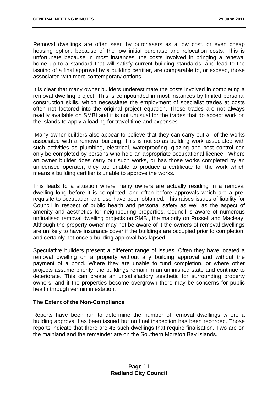Removal dwellings are often seen by purchasers as a low cost, or even cheap housing option, because of the low initial purchase and relocation costs. This is unfortunate because in most instances, the costs involved in bringing a renewal home up to a standard that will satisfy current building standards, and lead to the issuing of a final approval by a building certifier, are comparable to, or exceed, those associated with more contemporary options.

It is clear that many owner builders underestimate the costs involved in completing a removal dwelling project. This is compounded in most instances by limited personal construction skills, which necessitate the employment of specialist trades at costs often not factored into the original project equation. These trades are not always readily available on SMBI and it is not unusual for the trades that do accept work on the Islands to apply a loading for travel time and expenses.

 Many owner builders also appear to believe that they can carry out all of the works associated with a removal building. This is not so as building work associated with such activities as plumbing, electrical, waterproofing, glazing and pest control can only be completed by persons who hold an appropriate occupational licence. Where an owner builder does carry out such works, or has those works completed by an unlicensed operator, they are unable to produce a certificate for the work which means a building certifier is unable to approve the works.

This leads to a situation where many owners are actually residing in a removal dwelling long before it is completed, and often before approvals which are a prerequisite to occupation and use have been obtained. This raises issues of liability for Council in respect of public health and personal safety as well as the aspect of amenity and aesthetics for neighbouring properties. Council is aware of numerous unfinalised removal dwelling projects on SMBI, the majority on Russell and Macleay. Although the property owner may not be aware of it the owners of removal dwellings are unlikely to have insurance cover if the buildings are occupied prior to completion, and certainly not once a building approval has lapsed.

Speculative builders present a different range of issues. Often they have located a removal dwelling on a property without any building approval and without the payment of a bond. Where they are unable to fund completion, or where other projects assume priority, the buildings remain in an unfinished state and continue to deteriorate. This can create an unsatisfactory aesthetic for surrounding property owners, and if the properties become overgrown there may be concerns for public health through vermin infestation.

#### **The Extent of the Non-Compliance**

Reports have been run to determine the number of removal dwellings where a building approval has been issued but no final inspection has been recorded. Those reports indicate that there are 43 such dwellings that require finalisation. Two are on the mainland and the remainder are on the Southern Moreton Bay Islands.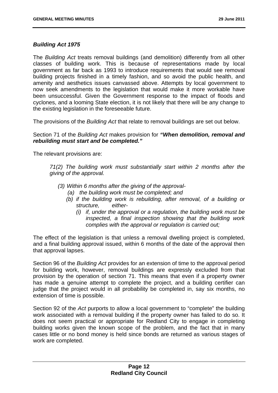#### *Building Act 1975*

The *Building Act* treats removal buildings (and demolition) differently from all other classes of building work. This is because of representations made by local government as far back as 1993 to introduce requirements that would see removal building projects finished in a timely fashion, and so avoid the public health, and amenity and aesthetics issues canvassed above. Attempts by local government to now seek amendments to the legislation that would make it more workable have been unsuccessful. Given the Government response to the impact of floods and cyclones, and a looming State election, it is not likely that there will be any change to the existing legislation in the foreseeable future.

The provisions of the *Building Act* that relate to removal buildings are set out below.

#### Section 71 of the *Building Act* makes provision for *"When demolition, removal and rebuilding must start and be completed."*

The relevant provisions are:

*71(2) The building work must substantially start within 2 months after the giving of the approval.* 

- *(3) Within 6 months after the giving of the approval-* 
	- *(a) the building work must be completed; and*
	- *(b) if the building work is rebuilding, after removal, of a building or structure, either-* 
		- *(i) if, under the approval or a regulation, the building work must be inspected, a final inspection showing that the building work complies with the approval or regulation is carried out;*

The effect of the legislation is that unless a removal dwelling project is completed, and a final building approval issued, within 6 months of the date of the approval then that approval lapses.

Section 96 of the *Building Act* provides for an extension of time to the approval period for building work, however, removal buildings are expressly excluded from that provision by the operation of section 71. This means that even if a property owner has made a genuine attempt to complete the project, and a building certifier can judge that the project would in all probability be completed in, say six months, no extension of time is possible.

Section 92 of the *Act* purports to allow a local government to "complete" the building work associated with a removal building if the property owner has failed to do so. It does not seem practical or appropriate for Redland City to engage in completing building works given the known scope of the problem, and the fact that in many cases little or no bond money is held since bonds are returned as various stages of work are completed.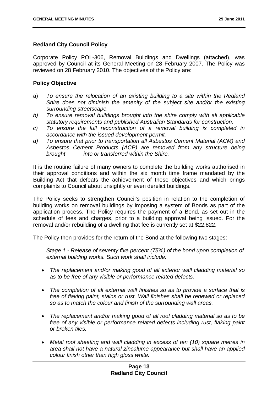#### **Redland City Council Policy**

Corporate Policy POL-306, Removal Buildings and Dwellings (attached), was approved by Council at its General Meeting on 28 February 2007. The Policy was reviewed on 28 February 2010. The objectives of the Policy are:

#### **Policy Objective**

- a) *To ensure the relocation of an existing building to a site within the Redland Shire does not diminish the amenity of the subject site and/or the existing surrounding streetscape.*
- *b) To ensure removal buildings brought into the shire comply with all applicable statutory requirements and published Australian Standards for construction.*
- *c) To ensure the full reconstruction of a removal building is completed in accordance with the issued development permit.*
- *d) To ensure that prior to transportation all Asbestos Cement Material (ACM) and Asbestos Cement Products (ACP) are removed from any structure being brought into or transferred within the Shire.*

It is the routine failure of many owners to complete the building works authorised in their approval conditions and within the six month time frame mandated by the Building Act that defeats the achievement of these objectives and which brings complaints to Council about unsightly or even derelict buildings.

The Policy seeks to strengthen Council's position in relation to the completion of building works on removal buildings by imposing a system of Bonds as part of the application process. The Policy requires the payment of a Bond, as set out in the schedule of fees and charges, prior to a building approval being issued. For the removal and/or rebuilding of a dwelling that fee is currently set at \$22,822.

The Policy then provides for the return of the Bond at the following two stages:

*Stage 1 - Release of seventy five percent (75%) of the bond upon completion of external building works. Such work shall include:* 

- *The replacement and/or making good of all exterior wall cladding material so as to be free of any visible or performance related defects.*
- *The completion of all external wall finishes so as to provide a surface that is free of flaking paint, stains or rust. Wall finishes shall be renewed or replaced so as to match the colour and finish of the surrounding wall areas.*
- *The replacement and/or making good of all roof cladding material so as to be free of any visible or performance related defects including rust, flaking paint or broken tiles.*
- *Metal roof sheeting and wall cladding in excess of ten (10) square metres in area shall not have a natural zincalume appearance but shall have an applied colour finish other than high gloss white.*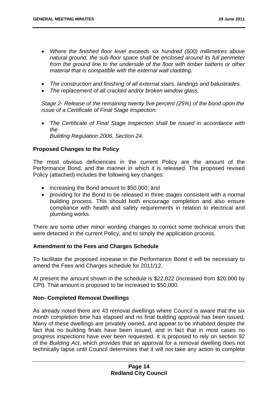- *Where the finished floor level exceeds six hundred (600) millimetres above natural ground, the sub-floor space shall be enclosed around its full perimeter*  from the ground line to the underside of the floor with timber battens or other *material that is compatible with the external wall cladding.*
- *The construction and finishing of all external stairs, landings and balustrades.*
- *The replacement of all cracked and/or broken window glass.*

*Stage 2- Release of the remaining twenty five percent (25%) of the bond upon the issue of a Certificate of Final Stage Inspection:* 

 *The Certificate of Final Stage Inspection shall be issued in accordance with the Building Regulation 2006, Section 24.* 

#### **Proposed Changes to the Policy**

The most obvious deficiencies in the current Policy are the amount of the Performance Bond, and the manner in which it is released. The proposed revised Policy (attached) includes the following key changes:

- increasing the Bond amount to \$50,000; and
- providing for the Bond to be released in three stages consistent with a normal building process. This should both encourage completion and also ensure compliance with health and safety requirements in relation to electrical and plumbing works.

There are some other minor wording changes to correct some technical errors that were detected in the current Policy, and to simply the application process.

#### **Amendment to the Fees and Charges Schedule**

To facilitate the proposed increase in the Performance Bond it will be necessary to amend the Fees and Charges schedule for 2011/12.

At present the amount shown in the schedule is \$22,822 (increased from \$20,000 by CPI). That amount is proposed to be increased to \$50,000.

#### **Non- Completed Removal Dwellings**

As already noted there are 43 removal dwellings where Council is aware that the six month completion time has elapsed and no final building approval has been issued. Many of these dwellings are privately owned, and appear to be inhabited despite the fact that no building finals have been issued, and in fact that in most cases no progress inspections have ever been requested. It is proposed to rely on section 92 of the *Building Act*, which provides that an approval for a removal dwelling does not technically lapse until Council determines that it will not take any action to complete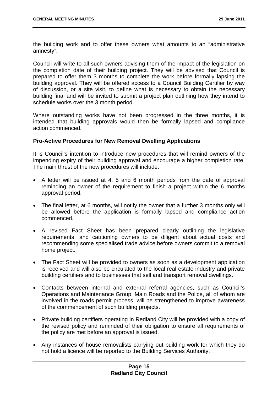the building work and to offer these owners what amounts to an "administrative amnesty".

Council will write to all such owners advising them of the impact of the legislation on the completion date of their building project. They will be advised that Council is prepared to offer them 3 months to complete the work before formally lapsing the building approval. They will be offered access to a Council Building Certifier by way of discussion, or a site visit, to define what is necessary to obtain the necessary building final and will be invited to submit a project plan outlining how they intend to schedule works over the 3 month period.

Where outstanding works have not been progressed in the three months, it is intended that building approvals would then be formally lapsed and compliance action commenced.

#### **Pro-Active Procedures for New Removal Dwelling Applications**

It is Council's intention to introduce new procedures that will remind owners of the impending expiry of their building approval and encourage a higher completion rate. The main thrust of the new procedures will include:

- A letter will be issued at 4, 5 and 6 month periods from the date of approval reminding an owner of the requirement to finish a project within the 6 months approval period.
- The final letter, at 6 months, will notify the owner that a further 3 months only will be allowed before the application is formally lapsed and compliance action commenced.
- A revised Fact Sheet has been prepared clearly outlining the legislative requirements, and cautioning owners to be diligent about actual costs and recommending some specialised trade advice before owners commit to a removal home project.
- The Fact Sheet will be provided to owners as soon as a development application is received and will also be circulated to the local real estate industry and private building certifiers and to businesses that sell and transport removal dwellings.
- Contacts between internal and external referral agencies, such as Council's Operations and Maintenance Group, Main Roads and the Police, all of whom are involved in the roads permit process, will be strengthened to improve awareness of the commencement of such building projects.
- Private building certifiers operating in Redland City will be provided with a copy of the revised policy and reminded of their obligation to ensure all requirements of the policy are met before an approval is issued.
- Any instances of house removalists carrying out building work for which they do not hold a licence will be reported to the Building Services Authority.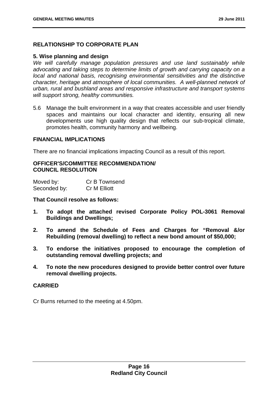#### **RELATIONSHIP TO CORPORATE PLAN**

#### **5. Wise planning and design**

*We will carefully manage population pressures and use land sustainably while advocating and taking steps to determine limits of growth and carrying capacity on a local and national basis, recognising environmental sensitivities and the distinctive character, heritage and atmosphere of local communities. A well-planned network of urban, rural and bushland areas and responsive infrastructure and transport systems will support strong, healthy communities.* 

5.6 Manage the built environment in a way that creates accessible and user friendly spaces and maintains our local character and identity, ensuring all new developments use high quality design that reflects our sub-tropical climate, promotes health, community harmony and wellbeing.

#### **FINANCIAL IMPLICATIONS**

There are no financial implications impacting Council as a result of this report.

#### **OFFICER'S/COMMITTEE RECOMMENDATION/ COUNCIL RESOLUTION**

| Moved by:    | Cr B Townsend |
|--------------|---------------|
| Seconded by: | Cr M Elliott  |

#### **That Council resolve as follows:**

- **1. To adopt the attached revised Corporate Policy POL-3061 Removal Buildings and Dwellings;**
- **2. To amend the Schedule of Fees and Charges for "Removal &/or Rebuilding (removal dwelling) to reflect a new bond amount of \$50,000;**
- **3. To endorse the initiatives proposed to encourage the completion of outstanding removal dwelling projects; and**
- **4. To note the new procedures designed to provide better control over future removal dwelling projects.**

#### **CARRIED**

Cr Burns returned to the meeting at 4.50pm.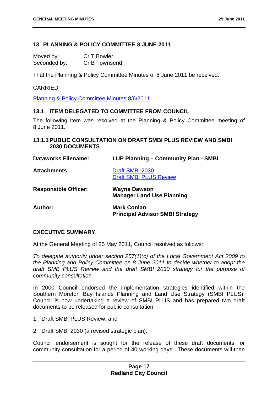#### **13 PLANNING & POLICY COMMITTEE 8 JUNE 2011**

Moved by: Cr T Bowler Seconded by: Cr B Townsend

That the Planning & Policy Committee Minutes of 8 June 2011 be received.

#### CARRIED

Planning & Policy Committee Minutes 8/6/2011

#### **13.1 ITEM DELEGATED TO COMMITTEE FROM COUNCIL**

The following item was resolved at the Planning & Policy Committee meeting of 8 June 2011.

#### **13.1.1 PUBLIC CONSULTATION ON DRAFT SMBI PLUS REVIEW AND SMBI 2030 DOCUMENTS**

| <b>Dataworks Filename:</b>  | LUP Planning - Community Plan - SMBI                         |
|-----------------------------|--------------------------------------------------------------|
| <b>Attachments:</b>         | Draft SMBI 2030<br><b>Draft SMBI PLUS Review</b>             |
| <b>Responsible Officer:</b> | <b>Wayne Dawson</b><br><b>Manager Land Use Planning</b>      |
| Author:                     | <b>Mark Conlan</b><br><b>Principal Advisor SMBI Strategy</b> |

#### **EXECUTIVE SUMMARY**

At the General Meeting of 25 May 2011, Council resolved as follows:

*To delegate authority under section 257(1)(c) of the Local Government Act 2009 to the Planning and Policy Committee on 8 June 2011 to decide whether to adopt the draft SMB PLUS Review and the draft SMBI 2030 strategy for the purpose of community consultation.* 

In 2000 Council endorsed the implementation strategies identified within the Southern Moreton Bay Islands Planning and Land Use Strategy (SMBI PLUS). Council is now undertaking a review of SMBI PLUS and has prepared two draft documents to be released for public consultation:

- 1. Draft SMBI PLUS Review, and
- 2. Draft SMBI 2030 (a revised strategic plan).

Council endorsement is sought for the release of these draft documents for community consultation for a period of 40 working days. These documents will then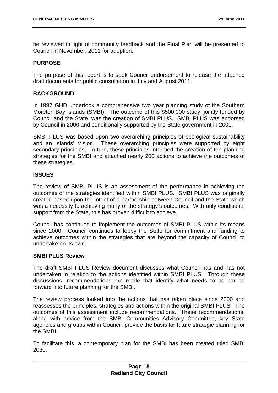be reviewed in light of community feedback and the Final Plan will be presented to Council in November, 2011 for adoption.

#### **PURPOSE**

The purpose of this report is to seek Council endorsement to release the attached draft documents for public consultation in July and August 2011.

#### **BACKGROUND**

In 1997 GHD undertook a comprehensive two year planning study of the Southern Moreton Bay Islands (SMBI). The outcome of this \$500,000 study, jointly funded by Council and the State, was the creation of SMBI PLUS. SMBI PLUS was endorsed by Council in 2000 and conditionally supported by the State government in 2001.

SMBI PLUS was based upon two overarching principles of ecological sustainability and an Islands' Vision. These overarching principles were supported by eight secondary principles. In turn, these principles informed the creation of ten planning strategies for the SMBI and attached nearly 200 actions to achieve the outcomes of these strategies.

#### **ISSUES**

The review of SMBI PLUS is an assessment of the performance in achieving the outcomes of the strategies identified within SMBI PLUS. SMBI PLUS was originally created based upon the intent of a partnership between Council and the State which was a necessity to achieving many of the strategy's outcomes. With only conditional support from the State, this has proven difficult to achieve.

Council has continued to implement the outcomes of SMBI PLUS within its means since 2000. Council continues to lobby the State for commitment and funding to achieve outcomes within the strategies that are beyond the capacity of Council to undertake on its own.

#### **SMBI PLUS Review**

The draft SMBI PLUS Review document discusses what Council has and has not undertaken in relation to the actions identified within SMBI PLUS. Through these discussions, recommendations are made that identify what needs to be carried forward into future planning for the SMBI.

The review process looked into the actions that has taken place since 2000 and reassesses the principles, strategies and actions within the original SMBI PLUS. The outcomes of this assessment include recommendations. These recommendations, along with advice from the SMBI Communities Advisory Committee, key State agencies and groups within Council, provide the basis for future strategic planning for the SMBI.

To facilitate this, a contemporary plan for the SMBI has been created titled SMBI 2030.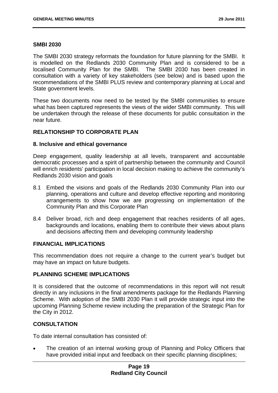#### **SMBI 2030**

The SMBI 2030 strategy reformats the foundation for future planning for the SMBI. It is modelled on the Redlands 2030 Community Plan and is considered to be a localised Community Plan for the SMBI. The SMBI 2030 has been created in consultation with a variety of key stakeholders (see below) and is based upon the recommendations of the SMBI PLUS review and contemporary planning at Local and State government levels.

These two documents now need to be tested by the SMBI communities to ensure what has been captured represents the views of the wider SMBI community. This will be undertaken through the release of these documents for public consultation in the near future.

#### **RELATIONSHIP TO CORPORATE PLAN**

#### **8. Inclusive and ethical governance**

Deep engagement, quality leadership at all levels, transparent and accountable democratic processes and a spirit of partnership between the community and Council will enrich residents' participation in local decision making to achieve the community's Redlands 2030 vision and goals

- 8.1 Embed the visions and goals of the Redlands 2030 Community Plan into our planning, operations and culture and develop effective reporting and monitoring arrangements to show how we are progressing on implementation of the Community Plan and this Corporate Plan
- 8.4 Deliver broad, rich and deep engagement that reaches residents of all ages, backgrounds and locations, enabling them to contribute their views about plans and decisions affecting them and developing community leadership

#### **FINANCIAL IMPLICATIONS**

This recommendation does not require a change to the current year's budget but may have an impact on future budgets.

#### **PLANNING SCHEME IMPLICATIONS**

It is considered that the outcome of recommendations in this report will not result directly in any inclusions in the final amendments package for the Redlands Planning Scheme. With adoption of the SMBI 2030 Plan it will provide strategic input into the upcoming Planning Scheme review including the preparation of the Strategic Plan for the City in 2012.

#### **CONSULTATION**

To date internal consultation has consisted of:

 The creation of an internal working group of Planning and Policy Officers that have provided initial input and feedback on their specific planning disciplines;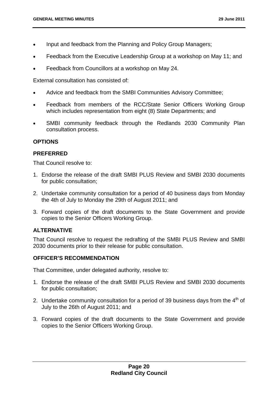- Input and feedback from the Planning and Policy Group Managers;
- Feedback from the Executive Leadership Group at a workshop on May 11; and
- Feedback from Councillors at a workshop on May 24.

External consultation has consisted of:

- Advice and feedback from the SMBI Communities Advisory Committee;
- Feedback from members of the RCC/State Senior Officers Working Group which includes representation from eight (8) State Departments; and
- SMBI community feedback through the Redlands 2030 Community Plan consultation process.

#### **OPTIONS**

#### **PREFERRED**

That Council resolve to:

- 1. Endorse the release of the draft SMBI PLUS Review and SMBI 2030 documents for public consultation;
- 2. Undertake community consultation for a period of 40 business days from Monday the 4th of July to Monday the 29th of August 2011; and
- 3. Forward copies of the draft documents to the State Government and provide copies to the Senior Officers Working Group.

#### **ALTERNATIVE**

That Council resolve to request the redrafting of the SMBI PLUS Review and SMBI 2030 documents prior to their release for public consultation.

#### **OFFICER'S RECOMMENDATION**

That Committee, under delegated authority, resolve to:

- 1. Endorse the release of the draft SMBI PLUS Review and SMBI 2030 documents for public consultation;
- 2. Undertake community consultation for a period of 39 business days from the  $4<sup>th</sup>$  of July to the 26th of August 2011; and
- 3. Forward copies of the draft documents to the State Government and provide copies to the Senior Officers Working Group.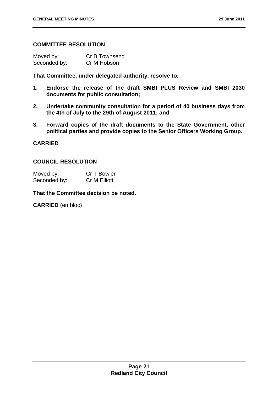#### **COMMITTEE RESOLUTION**

| Moved by:    | Cr B Townsend |
|--------------|---------------|
| Seconded by: | Cr M Hobson   |

**That Committee, under delegated authority, resolve to:** 

- **1. Endorse the release of the draft SMBI PLUS Review and SMBI 2030 documents for public consultation;**
- **2. Undertake community consultation for a period of 40 business days from the 4th of July to the 29th of August 2011; and**
- **3. Forward copies of the draft documents to the State Government, other political parties and provide copies to the Senior Officers Working Group.**

#### **CARRIED**

#### **COUNCIL RESOLUTION**

| Moved by:    | Cr T Bowler  |
|--------------|--------------|
| Seconded by: | Cr M Elliott |

#### **That the Committee decision be noted.**

**CARRIED** (en bloc)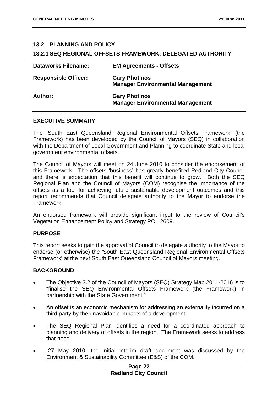#### **13.2 PLANNING AND POLICY**

#### **13.2.1 SEQ REGIONAL OFFSETS FRAMEWORK: DELEGATED AUTHORITY**

| <b>Dataworks Filename:</b>  | <b>EM Agreements - Offsets</b>                                  |
|-----------------------------|-----------------------------------------------------------------|
| <b>Responsible Officer:</b> | <b>Gary Photinos</b><br><b>Manager Environmental Management</b> |
| Author:                     | <b>Gary Photinos</b><br><b>Manager Environmental Management</b> |

#### **EXECUTIVE SUMMARY**

The 'South East Queensland Regional Environmental Offsets Framework' (the Framework) has been developed by the Council of Mayors (SEQ) in collaboration with the Department of Local Government and Planning to coordinate State and local government environmental offsets.

The Council of Mayors will meet on 24 June 2010 to consider the endorsement of this Framework. The offsets 'business' has greatly benefited Redland City Council and there is expectation that this benefit will continue to grow. Both the SEQ Regional Plan and the Council of Mayors (COM) recognise the importance of the offsets as a tool for achieving future sustainable development outcomes and this report recommends that Council delegate authority to the Mayor to endorse the Framework.

An endorsed framework will provide significant input to the review of Council's Vegetation Enhancement Policy and Strategy POL 2609.

#### **PURPOSE**

This report seeks to gain the approval of Council to delegate authority to the Mayor to endorse (or otherwise) the 'South East Queensland Regional Environmental Offsets Framework' at the next South East Queensland Council of Mayors meeting.

#### **BACKGROUND**

- The Objective 3.2 of the Council of Mayors (SEQ) Strategy Map 2011-2016 is to "finalise the SEQ Environmental Offsets Framework (the Framework) in partnership with the State Government."
- An offset is an economic mechanism for addressing an externality incurred on a third party by the unavoidable impacts of a development.
- The SEQ Regional Plan identifies a need for a coordinated approach to planning and delivery of offsets in the region. The Framework seeks to address that need.
- 27 May 2010: the initial interim draft document was discussed by the Environment & Sustainability Committee (E&S) of the COM.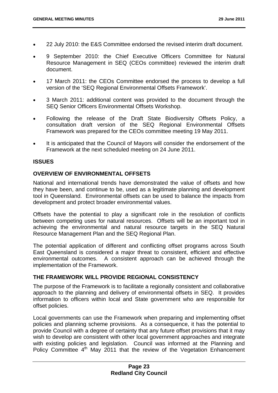- 22 July 2010: the E&S Committee endorsed the revised interim draft document.
- 9 September 2010: the Chief Executive Officers Committee for Natural Resource Management in SEQ (CEOs committee) reviewed the interim draft document.
- 17 March 2011: the CEOs Committee endorsed the process to develop a full version of the 'SEQ Regional Environmental Offsets Framework'.
- 3 March 2011: additional content was provided to the document through the SEQ Senior Officers Environmental Offsets Workshop.
- Following the release of the Draft State Biodiversity Offsets Policy, a consultation draft version of the SEQ Regional Environmental Offsets Framework was prepared for the CEOs committee meeting 19 May 2011.
- It is anticipated that the Council of Mayors will consider the endorsement of the Framework at the next scheduled meeting on 24 June 2011.

#### **ISSUES**

#### **OVERVIEW OF ENVIRONMENTAL OFFSETS**

National and international trends have demonstrated the value of offsets and how they have been, and continue to be, used as a legitimate planning and development tool in Queensland. Environmental offsets can be used to balance the impacts from development and protect broader environmental values.

Offsets have the potential to play a significant role in the resolution of conflicts between competing uses for natural resources. Offsets will be an important tool in achieving the environmental and natural resource targets in the SEQ Natural Resource Management Plan and the SEQ Regional Plan.

The potential application of different and conflicting offset programs across South East Queensland is considered a major threat to consistent, efficient and effective environmental outcomes. A consistent approach can be achieved through the implementation of the Framework.

#### **THE FRAMEWORK WILL PROVIDE REGIONAL CONSISTENCY**

The purpose of the Framework is to facilitate a regionally consistent and collaborative approach to the planning and delivery of environmental offsets in SEQ. It provides information to officers within local and State government who are responsible for offset policies.

Local governments can use the Framework when preparing and implementing offset policies and planning scheme provisions. As a consequence, it has the potential to provide Council with a degree of certainty that any future offset provisions that it may wish to develop are consistent with other local government approaches and integrate with existing policies and legislation. Council was informed at the Planning and Policy Committee 4<sup>th</sup> May 2011 that the review of the Vegetation Enhancement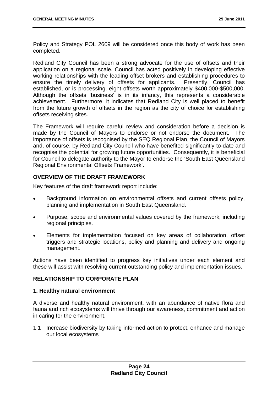Policy and Strategy POL 2609 will be considered once this body of work has been completed.

Redland City Council has been a strong advocate for the use of offsets and their application on a regional scale. Council has acted positively in developing effective working relationships with the leading offset brokers and establishing procedures to ensure the timely delivery of offsets for applicants. Presently, Council has established, or is processing, eight offsets worth approximately \$400,000-\$500,000. Although the offsets 'business' is in its infancy, this represents a considerable achievement. Furthermore, it indicates that Redland City is well placed to benefit from the future growth of offsets in the region as the city of choice for establishing offsets receiving sites.

The Framework will require careful review and consideration before a decision is made by the Council of Mayors to endorse or not endorse the document. The importance of offsets is recognised by the SEQ Regional Plan, the Council of Mayors and, of course, by Redland City Council who have benefited significantly to-date and recognise the potential for growing future opportunities. Consequently, it is beneficial for Council to delegate authority to the Mayor to endorse the 'South East Queensland Regional Environmental Offsets Framework'.

#### **OVERVIEW OF THE DRAFT FRAMEWORK**

Key features of the draft framework report include:

- Background information on environmental offsets and current offsets policy, planning and implementation in South East Queensland.
- Purpose, scope and environmental values covered by the framework, including regional principles.
- Elements for implementation focused on key areas of collaboration, offset triggers and strategic locations, policy and planning and delivery and ongoing management.

Actions have been identified to progress key initiatives under each element and these will assist with resolving current outstanding policy and implementation issues.

#### **RELATIONSHIP TO CORPORATE PLAN**

#### **1. Healthy natural environment**

A diverse and healthy natural environment, with an abundance of native flora and fauna and rich ecosystems will thrive through our awareness, commitment and action in caring for the environment.

1.1 Increase biodiversity by taking informed action to protect, enhance and manage our local ecosystems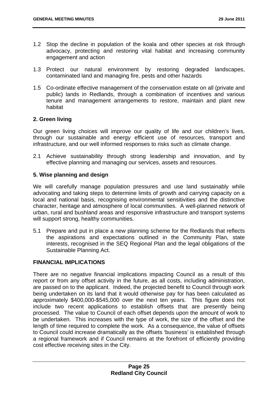- 1.2 Stop the decline in population of the koala and other species at risk through advocacy, protecting and restoring vital habitat and increasing community engagement and action
- 1.3 Protect our natural environment by restoring degraded landscapes, contaminated land and managing fire, pests and other hazards
- 1.5 Co-ordinate effective management of the conservation estate on all (private and public) lands in Redlands, through a combination of incentives and various tenure and management arrangements to restore, maintain and plant new habitat

#### **2. Green living**

Our green living choices will improve our quality of life and our children's lives, through our sustainable and energy efficient use of resources, transport and infrastructure, and our well informed responses to risks such as climate change.

2.1 Achieve sustainability through strong leadership and innovation, and by effective planning and managing our services, assets and resources.

#### **5. Wise planning and design**

We will carefully manage population pressures and use land sustainably while advocating and taking steps to determine limits of growth and carrying capacity on a local and national basis, recognising environmental sensitivities and the distinctive character, heritage and atmosphere of local communities. A well-planned network of urban, rural and bushland areas and responsive infrastructure and transport systems will support strong, healthy communities.

5.1 Prepare and put in place a new planning scheme for the Redlands that reflects the aspirations and expectations outlined in the Community Plan, state interests, recognised in the SEQ Regional Plan and the legal obligations of the Sustainable Planning Act.

#### **FINANCIAL IMPLICATIONS**

There are no negative financial implications impacting Council as a result of this report or from any offset activity in the future, as all costs, including administration, are passed on to the applicant. Indeed, the projected benefit to Council through work being undertaken on its land that it would otherwise pay for has been calculated as approximately \$400,000-\$545,000 over the next ten years. This figure does not include two recent applications to establish offsets that are presently being processed. The value to Council of each offset depends upon the amount of work to be undertaken. This increases with the type of work, the size of the offset and the length of time required to complete the work. As a consequence, the value of offsets to Council could increase dramatically as the offsets 'business' is established through a regional framework and if Council remains at the forefront of efficiently providing cost effective receiving sites in the City.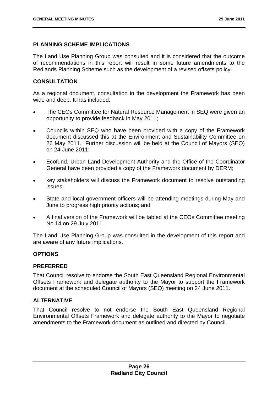#### **PLANNING SCHEME IMPLICATIONS**

The Land Use Planning Group was consulted and it is considered that the outcome of recommendations in this report will result in some future amendments to the Redlands Planning Scheme such as the development of a revised offsets policy.

#### **CONSULTATION**

As a regional document, consultation in the development the Framework has been wide and deep. It has included:

- The CEOs Committee for Natural Resource Management in SEQ were given an opportunity to provide feedback in May 2011;
- Councils within SEQ who have been provided with a copy of the Framework document discussed this at the Environment and Sustainability Committee on 26 May 2011. Further discussion will be held at the Council of Mayors (SEQ) on 24 June 2011;
- Ecofund, Urban Land Development Authority and the Office of the Coordinator General have been provided a copy of the Framework document by DERM;
- key stakeholders will discuss the Framework document to resolve outstanding issues;
- State and local government officers will be attending meetings during May and June to progress high priority actions; and
- A final version of the Framework will be tabled at the CEOs Committee meeting No.14 on 29 July 2011.

The Land Use Planning Group was consulted in the development of this report and are aware of any future implications.

#### **OPTIONS**

#### **PREFERRED**

That Council resolve to endorse the South East Queensland Regional Environmental Offsets Framework and delegate authority to the Mayor to support the Framework document at the scheduled Council of Mayors (SEQ) meeting on 24 June 2011.

#### **ALTERNATIVE**

That Council resolve to not endorse the South East Queensland Regional Environmental Offsets Framework and delegate authority to the Mayor to negotiate amendments to the Framework document as outlined and directed by Council.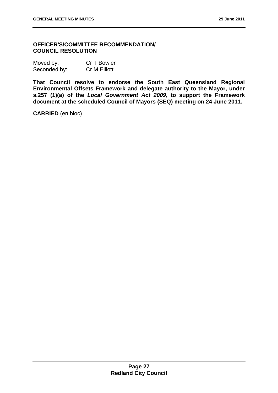#### **OFFICER'S/COMMITTEE RECOMMENDATION/ COUNCIL RESOLUTION**

| Moved by:    | Cr T Bowler         |
|--------------|---------------------|
| Seconded by: | <b>Cr M Elliott</b> |

**That Council resolve to endorse the South East Queensland Regional Environmental Offsets Framework and delegate authority to the Mayor, under s.257 (1)(a) of the** *Local Government Act 2009***, to support the Framework document at the scheduled Council of Mayors (SEQ) meeting on 24 June 2011.** 

**CARRIED** (en bloc)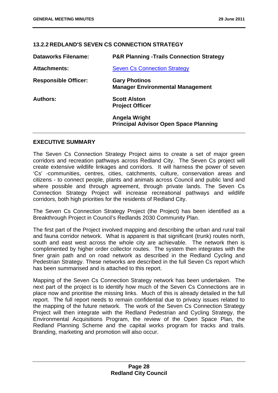#### **13.2.2 REDLAND'S SEVEN CS CONNECTION STRATEGY**

| <b>Dataworks Filename:</b>  | <b>P&amp;R Planning -Trails Connection Strategy</b>             |
|-----------------------------|-----------------------------------------------------------------|
| <b>Attachments:</b>         | <b>Seven Cs Connection Strategy</b>                             |
| <b>Responsible Officer:</b> | <b>Gary Photinos</b><br><b>Manager Environmental Management</b> |
| Authors:                    | <b>Scott Alston</b><br><b>Project Officer</b>                   |
|                             | Angela Wright<br><b>Principal Advisor Open Space Planning</b>   |

#### **EXECUTIVE SUMMARY**

The Seven Cs Connection Strategy Project aims to create a set of major green corridors and recreation pathways across Redland City. The Seven Cs project will create extensive wildlife linkages and corridors. It will harness the power of seven 'Cs' -communities, centres, cities, catchments, culture, conservation areas and citizens - to connect people, plants and animals across Council and public land and where possible and through agreement, through private lands. The Seven Cs Connection Strategy Project will increase recreational pathways and wildlife corridors, both high priorities for the residents of Redland City.

The Seven Cs Connection Strategy Project (the Project) has been identified as a Breakthrough Project in Council's Redlands 2030 Community Plan.

The first part of the Project involved mapping and describing the urban and rural trail and fauna corridor network. What is apparent is that significant (trunk) routes north, south and east west across the whole city are achievable. The network then is complimented by higher order collector routes. The system then integrates with the finer grain path and on road network as described in the Redland Cycling and Pedestrian Strategy. These networks are described in the full Seven Cs report which has been summarised and is attached to this report.

Mapping of the Seven Cs Connection Strategy network has been undertaken. The next part of the project is to identify how much of the Seven Cs Connections are in place now and prioritise the missing links. Much of this is already detailed in the full report. The full report needs to remain confidential due to privacy issues related to the mapping of the future network. The work of the Seven Cs Connection Strategy Project will then integrate with the Redland Pedestrian and Cycling Strategy, the Environmental Acquisitions Program, the review of the Open Space Plan, the Redland Planning Scheme and the capital works program for tracks and trails. Branding, marketing and promotion will also occur.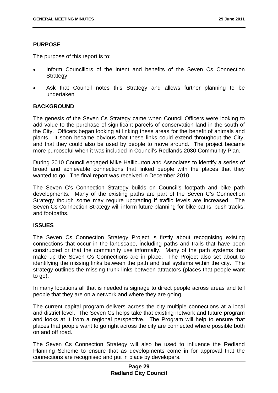#### **PURPOSE**

The purpose of this report is to:

- Inform Councillors of the intent and benefits of the Seven Cs Connection **Strategy**
- Ask that Council notes this Strategy and allows further planning to be undertaken

#### **BACKGROUND**

The genesis of the Seven Cs Strategy came when Council Officers were looking to add value to the purchase of significant parcels of conservation land in the south of the City. Officers began looking at linking these areas for the benefit of animals and plants. It soon became obvious that these links could extend throughout the City, and that they could also be used by people to move around. The project became more purposeful when it was included in Council's Redlands 2030 Community Plan.

During 2010 Council engaged Mike Halliburton and Associates to identify a series of broad and achievable connections that linked people with the places that they wanted to go. The final report was received in December 2010.

The Seven C's Connection Strategy builds on Council's footpath and bike path developments. Many of the existing paths are part of the Seven C's Connection Strategy though some may require upgrading if traffic levels are increased. The Seven Cs Connection Strategy will inform future planning for bike paths, bush tracks, and footpaths.

#### **ISSUES**

The Seven Cs Connection Strategy Project is firstly about recognising existing connections that occur in the landscape, including paths and trails that have been constructed or that the community use informally. Many of the path systems that make up the Seven Cs Connections are in place. The Project also set about to identifying the missing links between the path and trail systems within the city. The strategy outlines the missing trunk links between attractors (places that people want to go).

In many locations all that is needed is signage to direct people across areas and tell people that they are on a network and where they are going.

The current capital program delivers across the city multiple connections at a local and district level. The Seven Cs helps take that existing network and future program and looks at it from a regional perspective. The Program will help to ensure that places that people want to go right across the city are connected where possible both on and off road.

The Seven Cs Connection Strategy will also be used to influence the Redland Planning Scheme to ensure that as developments come in for approval that the connections are recognised and put in place by developers.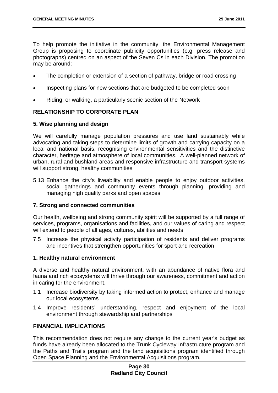To help promote the initiative in the community, the Environmental Management Group is proposing to coordinate publicity opportunities (e.g. press release and photographs) centred on an aspect of the Seven Cs in each Division. The promotion may be around:

- The completion or extension of a section of pathway, bridge or road crossing
- Inspecting plans for new sections that are budgeted to be completed soon
- Riding, or walking, a particularly scenic section of the Network

#### **RELATIONSHIP TO CORPORATE PLAN**

#### **5. Wise planning and design**

We will carefully manage population pressures and use land sustainably while advocating and taking steps to determine limits of growth and carrying capacity on a local and national basis, recognising environmental sensitivities and the distinctive character, heritage and atmosphere of local communities. A well-planned network of urban, rural and bushland areas and responsive infrastructure and transport systems will support strong, healthy communities.

5.13 Enhance the city's liveability and enable people to enjoy outdoor activities, social gatherings and community events through planning, providing and managing high quality parks and open spaces

#### **7. Strong and connected communities**

Our health, wellbeing and strong community spirit will be supported by a full range of services, programs, organisations and facilities, and our values of caring and respect will extend to people of all ages, cultures, abilities and needs

7.5 Increase the physical activity participation of residents and deliver programs and incentives that strengthen opportunities for sport and recreation

#### **1. Healthy natural environment**

A diverse and healthy natural environment, with an abundance of native flora and fauna and rich ecosystems will thrive through our awareness, commitment and action in caring for the environment.

- 1.1 Increase biodiversity by taking informed action to protect, enhance and manage our local ecosystems
- 1.4 Improve residents' understanding, respect and enjoyment of the local environment through stewardship and partnerships

#### **FINANCIAL IMPLICATIONS**

This recommendation does not require any change to the current year's budget as funds have already been allocated to the Trunk Cycleway Infrastructure program and the Paths and Trails program and the land acquisitions program identified through Open Space Planning and the Environmental Acquisitions program.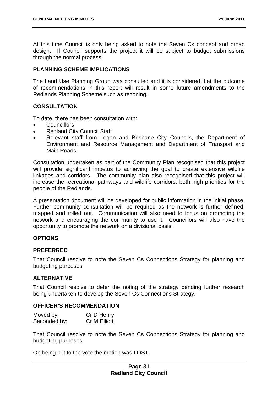At this time Council is only being asked to note the Seven Cs concept and broad design. If Council supports the project it will be subject to budget submissions through the normal process.

## **PLANNING SCHEME IMPLICATIONS**

The Land Use Planning Group was consulted and it is considered that the outcome of recommendations in this report will result in some future amendments to the Redlands Planning Scheme such as rezoning.

## **CONSULTATION**

To date, there has been consultation with:

- **Councillors**
- Redland City Council Staff
- Relevant staff from Logan and Brisbane City Councils, the Department of Environment and Resource Management and Department of Transport and Main Roads

Consultation undertaken as part of the Community Plan recognised that this project will provide significant impetus to achieving the goal to create extensive wildlife linkages and corridors. The community plan also recognised that this project will increase the recreational pathways and wildlife corridors, both high priorities for the people of the Redlands.

A presentation document will be developed for public information in the initial phase. Further community consultation will be required as the network is further defined, mapped and rolled out. Communication will also need to focus on promoting the network and encouraging the community to use it. Councillors will also have the opportunity to promote the network on a divisional basis.

#### **OPTIONS**

#### **PREFERRED**

That Council resolve to note the Seven Cs Connections Strategy for planning and budgeting purposes.

## **ALTERNATIVE**

That Council resolve to defer the noting of the strategy pending further research being undertaken to develop the Seven Cs Connections Strategy.

#### **OFFICER'S RECOMMENDATION**

| Moved by:    | Cr D Henry          |
|--------------|---------------------|
| Seconded by: | <b>Cr M Elliott</b> |

That Council resolve to note the Seven Cs Connections Strategy for planning and budgeting purposes.

On being put to the vote the motion was LOST.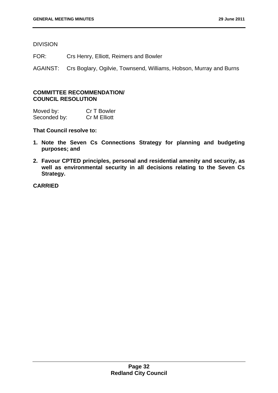DIVISION

FOR: Crs Henry, Elliott, Reimers and Bowler

AGAINST: Crs Boglary, Ogilvie, Townsend, Williams, Hobson, Murray and Burns

### **COMMITTEE RECOMMENDATION/ COUNCIL RESOLUTION**

Moved by: Cr T Bowler Seconded by: Cr M Elliott

**That Council resolve to:** 

- **1. Note the Seven Cs Connections Strategy for planning and budgeting purposes; and**
- **2. Favour CPTED principles, personal and residential amenity and security, as well as environmental security in all decisions relating to the Seven Cs Strategy.**

**CARRIED**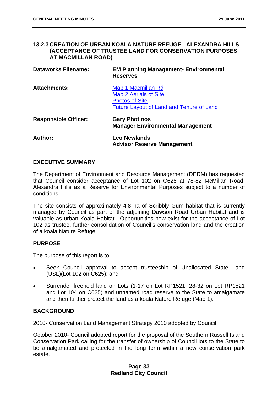### **13.2.3 CREATION OF URBAN KOALA NATURE REFUGE - ALEXANDRA HILLS (ACCEPTANCE OF TRUSTEE LAND FOR CONSERVATION PURPOSES AT MACMILLAN ROAD)**

| <b>Dataworks Filename:</b>  | <b>EM Planning Management- Environmental</b><br><b>Reserves</b>                                                                |
|-----------------------------|--------------------------------------------------------------------------------------------------------------------------------|
| <b>Attachments:</b>         | Map 1 Macmillan Rd<br><b>Map 2 Aerials of Site</b><br><b>Photos of Site</b><br><b>Future Layout of Land and Tenure of Land</b> |
| <b>Responsible Officer:</b> | <b>Gary Photinos</b><br><b>Manager Environmental Management</b>                                                                |
| <b>Author:</b>              | <b>Leo Newlands</b><br><b>Advisor Reserve Management</b>                                                                       |

## **EXECUTIVE SUMMARY**

The Department of Environment and Resource Management (DERM) has requested that Council consider acceptance of Lot 102 on C625 at 78-82 McMillan Road, Alexandra Hills as a Reserve for Environmental Purposes subject to a number of conditions.

The site consists of approximately 4.8 ha of Scribbly Gum habitat that is currently managed by Council as part of the adjoining Dawson Road Urban Habitat and is valuable as urban Koala Habitat. Opportunities now exist for the acceptance of Lot 102 as trustee, further consolidation of Council's conservation land and the creation of a koala Nature Refuge.

## **PURPOSE**

The purpose of this report is to:

- Seek Council approval to accept trusteeship of Unallocated State Land (USL)(Lot 102 on C625); and
- Surrender freehold land on Lots (1-17 on Lot RP1521, 28-32 on Lot RP1521 and Lot 104 on C625) and unnamed road reserve to the State to amalgamate and then further protect the land as a koala Nature Refuge (Map 1).

## **BACKGROUND**

2010- Conservation Land Management Strategy 2010 adopted by Council

October 2010- Council adopted report for the proposal of the Southern Russell Island Conservation Park calling for the transfer of ownership of Council lots to the State to be amalgamated and protected in the long term within a new conservation park estate.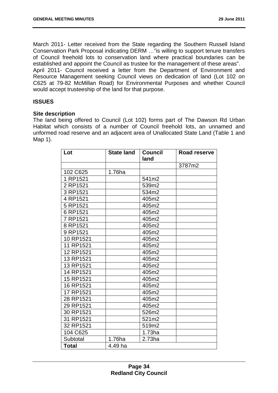March 2011- Letter received from the State regarding the Southern Russell Island Conservation Park Proposal indicating DERM …"is willing to support tenure transfers of Council freehold lots to conservation land where practical boundaries can be established and appoint the Council as trustee for the management of these areas". April 2011- Council received a letter from the Department of Environment and Resource Management seeking Council views on dedication of land (Lot 102 on C625 at 79-82 McMillan Road) for Environmental Purposes and whether Council

would accept trusteeship of the land for that purpose.

# **ISSUES**

#### **Site description**

The land being offered to Council (Lot 102) forms part of The Dawson Rd Urban Habitat which consists of a number of Council freehold lots, an unnamed and unformed road reserve and an adjacent area of Unallocated State Land (Table 1 and Map 1).

| Lot          | <b>State land</b> | <b>Council</b><br>land | Road reserve |
|--------------|-------------------|------------------------|--------------|
|              |                   |                        | 3787m2       |
| 102 C625     | 1.76ha            |                        |              |
| 1 RP1521     |                   | 541m2                  |              |
| 2 RP1521     |                   | 539m2                  |              |
| 3 RP1521     |                   | 534m2                  |              |
| 4 RP1521     |                   | 405m2                  |              |
| 5 RP1521     |                   | 405m2                  |              |
| 6 RP1521     |                   | 405m2                  |              |
| 7 RP1521     |                   | 405m2                  |              |
| 8 RP1521     |                   | 405m2                  |              |
| 9 RP1521     |                   | 405m2                  |              |
| 10 RP1521    |                   | 405m2                  |              |
| 11 RP1521    |                   | 405m2                  |              |
| 12 RP1521    |                   | 405m2                  |              |
| 13 RP1521    |                   | 405m2                  |              |
| 13 RP1521    |                   | 405m2                  |              |
| 14 RP1521    |                   | 405m2                  |              |
| 15 RP1521    |                   | 405m2                  |              |
| 16 RP1521    |                   | 405m2                  |              |
| 17 RP1521    |                   | 405m2                  |              |
| 28 RP1521    |                   | 405m2                  |              |
| 29 RP1521    |                   | 405m2                  |              |
| 30 RP1521    |                   | 526m2                  |              |
| 31 RP1521    |                   | 521m2                  |              |
| 32 RP1521    |                   | 519m2                  |              |
| 104 C625     |                   | $1.73$ ha              |              |
| Subtotal     | 1.76ha            | 2.73ha                 |              |
| <b>Total</b> | 4.49 ha           |                        |              |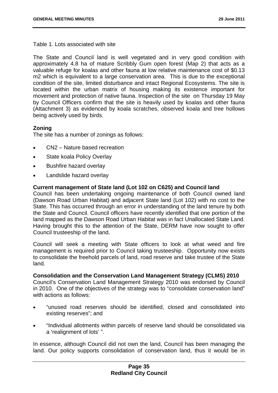Table 1. Lots associated with site

The State and Council land is well vegetated and in very good condition with approximately 4.8 ha of mature Scribbly Gum open forest (Map 2) that acts as a valuable refuge for koalas and other fauna at low relative maintenance cost of \$0.13 m2 which is equivalent to a large conservation area. This is due to the exceptional condition of the site, limited disturbance and intact Regional Ecosystems. The site is located within the urban matrix of housing making its existence important for movement and protection of native fauna. Inspection of the site on Thursday 19 May by Council Officers confirm that the site is heavily used by koalas and other fauna (Attachment 3) as evidenced by koala scratches, observed koala and tree hollows being actively used by birds.

# **Zoning**

The site has a number of zonings as follows:

- CN2 Nature based recreation
- State koala Policy Overlay
- Bushfire hazard overlay
- Landslide hazard overlay

## **Current management of State land (Lot 102 on C625) and Council land**

Council has been undertaking ongoing maintenance of both Council owned land (Dawson Road Urban Habitat) and adjacent State land (Lot 102) with no cost to the State. This has occurred through an error in understanding of the land tenure by both the State and Council. Council officers have recently identified that one portion of the land mapped as the Dawson Road Urban Habitat was in fact Unallocated State Land. Having brought this to the attention of the State, DERM have now sought to offer Council trusteeship of the land.

Council will seek a meeting with State officers to look at what weed and fire management is required prior to Council taking trusteeship. Opportunity now exists to consolidate the freehold parcels of land, road reserve and take trustee of the State land.

#### **Consolidation and the Conservation Land Management Strategy (CLMS) 2010**

Council's Conservation Land Management Strategy 2010 was endorsed by Council in 2010. One of the objectives of the strategy was to "consolidate conservation land" with actions as follows:

- "unused road reserves should be identified, closed and consolidated into existing reserves"; and
- "Individual allotments within parcels of reserve land should be consolidated via a 'realignment of lots' ".

In essence, although Council did not own the land, Council has been managing the land. Our policy supports consolidation of conservation land, thus it would be in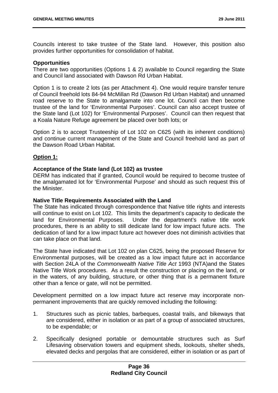Councils interest to take trustee of the State land. However, this position also provides further opportunities for consolidation of habitat.

### **Opportunities**

There are two opportunities (Options 1 & 2) available to Council regarding the State and Council land associated with Dawson Rd Urban Habitat.

Option 1 is to create 2 lots (as per Attachment 4). One would require transfer tenure of Council freehold lots 84-94 McMillan Rd (Dawson Rd Urban Habitat) and unnamed road reserve to the State to amalgamate into one lot. Council can then become trustee of the land for 'Environmental Purposes'. Council can also accept trustee of the State land (Lot 102) for 'Environmental Purposes'. Council can then request that a Koala Nature Refuge agreement be placed over both lots; or

Option 2 is to accept Trusteeship of Lot 102 on C625 (with its inherent conditions) and continue current management of the State and Council freehold land as part of the Dawson Road Urban Habitat.

## **Option 1:**

## **Acceptance of the State land (Lot 102) as trustee**

DERM has indicated that if granted, Council would be required to become trustee of the amalgamated lot for 'Environmental Purpose' and should as such request this of the Minister.

#### **Native Title Requirements Associated with the Land**

The State has indicated through correspondence that Native title rights and interests will continue to exist on Lot 102. This limits the department's capacity to dedicate the land for Environmental Purposes. Under the department's native title work procedures, there is an ability to still dedicate land for low impact future acts. The dedication of land for a low impact future act however does not diminish activities that can take place on that land.

The State have indicated that Lot 102 on plan C625, being the proposed Reserve for Environmental purposes, will be created as a low impact future act in accordance with Section 24LA of the *Commonwealth Native Title Act* 1993 (NTA)and the States Native Title Work procedures. As a result the construction or placing on the land, or in the waters, of any building, structure, or other thing that is a permanent fixture other than a fence or gate, will not be permitted.

Development permitted on a low impact future act reserve may incorporate nonpermanent improvements that are quickly removed including the following:

- 1. Structures such as picnic tables, barbeques, coastal trails, and bikeways that are considered, either in isolation or as part of a group of associated structures, to be expendable; or
- 2. Specifically designed portable or demountable structures such as Surf Lifesaving observation towers and equipment sheds, lookouts, shelter sheds, elevated decks and pergolas that are considered, either in isolation or as part of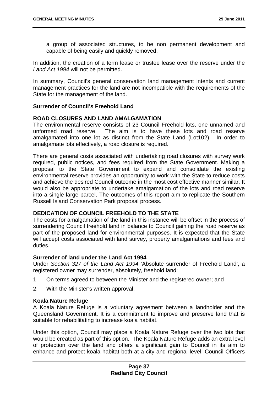a group of associated structures, to be non permanent development and capable of being easily and quickly removed.

In addition, the creation of a term lease or trustee lease over the reserve under the *Land Act 1994* will not be permitted.

In summary, Council's general conservation land management intents and current management practices for the land are not incompatible with the requirements of the State for the management of the land.

#### **Surrender of Council's Freehold Land**

#### **ROAD CLOSURES AND LAND AMALGAMATION**

The environmental reserve consists of 23 Council Freehold lots, one unnamed and unformed road reserve. The aim is to have these lots and road reserve amalgamated into one lot as distinct from the State Land (Lot102). In order to amalgamate lots effectively, a road closure is required.

There are general costs associated with undertaking road closures with survey work required, public notices, and fees required from the State Government. Making a proposal to the State Government to expand and consolidate the existing environmental reserve provides an opportunity to work with the State to reduce costs and achieve the desired Council outcome in the most cost effective manner similar. It would also be appropriate to undertake amalgamation of the lots and road reserve into a single large parcel. The outcomes of this report aim to replicate the Southern Russell Island Conservation Park proposal process.

## **DEDICATION OF COUNCIL FREEHOLD TO THE STATE**

The costs for amalgamation of the land in this instance will be offset in the process of surrendering Council freehold land in balance to Council gaining the road reserve as part of the proposed land for environmental purposes. It is expected that the State will accept costs associated with land survey, property amalgamations and fees and duties.

#### **Surrender of land under the Land Act 1994**

Under *Section 327 of the Land Act 1994* 'Absolute surrender of Freehold Land', a registered owner may surrender, absolutely, freehold land:

- 1. On terms agreed to between the Minister and the registered owner; and
- 2. With the Minister's written approval.

#### **Koala Nature Refuge**

A Koala Nature Refuge is a voluntary agreement between a landholder and the Queensland Government. It is a commitment to improve and preserve land that is suitable for rehabilitating to increase koala habitat.

Under this option, Council may place a Koala Nature Refuge over the two lots that would be created as part of this option. The Koala Nature Refuge adds an extra level of protection over the land and offers a significant gain to Council in its aim to enhance and protect koala habitat both at a city and regional level. Council Officers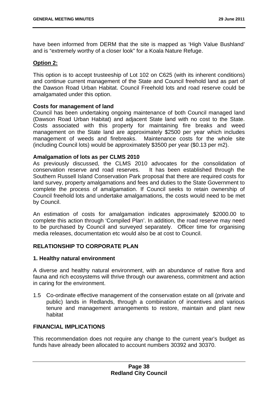have been informed from DERM that the site is mapped as 'High Value Bushland' and is "extremely worthy of a closer look" for a Koala Nature Refuge.

## **Option 2:**

This option is to accept trusteeship of Lot 102 on C625 (with its inherent conditions) and continue current management of the State and Council freehold land as part of the Dawson Road Urban Habitat. Council Freehold lots and road reserve could be amalgamated under this option.

#### **Costs for management of land**

Council has been undertaking ongoing maintenance of both Council managed land (Dawson Road Urban Habitat) and adjacent State land with no cost to the State. Costs associated with this property for maintaining fire breaks and weed management on the State land are approximately \$2500 per year which includes management of weeds and firebreaks. Maintenance costs for the whole site (including Council lots) would be approximately \$3500 per year (\$0.13 per m2).

## **Amalgamation of lots as per CLMS 2010**

As previously discussed, the CLMS 2010 advocates for the consolidation of conservation reserve and road reserves. It has been established through the Southern Russell Island Conservation Park proposal that there are required costs for land survey, property amalgamations and fees and duties to the State Government to complete the process of amalgamation. If Council seeks to retain ownership of Council freehold lots and undertake amalgamations, the costs would need to be met by Council.

An estimation of costs for amalgamation indicates approximately \$2000.00 to complete this action through 'Compiled Plan'. In addition, the road reserve may need to be purchased by Council and surveyed separately. Officer time for organising media releases, documentation etc would also be at cost to Council.

## **RELATIONSHIP TO CORPORATE PLAN**

#### **1. Healthy natural environment**

A diverse and healthy natural environment, with an abundance of native flora and fauna and rich ecosystems will thrive through our awareness, commitment and action in caring for the environment.

1.5 Co-ordinate effective management of the conservation estate on all (private and public) lands in Redlands, through a combination of incentives and various tenure and management arrangements to restore, maintain and plant new habitat

#### **FINANCIAL IMPLICATIONS**

This recommendation does not require any change to the current year's budget as funds have already been allocated to account numbers 30392 and 30370.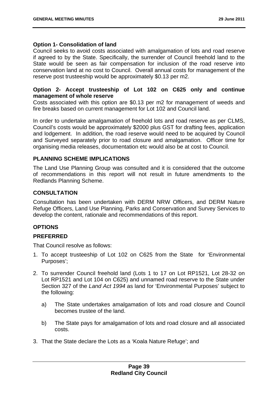### **Option 1- Consolidation of land**

Council seeks to avoid costs associated with amalgamation of lots and road reserve if agreed to by the State. Specifically, the surrender of Council freehold land to the State would be seen as fair compensation for inclusion of the road reserve into conservation land at no cost to Council. Overall annual costs for management of the reserve post trusteeship would be approximately \$0.13 per m2.

## **Option 2- Accept trusteeship of Lot 102 on C625 only and continue management of whole reserve**

Costs associated with this option are \$0.13 per m2 for management of weeds and fire breaks based on current management for Lot 102 and Council land.

In order to undertake amalgamation of freehold lots and road reserve as per CLMS, Council's costs would be approximately \$2000 plus GST for drafting fees, application and lodgement. In addition, the road reserve would need to be acquired by Council and Surveyed separately prior to road closure and amalgamation. Officer time for organising media releases, documentation etc would also be at cost to Council.

## **PLANNING SCHEME IMPLICATIONS**

The Land Use Planning Group was consulted and it is considered that the outcome of recommendations in this report will not result in future amendments to the Redlands Planning Scheme.

## **CONSULTATION**

Consultation has been undertaken with DERM NRW Officers, and DERM Nature Refuge Officers, Land Use Planning, Parks and Conservation and Survey Services to develop the content, rationale and recommendations of this report.

## **OPTIONS**

## **PREFERRED**

That Council resolve as follows:

- 1. To accept trusteeship of Lot 102 on C625 from the State for 'Environmental Purposes';
- 2. To surrender Council freehold land (Lots 1 to 17 on Lot RP1521, Lot 28-32 on Lot RP1521 and Lot 104 on C625) and unnamed road reserve to the State under Section 327 of the *Land Act 1994* as land for 'Environmental Purposes' subject to the following:
	- a) The State undertakes amalgamation of lots and road closure and Council becomes trustee of the land.
	- b) The State pays for amalgamation of lots and road closure and all associated costs.
- 3. That the State declare the Lots as a 'Koala Nature Refuge'; and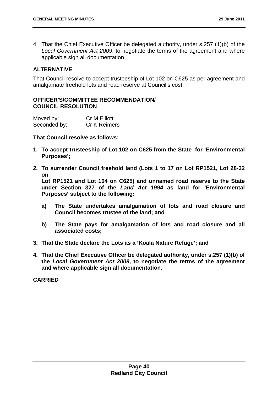4. That the Chief Executive Officer be delegated authority, under s.257 (1)(b) of the *Local Government Act 2009*, to negotiate the terms of the agreement and where applicable sign all documentation.

## **ALTERNATIVE**

That Council resolve to accept trusteeship of Lot 102 on C625 as per agreement and amalgamate freehold lots and road reserve at Council's cost.

## **OFFICER'S/COMMITTEE RECOMMENDATION/ COUNCIL RESOLUTION**

| Moved by:    | <b>Cr M Elliott</b> |
|--------------|---------------------|
| Seconded by: | <b>Cr K Reimers</b> |

**That Council resolve as follows:** 

- **1. To accept trusteeship of Lot 102 on C625 from the State for 'Environmental Purposes';**
- **2. To surrender Council freehold land (Lots 1 to 17 on Lot RP1521, Lot 28-32 on**

**Lot RP1521 and Lot 104 on C625) and unnamed road reserve to the State under Section 327 of the** *Land Act 1994* **as land for 'Environmental Purposes' subject to the following:** 

- **a) The State undertakes amalgamation of lots and road closure and Council becomes trustee of the land; and**
- **b) The State pays for amalgamation of lots and road closure and all associated costs;**
- **3. That the State declare the Lots as a 'Koala Nature Refuge'; and**
- **4. That the Chief Executive Officer be delegated authority, under s.257 (1)(b) of the** *Local Government Act 2009***, to negotiate the terms of the agreement and where applicable sign all documentation.**

**CARRIED**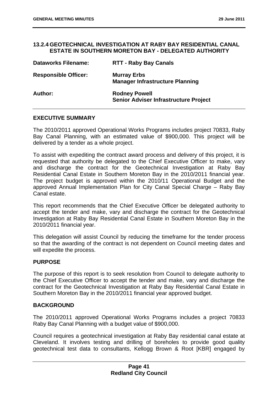#### **13.2.4 GEOTECHNICAL INVESTIGATION AT RABY BAY RESIDENTIAL CANAL ESTATE IN SOUTHERN MORETON BAY - DELEGATED AUTHORITY**

| <b>Dataworks Filename:</b>  | <b>RTT - Raby Bay Canals</b>                                         |
|-----------------------------|----------------------------------------------------------------------|
| <b>Responsible Officer:</b> | <b>Murray Erbs</b><br><b>Manager Infrastructure Planning</b>         |
| <b>Author:</b>              | <b>Rodney Powell</b><br><b>Senior Adviser Infrastructure Project</b> |

## **EXECUTIVE SUMMARY**

The 2010/2011 approved Operational Works Programs includes project 70833, Raby Bay Canal Planning, with an estimated value of \$900,000. This project will be delivered by a tender as a whole project.

To assist with expediting the contract award process and delivery of this project, it is requested that authority be delegated to the Chief Executive Officer to make, vary and discharge the contract for the Geotechnical Investigation at Raby Bay Residential Canal Estate in Southern Moreton Bay in the 2010/2011 financial year. The project budget is approved within the 2010/11 Operational Budget and the approved Annual Implementation Plan for City Canal Special Charge – Raby Bay Canal estate.

This report recommends that the Chief Executive Officer be delegated authority to accept the tender and make, vary and discharge the contract for the Geotechnical Investigation at Raby Bay Residential Canal Estate in Southern Moreton Bay in the 2010/2011 financial year.

This delegation will assist Council by reducing the timeframe for the tender process so that the awarding of the contract is not dependent on Council meeting dates and will expedite the process.

#### **PURPOSE**

The purpose of this report is to seek resolution from Council to delegate authority to the Chief Executive Officer to accept the tender and make, vary and discharge the contract for the Geotechnical Investigation at Raby Bay Residential Canal Estate in Southern Moreton Bay in the 2010/2011 financial year approved budget.

#### **BACKGROUND**

The 2010/2011 approved Operational Works Programs includes a project 70833 Raby Bay Canal Planning with a budget value of \$900,000.

Council requires a geotechnical investigation at Raby Bay residential canal estate at Cleveland. It involves testing and drilling of boreholes to provide good quality geotechnical test data to consultants, Kellogg Brown & Root [KBR] engaged by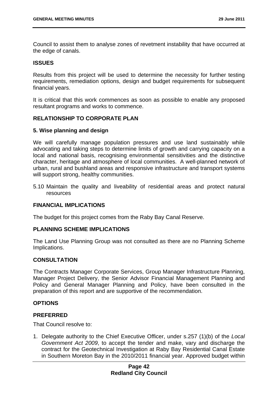Council to assist them to analyse zones of revetment instability that have occurred at the edge of canals.

### **ISSUES**

Results from this project will be used to determine the necessity for further testing requirements, remediation options, design and budget requirements for subsequent financial years.

It is critical that this work commences as soon as possible to enable any proposed resultant programs and works to commence.

## **RELATIONSHIP TO CORPORATE PLAN**

#### **5. Wise planning and design**

We will carefully manage population pressures and use land sustainably while advocating and taking steps to determine limits of growth and carrying capacity on a local and national basis, recognising environmental sensitivities and the distinctive character, heritage and atmosphere of local communities. A well-planned network of urban, rural and bushland areas and responsive infrastructure and transport systems will support strong, healthy communities.

5.10 Maintain the quality and liveability of residential areas and protect natural resources

#### **FINANCIAL IMPLICATIONS**

The budget for this project comes from the Raby Bay Canal Reserve.

#### **PLANNING SCHEME IMPLICATIONS**

The Land Use Planning Group was not consulted as there are no Planning Scheme Implications.

#### **CONSULTATION**

The Contracts Manager Corporate Services, Group Manager Infrastructure Planning, Manager Project Delivery, the Senior Advisor Financial Management Planning and Policy and General Manager Planning and Policy, have been consulted in the preparation of this report and are supportive of the recommendation.

#### **OPTIONS**

#### **PREFERRED**

That Council resolve to:

1. Delegate authority to the Chief Executive Officer, under s.257 (1)(b) of the *Local Government Act 2009*, to accept the tender and make, vary and discharge the contract for the Geotechnical Investigation at Raby Bay Residential Canal Estate in Southern Moreton Bay in the 2010/2011 financial year. Approved budget within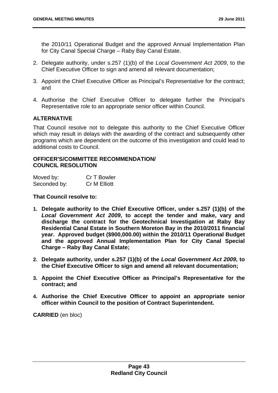the 2010/11 Operational Budget and the approved Annual Implementation Plan for City Canal Special Charge – Raby Bay Canal Estate.

- 2. Delegate authority, under s.257 (1)(b) of the *Local Government Act 2009*, to the Chief Executive Officer to sign and amend all relevant documentation;
- 3. Appoint the Chief Executive Officer as Principal's Representative for the contract; and
- 4. Authorise the Chief Executive Officer to delegate further the Principal's Representative role to an appropriate senior officer within Council.

## **ALTERNATIVE**

That Council resolve not to delegate this authority to the Chief Executive Officer which may result in delays with the awarding of the contract and subsequently other programs which are dependent on the outcome of this investigation and could lead to additional costs to Council.

#### **OFFICER'S/COMMITTEE RECOMMENDATION/ COUNCIL RESOLUTION**

| Moved by:    | Cr T Bowler         |
|--------------|---------------------|
| Seconded by: | <b>Cr M Elliott</b> |

#### **That Council resolve to:**

- **1. Delegate authority to the Chief Executive Officer, under s.257 (1)(b) of the**  *Local Government Act 2009***, to accept the tender and make, vary and discharge the contract for the Geotechnical Investigation at Raby Bay Residential Canal Estate in Southern Moreton Bay in the 2010/2011 financial year. Approved budget (\$900,000.00) within the 2010/11 Operational Budget and the approved Annual Implementation Plan for City Canal Special Charge – Raby Bay Canal Estate;**
- **2. Delegate authority, under s.257 (1)(b) of the** *Local Government Act 2009***, to the Chief Executive Officer to sign and amend all relevant documentation;**
- **3. Appoint the Chief Executive Officer as Principal's Representative for the contract; and**
- **4. Authorise the Chief Executive Officer to appoint an appropriate senior officer within Council to the position of Contract Superintendent.**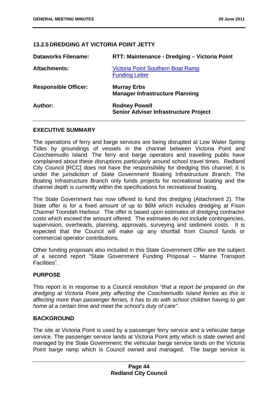# **13.2.5 DREDGING AT VICTORIA POINT JETTY**

| <b>Dataworks Filename:</b>  | RTT: Maintenance - Dredging - Victoria Point                         |
|-----------------------------|----------------------------------------------------------------------|
| <b>Attachments:</b>         | <b>Victoria Point Southern Boat Ramp</b><br><b>Funding Letter</b>    |
| <b>Responsible Officer:</b> | <b>Murray Erbs</b><br><b>Manager Infrastructure Planning</b>         |
| Author:                     | <b>Rodney Powell</b><br><b>Senior Adviser Infrastructure Project</b> |

### **EXECUTIVE SUMMARY**

The operations of ferry and barge services are being disrupted at Low Water Spring Tides by groundings of vessels in the channel between Victoria Point and Coochiemudlo Island. The ferry and barge operators and travelling public have complained about these disruptions particularly around school travel times. Redland City Council [RCC] does not have the responsibility for dredging this channel; it is under the jurisdiction of State Government Boating Infrastructure Branch. The Boating Infrastructure Branch only funds projects for recreational boating and the channel depth is currently within the specifications for recreational boating.

The State Government has now offered to fund this dredging (Attachment 2). The State offer is for a fixed amount of up to \$6M which includes dredging at Fison Channel Toondah Harbour. The offer is based upon estimates of dredging contractor costs which exceed the amount offered. The estimates do not include contingencies, supervision, overheads, planning, approvals, surveying and sediment costs. It is expected that the Council will make up any shortfall from Council funds or commercial operator contributions.

Other funding proposals also included in this State Government Offer are the subject of a second report "State Government Funding Proposal – Marine Transport Facilities".

#### **PURPOSE**

This report is in response to a Council resolution *"that a report be prepared on the dredging at Victoria Point jetty affecting the Coochiemudlo Island ferries as this is affecting more than passenger ferries, it has to do with school children having to get home at a certain time and meet the school's duty of care"*.

#### **BACKGROUND**

The site at Victoria Point is used by a passenger ferry service and a vehicular barge service. The passenger service lands at Victoria Point jetty which is state owned and managed by the State Government; the vehicular barge service lands on the Victoria Point barge ramp which is Council owned and managed. The barge service is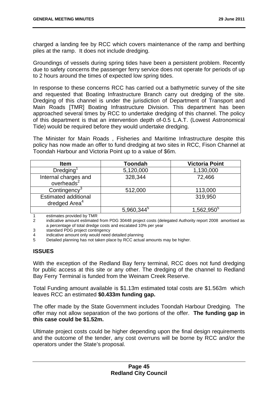charged a landing fee by RCC which covers maintenance of the ramp and berthing piles at the ramp. It does not include dredging.

Groundings of vessels during spring tides have been a persistent problem. Recently due to safety concerns the passenger ferry service does not operate for periods of up to 2 hours around the times of expected low spring tides.

In response to these concerns RCC has carried out a bathymetric survey of the site and requested that Boating Infrastructure Branch carry out dredging of the site. Dredging of this channel is under the jurisdiction of Department of Transport and Main Roads [TMR] Boating Infrastructure Division. This department has been approached several times by RCC to undertake dredging of this channel. The policy of this department is that an intervention depth of-0.5 L.A.T. (Lowest Astronomical Tide) would be required before they would undertake dredging.

The Minister for Main Roads , Fisheries and Maritime Infrastructure despite this policy has now made an offer to fund dredging at two sites in RCC, Fison Channel at Toondah Harbour and Victoria Point up to a value of \$6m.

| <b>Item</b>                                              | <b>Toondah</b> | <b>Victoria Point</b> |
|----------------------------------------------------------|----------------|-----------------------|
| Dredging <sup>1</sup>                                    | 5,120,000      | 1,130,000             |
| Internal charges and<br>overheads <sup>2</sup>           | 328,344        | 72,466                |
| Contingency                                              | 512,000        | 113,000               |
| <b>Estimated additional</b><br>dredged Area <sup>4</sup> |                | 319,950               |
| .                                                        | $5,960,344^5$  | $1,562,950^5$         |

1 estimates provided by TMR

2 indicative amount estimated from PDG 30448 project costs (delegated Authority report 2008 amortised as a percentage of total dredge costs and escalated 10% per year

3 standard PDG project contingency

4 indicative amount only would need detailed planning

5 Detailed planning has not taken place by RCC actual amounts may be higher.

## **ISSUES**

With the exception of the Redland Bay ferry terminal, RCC does not fund dredging for public access at this site or any other. The dredging of the channel to Redland Bay Ferry Terminal is funded from the Weinam Creek Reserve.

Total Funding amount available is \$1.13m estimated total costs are \$1.563m which leaves RCC an estimated **\$0.433m funding gap.** 

The offer made by the State Government includes Toondah Harbour Dredging. The offer may not allow separation of the two portions of the offer. **The funding gap in this case could be \$1.52m.** 

Ultimate project costs could be higher depending upon the final design requirements and the outcome of the tender, any cost overruns will be borne by RCC and/or the operators under the State's proposal.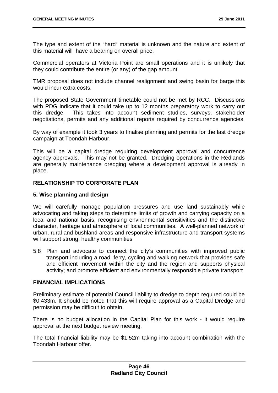The type and extent of the "hard" material is unknown and the nature and extent of this material will have a bearing on overall price.

Commercial operators at Victoria Point are small operations and it is unlikely that they could contribute the entire (or any) of the gap amount

TMR proposal does not include channel realignment and swing basin for barge this would incur extra costs.

The proposed State Government timetable could not be met by RCC. Discussions with PDG indicate that it could take up to 12 months preparatory work to carry out this dredge. This takes into account sediment studies, surveys, stakeholder negotiations, permits and any additional reports required by concurrence agencies.

By way of example it took 3 years to finalise planning and permits for the last dredge campaign at Toondah Harbour.

This will be a capital dredge requiring development approval and concurrence agency approvals. This may not be granted. Dredging operations in the Redlands are generally maintenance dredging where a development approval is already in place.

## **RELATIONSHIP TO CORPORATE PLAN**

### **5. Wise planning and design**

We will carefully manage population pressures and use land sustainably while advocating and taking steps to determine limits of growth and carrying capacity on a local and national basis, recognising environmental sensitivities and the distinctive character, heritage and atmosphere of local communities. A well-planned network of urban, rural and bushland areas and responsive infrastructure and transport systems will support strong, healthy communities.

5.8 Plan and advocate to connect the city's communities with improved public transport including a road, ferry, cycling and walking network that provides safe and efficient movement within the city and the region and supports physical activity; and promote efficient and environmentally responsible private transport

#### **FINANCIAL IMPLICATIONS**

Preliminary estimate of potential Council liability to dredge to depth required could be \$0.433m. It should be noted that this will require approval as a Capital Dredge and permission may be difficult to obtain.

There is no budget allocation in the Capital Plan for this work - it would require approval at the next budget review meeting.

The total financial liability may be \$1.52m taking into account combination with the Toondah Harbour offer.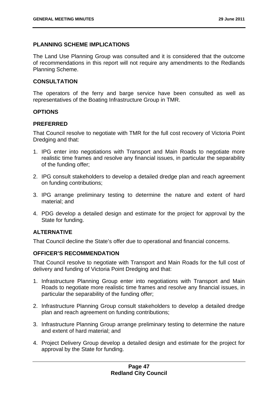## **PLANNING SCHEME IMPLICATIONS**

The Land Use Planning Group was consulted and it is considered that the outcome of recommendations in this report will not require any amendments to the Redlands Planning Scheme.

## **CONSULTATION**

The operators of the ferry and barge service have been consulted as well as representatives of the Boating Infrastructure Group in TMR.

## **OPTIONS**

#### **PREFERRED**

That Council resolve to negotiate with TMR for the full cost recovery of Victoria Point Dredging and that:

- 1. IPG enter into negotiations with Transport and Main Roads to negotiate more realistic time frames and resolve any financial issues, in particular the separability of the funding offer;
- 2. IPG consult stakeholders to develop a detailed dredge plan and reach agreement on funding contributions;
- 3. IPG arrange preliminary testing to determine the nature and extent of hard material; and
- 4. PDG develop a detailed design and estimate for the project for approval by the State for funding.

## **ALTERNATIVE**

That Council decline the State's offer due to operational and financial concerns.

#### **OFFICER'S RECOMMENDATION**

That Council resolve to negotiate with Transport and Main Roads for the full cost of delivery and funding of Victoria Point Dredging and that:

- 1. Infrastructure Planning Group enter into negotiations with Transport and Main Roads to negotiate more realistic time frames and resolve any financial issues, in particular the separability of the funding offer;
- 2. Infrastructure Planning Group consult stakeholders to develop a detailed dredge plan and reach agreement on funding contributions;
- 3. Infrastructure Planning Group arrange preliminary testing to determine the nature and extent of hard material; and
- 4. Project Delivery Group develop a detailed design and estimate for the project for approval by the State for funding.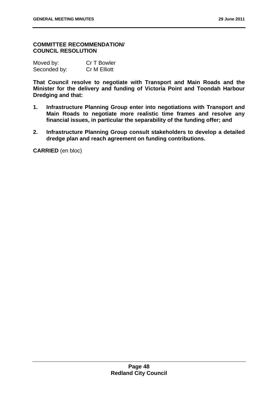#### **COMMITTEE RECOMMENDATION/ COUNCIL RESOLUTION**

| Moved by:    | Cr T Bowler         |
|--------------|---------------------|
| Seconded by: | <b>Cr M Elliott</b> |

**That Council resolve to negotiate with Transport and Main Roads and the Minister for the delivery and funding of Victoria Point and Toondah Harbour Dredging and that:** 

- **1. Infrastructure Planning Group enter into negotiations with Transport and Main Roads to negotiate more realistic time frames and resolve any financial issues, in particular the separability of the funding offer; and**
- **2. Infrastructure Planning Group consult stakeholders to develop a detailed dredge plan and reach agreement on funding contributions.**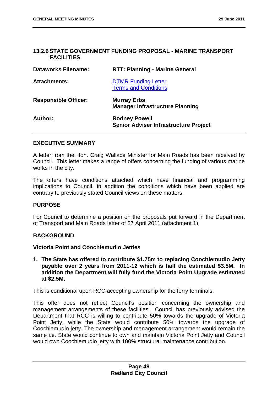## **13.2.6 STATE GOVERNMENT FUNDING PROPOSAL - MARINE TRANSPORT FACILITIES**

| <b>Dataworks Filename:</b>  | <b>RTT: Planning - Marine General</b>                                |
|-----------------------------|----------------------------------------------------------------------|
| <b>Attachments:</b>         | <b>DTMR Funding Letter</b><br><b>Terms and Conditions</b>            |
| <b>Responsible Officer:</b> | <b>Murray Erbs</b><br><b>Manager Infrastructure Planning</b>         |
| Author:                     | <b>Rodney Powell</b><br><b>Senior Adviser Infrastructure Project</b> |

#### **EXECUTIVE SUMMARY**

A letter from the Hon. Craig Wallace Minister for Main Roads has been received by Council. This letter makes a range of offers concerning the funding of various marine works in the city.

The offers have conditions attached which have financial and programming implications to Council, in addition the conditions which have been applied are contrary to previously stated Council views on these matters.

#### **PURPOSE**

For Council to determine a position on the proposals put forward in the Department of Transport and Main Roads letter of 27 April 2011 (attachment 1).

## **BACKGROUND**

#### **Victoria Point and Coochiemudlo Jetties**

**1. The State has offered to contribute \$1.75m to replacing Coochiemudlo Jetty payable over 2 years from 2011-12 which is half the estimated \$3.5M. In addition the Department will fully fund the Victoria Point Upgrade estimated at \$2.5M.** 

This is conditional upon RCC accepting ownership for the ferry terminals.

This offer does not reflect Council's position concerning the ownership and management arrangements of these facilities. Council has previously advised the Department that RCC is willing to contribute 50% towards the upgrade of Victoria Point Jetty, while the State would contribute 50% towards the upgrade of Coochiemudlo jetty. The ownership and management arrangement would remain the same i.e. State would continue to own and maintain Victoria Point Jetty and Council would own Coochiemudlo jetty with 100% structural maintenance contribution.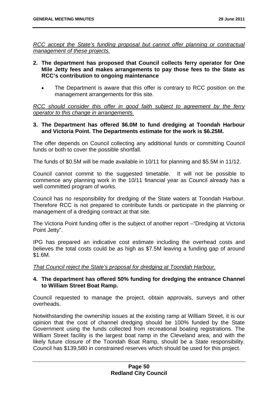*RCC accept the State's funding proposal but cannot offer planning or contractual management of these projects.* 

- **2. The department has proposed that Council collects ferry operator for One Mile Jetty fees and makes arrangements to pay those fees to the State as RCC's contribution to ongoing maintenance** 
	- The Department is aware that this offer is contrary to RCC position on the management arrangements for this site.

*RCC should consider this offer in good faith subject to agreement by the ferry operator to this change in arrangements.* 

## **3. The Department has offered \$6.0M to fund dredging at Toondah Harbour and Victoria Point. The Departments estimate for the work is \$6.25M.**

The offer depends on Council collecting any additional funds or committing Council funds or both to cover the possible shortfall.

The funds of \$0.5M will be made available in 10/11 for planning and \$5.5M in 11/12.

Council cannot commit to the suggested timetable. It will not be possible to commence any planning work in the 10/11 financial year as Council already has a well committed program of works.

Council has no responsibility for dredging of the State waters at Toondah Harbour. Therefore RCC is not prepared to contribute funds or participate in the planning or management of a dredging contract at that site.

The Victoria Point funding offer is the subject of another report –"Dredging at Victoria Point Jetty".

IPG has prepared an indicative cost estimate including the overhead costs and believes the total costs could be as high as \$7.5M leaving a funding gap of around \$1.6M.

*That Council reject the State's proposal for dredging at Toondah Harbour.* 

## **4. The department has offered 50% funding for dredging the entrance Channel to William Street Boat Ramp.**

Council requested to manage the project, obtain approvals, surveys and other overheads.

Notwithstanding the ownership issues at the existing ramp at William Street, it is our opinion that the cost of channel dredging should be 100% funded by the State Government using the funds collected from recreational boating registrations. The William Street facility is the largest boat ramp in the Cleveland area, and with the likely future closure of the Toondah Boat Ramp, should be a State responsibility. Council has \$139,580 in constrained reserves which should be used for this project.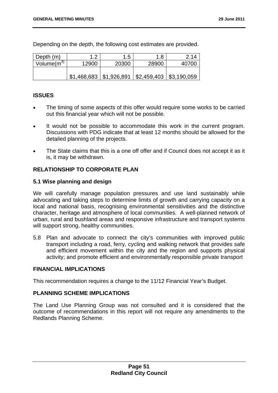Depending on the depth, the following cost estimates are provided.

| Depth (m)        | ィっ          | 1.5         | 1.8                               | 2.14  |
|------------------|-------------|-------------|-----------------------------------|-------|
| Volume $(m^{3})$ | 12900       | 20300       | 28900                             | 40700 |
|                  |             |             |                                   |       |
|                  | \$1,468,683 | \$1,926,891 | $\vert$ \$2,459,403   \$3,190,059 |       |

## **ISSUES**

- The timing of some aspects of this offer would require some works to be carried out this financial year which will not be possible.
- It would not be possible to accommodate this work in the current program. Discussions with PDG indicate that at least 12 months should be allowed for the detailed planning of the projects.
- The State claims that this is a one off offer and if Council does not accept it as it is, it may be withdrawn.

## **RELATIONSHIP TO CORPORATE PLAN**

#### **5.1 Wise planning and design**

We will carefully manage population pressures and use land sustainably while advocating and taking steps to determine limits of growth and carrying capacity on a local and national basis, recognising environmental sensitivities and the distinctive character, heritage and atmosphere of local communities. A well-planned network of urban, rural and bushland areas and responsive infrastructure and transport systems will support strong, healthy communities.

5.8 Plan and advocate to connect the city's communities with improved public transport including a road, ferry, cycling and walking network that provides safe and efficient movement within the city and the region and supports physical activity; and promote efficient and environmentally responsible private transport

#### **FINANCIAL IMPLICATIONS**

This recommendation requires a change to the 11/12 Financial Year's Budget.

#### **PLANNING SCHEME IMPLICATIONS**

The Land Use Planning Group was not consulted and it is considered that the outcome of recommendations in this report will not require any amendments to the Redlands Planning Scheme.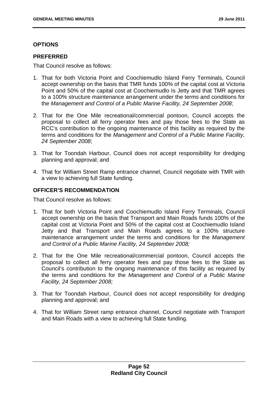## **OPTIONS**

## **PREFERRED**

That Council resolve as follows:

- 1. That for both Victoria Point and Coochiemudlo Island Ferry Terminals, Council accept ownership on the basis that TMR funds 100% of the capital cost at Victoria Point and 50% of the capital cost at Coochiemudlo Is Jetty and that TMR agrees to a 100% structure maintenance arrangement under the terms and conditions for the *Management and Control of a Public Marine Facility, 24 September 2008*;
- 2. That for the One Mile recreational/commercial pontoon, Council accepts the proposal to collect all ferry operator fees and pay those fees to the State as RCC's contribution to the ongoing maintenance of this facility as required by the terms and conditions for the *Management and Control of a Public Marine Facility, 24 September 2008*;
- 3. That for Toondah Harbour, Council does not accept responsibility for dredging planning and approval; and
- 4. That for William Street Ramp entrance channel, Council negotiate with TMR with a view to achieving full State funding.

## **OFFICER'S RECOMMENDATION**

That Council resolve as follows:

- 1. That for both Victoria Point and Coochiemudlo Island Ferry Terminals, Council accept ownership on the basis that Transport and Main Roads funds 100% of the capital cost at Victoria Point and 50% of the capital cost at Coochiemudlo Island Jetty and that Transport and Main Roads agrees to a 100% structure maintenance arrangement under the terms and conditions for the *Management and Control of a Public Marine Facility, 24 September 2008;*
- 2. That for the One Mile recreational/commercial pontoon, Council accepts the proposal to collect all ferry operator fees and pay those fees to the State as Council's contribution to the ongoing maintenance of this facility as required by the terms and conditions for the *Management and Control of a Public Marine Facility, 24 September 2008;*
- 3. That for Toondah Harbour, Council does not accept responsibility for dredging planning and approval; and
- 4. That for William Street ramp entrance channel, Council negotiate with Transport and Main Roads with a view to achieving full State funding.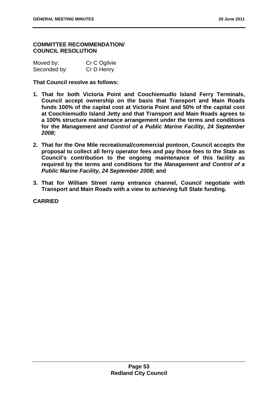#### **COMMITTEE RECOMMENDATION/ COUNCIL RESOLUTION**

| Moved by:    | Cr C Ogilvie |
|--------------|--------------|
| Seconded by: | Cr D Henry   |

**That Council resolve as follows:** 

- **1. That for both Victoria Point and Coochiemudlo Island Ferry Terminals, Council accept ownership on the basis that Transport and Main Roads funds 100% of the capital cost at Victoria Point and 50% of the capital cost at Coochiemudlo Island Jetty and that Transport and Main Roads agrees to a 100% structure maintenance arrangement under the terms and conditions for the** *Management and Control of a Public Marine Facility, 24 September 2008;*
- **2. That for the One Mile recreational/commercial pontoon, Council accepts the proposal to collect all ferry operator fees and pay those fees to the State as Council's contribution to the ongoing maintenance of this facility as required by the terms and conditions for the** *Management and Control of a Public Marine Facility, 24 September 2008;* **and**
- **3. That for William Street ramp entrance channel, Council negotiate with Transport and Main Roads with a view to achieving full State funding.**

**CARRIED**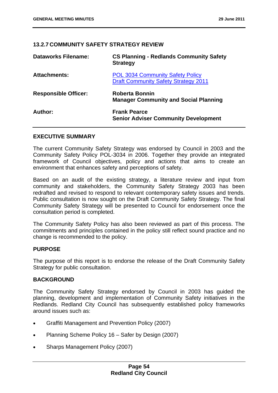## **13.2.7 COMMUNITY SAFETY STRATEGY REVIEW**

| <b>Dataworks Filename:</b>  | <b>CS Planning - Redlands Community Safety</b><br><b>Strategy</b>                      |
|-----------------------------|----------------------------------------------------------------------------------------|
| <b>Attachments:</b>         | <b>POL 3034 Community Safety Policy</b><br><b>Draft Community Safety Strategy 2011</b> |
| <b>Responsible Officer:</b> | Roberta Bonnin<br><b>Manager Community and Social Planning</b>                         |
| Author:                     | <b>Frank Pearce</b><br><b>Senior Adviser Community Development</b>                     |

#### **EXECUTIVE SUMMARY**

The current Community Safety Strategy was endorsed by Council in 2003 and the Community Safety Policy POL-3034 in 2006. Together they provide an integrated framework of Council objectives, policy and actions that aims to create an environment that enhances safety and perceptions of safety.

Based on an audit of the existing strategy, a literature review and input from community and stakeholders, the Community Safety Strategy 2003 has been redrafted and revised to respond to relevant contemporary safety issues and trends. Public consultation is now sought on the Draft Community Safety Strategy. The final Community Safety Strategy will be presented to Council for endorsement once the consultation period is completed.

The Community Safety Policy has also been reviewed as part of this process. The commitments and principles contained in the policy still reflect sound practice and no change is recommended to the policy.

#### **PURPOSE**

The purpose of this report is to endorse the release of the Draft Community Safety Strategy for public consultation.

#### **BACKGROUND**

The Community Safety Strategy endorsed by Council in 2003 has guided the planning, development and implementation of Community Safety initiatives in the Redlands. Redland City Council has subsequently established policy frameworks around issues such as:

- Graffiti Management and Prevention Policy (2007)
- Planning Scheme Policy 16 Safer by Design (2007)
- Sharps Management Policy (2007)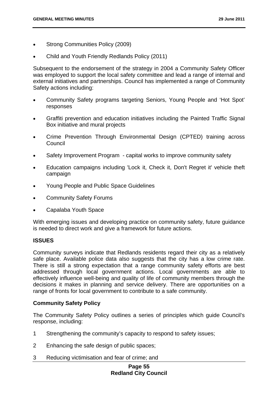- Strong Communities Policy (2009)
- Child and Youth Friendly Redlands Policy (2011)

Subsequent to the endorsement of the strategy in 2004 a Community Safety Officer was employed to support the local safety committee and lead a range of internal and external initiatives and partnerships. Council has implemented a range of Community Safety actions including:

- Community Safety programs targeting Seniors, Young People and 'Hot Spot' responses
- Graffiti prevention and education initiatives including the Painted Traffic Signal Box initiative and mural projects
- Crime Prevention Through Environmental Design (CPTED) training across **Council**
- Safety Improvement Program capital works to improve community safety
- Education campaigns including 'Lock it, Check it, Don't Regret it' vehicle theft campaign
- Young People and Public Space Guidelines
- Community Safety Forums
- Capalaba Youth Space

With emerging issues and developing practice on community safety, future guidance is needed to direct work and give a framework for future actions.

#### **ISSUES**

Community surveys indicate that Redlands residents regard their city as a relatively safe place. Available police data also suggests that the city has a low crime rate. There is still a strong expectation that a range community safety efforts are best addressed through local government actions. Local governments are able to effectively influence well-being and quality of life of community members through the decisions it makes in planning and service delivery. There are opportunities on a range of fronts for local government to contribute to a safe community.

#### **Community Safety Policy**

The Community Safety Policy outlines a series of principles which guide Council's response, including:

- 1 Strengthening the community's capacity to respond to safety issues;
- 2 Enhancing the safe design of public spaces;
- 3 Reducing victimisation and fear of crime; and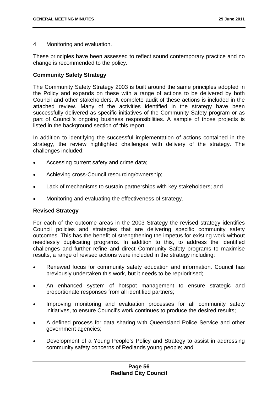4 Monitoring and evaluation.

These principles have been assessed to reflect sound contemporary practice and no change is recommended to the policy.

## **Community Safety Strategy**

The Community Safety Strategy 2003 is built around the same principles adopted in the Policy and expands on these with a range of actions to be delivered by both Council and other stakeholders. A complete audit of these actions is included in the attached review. Many of the activities identified in the strategy have been successfully delivered as specific initiatives of the Community Safety program or as part of Council's ongoing business responsibilities. A sample of those projects is listed in the background section of this report.

In addition to identifying the successful implementation of actions contained in the strategy, the review highlighted challenges with delivery of the strategy. The challenges included:

- Accessing current safety and crime data;
- Achieving cross-Council resourcing/ownership;
- Lack of mechanisms to sustain partnerships with key stakeholders; and
- Monitoring and evaluating the effectiveness of strategy.

#### **Revised Strategy**

For each of the outcome areas in the 2003 Strategy the revised strategy identifies Council policies and strategies that are delivering specific community safety outcomes. This has the benefit of strengthening the impetus for existing work without needlessly duplicating programs. In addition to this, to address the identified challenges and further refine and direct Community Safety programs to maximise results, a range of revised actions were included in the strategy including:

- Renewed focus for community safety education and information. Council has previously undertaken this work, but it needs to be reprioritised;
- An enhanced system of hotspot management to ensure strategic and proportionate responses from all identified partners;
- Improving monitoring and evaluation processes for all community safety initiatives, to ensure Council's work continues to produce the desired results;
- A defined process for data sharing with Queensland Police Service and other government agencies;
- Development of a Young People's Policy and Strategy to assist in addressing community safety concerns of Redlands young people; and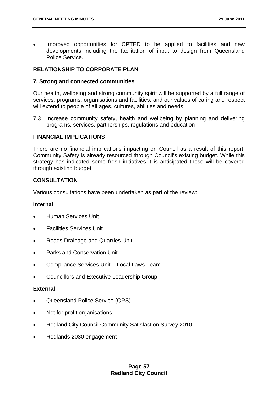Improved opportunities for CPTED to be applied to facilities and new developments including the facilitation of input to design from Queensland Police Service.

# **RELATIONSHIP TO CORPORATE PLAN**

## **7. Strong and connected communities**

Our health, wellbeing and strong community spirit will be supported by a full range of services, programs, organisations and facilities, and our values of caring and respect will extend to people of all ages, cultures, abilities and needs

7.3 Increase community safety, health and wellbeing by planning and delivering programs, services, partnerships, regulations and education

## **FINANCIAL IMPLICATIONS**

There are no financial implications impacting on Council as a result of this report. Community Safety is already resourced through Council's existing budget. While this strategy has indicated some fresh initiatives it is anticipated these will be covered through existing budget

## **CONSULTATION**

Various consultations have been undertaken as part of the review:

#### **Internal**

- Human Services Unit
- Facilities Services Unit
- Roads Drainage and Quarries Unit
- Parks and Conservation Unit
- Compliance Services Unit Local Laws Team
- Councillors and Executive Leadership Group

#### **External**

- Queensland Police Service (QPS)
- Not for profit organisations
- Redland City Council Community Satisfaction Survey 2010
- Redlands 2030 engagement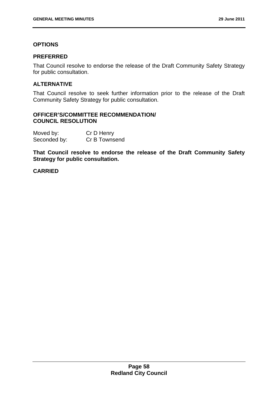# **OPTIONS**

### **PREFERRED**

That Council resolve to endorse the release of the Draft Community Safety Strategy for public consultation.

## **ALTERNATIVE**

That Council resolve to seek further information prior to the release of the Draft Community Safety Strategy for public consultation.

## **OFFICER'S/COMMITTEE RECOMMENDATION/ COUNCIL RESOLUTION**

| Moved by:    | Cr D Henry    |
|--------------|---------------|
| Seconded by: | Cr B Townsend |

**That Council resolve to endorse the release of the Draft Community Safety Strategy for public consultation.** 

## **CARRIED**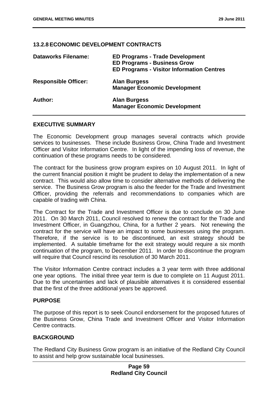#### **13.2.8 ECONOMIC DEVELOPMENT CONTRACTS**

| <b>Dataworks Filename:</b>  | <b>ED Programs - Trade Development</b><br><b>ED Programs - Business Grow</b><br><b>ED Programs - Visitor Information Centres</b> |
|-----------------------------|----------------------------------------------------------------------------------------------------------------------------------|
| <b>Responsible Officer:</b> | <b>Alan Burgess</b><br><b>Manager Economic Development</b>                                                                       |
| Author:                     | <b>Alan Burgess</b><br><b>Manager Economic Development</b>                                                                       |

#### **EXECUTIVE SUMMARY**

The Economic Development group manages several contracts which provide services to businesses. These include Business Grow, China Trade and Investment Officer and Visitor Information Centre. In light of the impending loss of revenue, the continuation of these programs needs to be considered.

The contract for the business grow program expires on 10 August 2011. In light of the current financial position it might be prudent to delay the implementation of a new contract. This would also allow time to consider alternative methods of delivering the service. The Business Grow program is also the feeder for the Trade and Investment Officer, providing the referrals and recommendations to companies which are capable of trading with China.

The Contract for the Trade and Investment Officer is due to conclude on 30 June 2011. On 30 March 2011, Council resolved to renew the contract for the Trade and Investment Officer, in Guangzhou, China, for a further 2 years. Not renewing the contract for the service will have an impact to some businesses using the program. Therefore, if the service is to be discontinued, an exit strategy should be implemented. A suitable timeframe for the exit strategy would require a six month continuation of the program, to December 2011. In order to discontinue the program will require that Council rescind its resolution of 30 March 2011.

The Visitor Information Centre contract includes a 3 year term with three additional one year options. The initial three year term is due to complete on 11 August 2011. Due to the uncertainties and lack of plausible alternatives it is considered essential that the first of the three additional years be approved.

## **PURPOSE**

The purpose of this report is to seek Council endorsement for the proposed futures of the Business Grow, China Trade and Investment Officer and Visitor Information Centre contracts.

## **BACKGROUND**

The Redland City Business Grow program is an initiative of the Redland City Council to assist and help grow sustainable local businesses.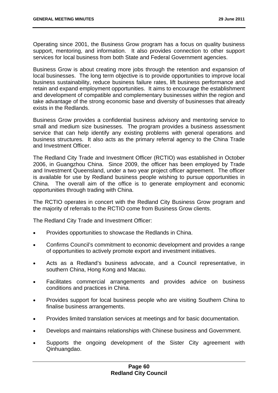Operating since 2001, the Business Grow program has a focus on quality business support, mentoring, and information. It also provides connection to other support services for local business from both State and Federal Government agencies.

Business Grow is about creating more jobs through the retention and expansion of local businesses. The long term objective is to provide opportunities to improve local business sustainability, reduce business failure rates, lift business performance and retain and expand employment opportunities. It aims to encourage the establishment and development of compatible and complementary businesses within the region and take advantage of the strong economic base and diversity of businesses that already exists in the Redlands.

Business Grow provides a confidential business advisory and mentoring service to small and medium size businesses. The program provides a business assessment service that can help identify any existing problems with general operations and business structures. It also acts as the primary referral agency to the China Trade and Investment Officer.

The Redland City Trade and Investment Officer (RCTIO) was established in October 2006, in Guangzhou China. Since 2009, the officer has been employed by Trade and Investment Queensland, under a two year project officer agreement. The officer is available for use by Redland business people wishing to pursue opportunities in China. The overall aim of the office is to generate employment and economic opportunities through trading with China.

The RCTIO operates in concert with the Redland City Business Grow program and the majority of referrals to the RCTIO come from Business Grow clients.

The Redland City Trade and Investment Officer:

- Provides opportunities to showcase the Redlands in China.
- Confirms Council's commitment to economic development and provides a range of opportunities to actively promote export and investment initiatives.
- Acts as a Redland's business advocate, and a Council representative, in southern China, Hong Kong and Macau.
- Facilitates commercial arrangements and provides advice on business conditions and practices in China.
- Provides support for local business people who are visiting Southern China to finalise business arrangements.
- Provides limited translation services at meetings and for basic documentation.
- Develops and maintains relationships with Chinese business and Government.
- Supports the ongoing development of the Sister City agreement with Qinhuangdao.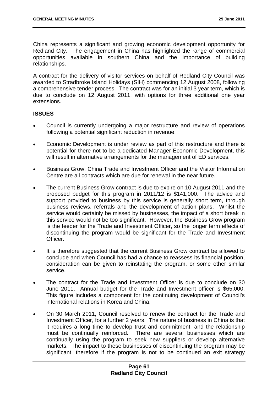China represents a significant and growing economic development opportunity for Redland City. The engagement in China has highlighted the range of commercial opportunities available in southern China and the importance of building relationships.

A contract for the delivery of visitor services on behalf of Redland City Council was awarded to Stradbroke Island Holidays (SIH) commencing 12 August 2008, following a comprehensive tender process. The contract was for an initial 3 year term, which is due to conclude on 12 August 2011, with options for three additional one year extensions.

# **ISSUES**

- Council is currently undergoing a major restructure and review of operations following a potential significant reduction in revenue.
- Economic Development is under review as part of this restructure and there is potential for there not to be a dedicated Manager Economic Development, this will result in alternative arrangements for the management of ED services.
- Business Grow, China Trade and Investment Officer and the Visitor Information Centre are all contracts which are due for renewal in the near future.
- The current Business Grow contract is due to expire on 10 August 2011 and the proposed budget for this program in 2011/12 is \$141,000. The advice and support provided to business by this service is generally short term, through business reviews, referrals and the development of action plans. Whilst the service would certainly be missed by businesses, the impact of a short break in this service would not be too significant. However, the Business Grow program is the feeder for the Trade and Investment Officer, so the longer term effects of discontinuing the program would be significant for the Trade and Investment Officer.
- It is therefore suggested that the current Business Grow contract be allowed to conclude and when Council has had a chance to reassess its financial position, consideration can be given to reinstating the program, or some other similar service.
- The contract for the Trade and Investment Officer is due to conclude on 30 June 2011. Annual budget for the Trade and Investment officer is \$65,000. This figure includes a component for the continuing development of Council's international relations in Korea and China.
- On 30 March 2011, Council resolved to renew the contract for the Trade and Investment Officer, for a further 2 years. The nature of business in China is that it requires a long time to develop trust and commitment, and the relationship must be continually reinforced. There are several businesses which are continually using the program to seek new suppliers or develop alternative markets. The impact to these businesses of discontinuing the program may be significant, therefore if the program is not to be continued an exit strategy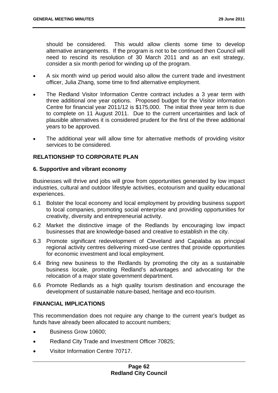should be considered. This would allow clients some time to develop alternative arrangements. If the program is not to be continued then Council will need to rescind its resolution of 30 March 2011 and as an exit strategy, consider a six month period for winding up of the program.

- A six month wind up period would also allow the current trade and investment officer, Julia Zhang, some time to find alternative employment.
- The Redland Visitor Information Centre contract includes a 3 year term with three additional one year options. Proposed budget for the Visitor information Centre for financial year 2011/12 is \$175,000. The initial three year term is due to complete on 11 August 2011. Due to the current uncertainties and lack of plausible alternatives it is considered prudent for the first of the three additional years to be approved.
- The additional year will allow time for alternative methods of providing visitor services to be considered.

# **RELATIONSHIP TO CORPORATE PLAN**

## **6. Supportive and vibrant economy**

Businesses will thrive and jobs will grow from opportunities generated by low impact industries, cultural and outdoor lifestyle activities, ecotourism and quality educational experiences.

- 6.1 Bolster the local economy and local employment by providing business support to local companies, promoting social enterprise and providing opportunities for creativity, diversity and entrepreneurial activity.
- 6.2 Market the distinctive image of the Redlands by encouraging low impact businesses that are knowledge-based and creative to establish in the city.
- 6.3 Promote significant redevelopment of Cleveland and Capalaba as principal regional activity centres delivering mixed-use centres that provide opportunities for economic investment and local employment.
- 6.4 Bring new business to the Redlands by promoting the city as a sustainable business locale, promoting Redland's advantages and advocating for the relocation of a major state government department.
- 6.6 Promote Redlands as a high quality tourism destination and encourage the development of sustainable nature-based, heritage and eco-tourism.

# **FINANCIAL IMPLICATIONS**

This recommendation does not require any change to the current year's budget as funds have already been allocated to account numbers;

- Business Grow 10600;
- Redland City Trade and Investment Officer 70825;
- Visitor Information Centre 70717.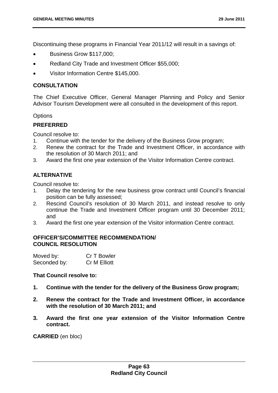Discontinuing these programs in Financial Year 2011/12 will result in a savings of:

- Business Grow \$117,000;
- Redland City Trade and Investment Officer \$55,000;
- Visitor Information Centre \$145,000.

## **CONSULTATION**

The Chief Executive Officer, General Manager Planning and Policy and Senior Advisor Tourism Development were all consulted in the development of this report.

#### **Options**

#### **PREFERRED**

Council resolve to:

- 1. Continue with the tender for the delivery of the Business Grow program;
- 2. Renew the contract for the Trade and Investment Officer, in accordance with the resolution of 30 March 2011; and
- 3. Award the first one year extension of the Visitor Information Centre contract.

## **ALTERNATIVE**

Council resolve to:

- 1. Delay the tendering for the new business grow contract until Council's financial position can be fully assessed;
- 2. Rescind Council's resolution of 30 March 2011, and instead resolve to only continue the Trade and Investment Officer program until 30 December 2011; and
- 3. Award the first one year extension of the Visitor information Centre contract.

## **OFFICER'S/COMMITTEE RECOMMENDATION/ COUNCIL RESOLUTION**

| Moved by:    | Cr T Bowler         |
|--------------|---------------------|
| Seconded by: | <b>Cr M Elliott</b> |

## **That Council resolve to:**

- **1. Continue with the tender for the delivery of the Business Grow program;**
- **2. Renew the contract for the Trade and Investment Officer, in accordance with the resolution of 30 March 2011; and**
- **3. Award the first one year extension of the Visitor Information Centre contract.**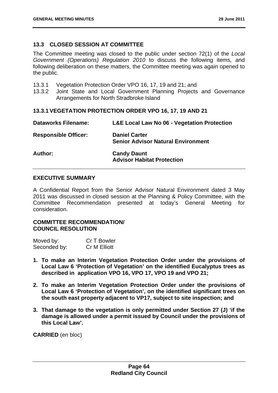## **13.3 CLOSED SESSION AT COMMITTEE**

The Committee meeting was closed to the public under section 72(1) of the *Local Government (Operations) Regulation 2010* to discuss the following items, and following deliberation on these matters, the Committee meeting was again opened to the public.

- 13.3.1 Vegetation Protection Order VPO 16, 17, 19 and 21; and
- 13.3.2 Joint State and Local Government Planning Projects and Governance Arrangements for North Stradbroke Island

## **13.3.1 VEGETATION PROTECTION ORDER VPO 16, 17, 19 AND 21**

| <b>Dataworks Filename:</b>  | <b>L&amp;E Local Law No 06 - Vegetation Protection</b>            |
|-----------------------------|-------------------------------------------------------------------|
| <b>Responsible Officer:</b> | <b>Daniel Carter</b><br><b>Senior Advisor Natural Environment</b> |
| Author:                     | <b>Candy Daunt</b><br><b>Advisor Habitat Protection</b>           |

# **EXECUTIVE SUMMARY**

A Confidential Report from the Senior Advisor Natural Environment dated 3 May 2011 was discussed in closed session at the Planning & Policy Committee, with the Committee Recommendation presented at today's General Meeting for consideration.

### **COMMITTEE RECOMMENDATION/ COUNCIL RESOLUTION**

| Moved by:    | Cr T Bowler         |
|--------------|---------------------|
| Seconded by: | <b>Cr M Elliott</b> |

- **1. To make an Interim Vegetation Protection Order under the provisions of Local Law 6 'Protection of Vegetation' on the identified Eucalyptus trees as described in application VPO 16, VPO 17, VPO 19 and VPO 21;**
- **2. To make an Interim Vegetation Protection Order under the provisions of Local Law 6 'Protection of Vegetation', on the identified significant trees on the south east property adjacent to VP17, subject to site inspection; and**
- **3. That damage to the vegetation is only permitted under Section 27 (J) 'if the damage is allowed under a permit issued by Council under the provisions of this Local Law'.**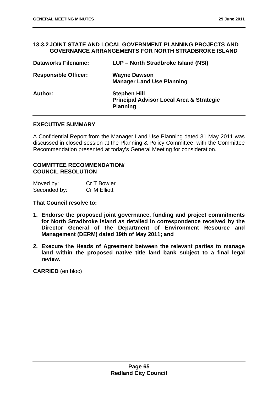#### **13.3.2 JOINT STATE AND LOCAL GOVERNMENT PLANNING PROJECTS AND GOVERNANCE ARRANGEMENTS FOR NORTH STRADBROKE ISLAND**

| <b>Dataworks Filename:</b>  | LUP - North Stradbroke Island (NSI)                                                           |
|-----------------------------|-----------------------------------------------------------------------------------------------|
| <b>Responsible Officer:</b> | <b>Wayne Dawson</b><br><b>Manager Land Use Planning</b>                                       |
| <b>Author:</b>              | <b>Stephen Hill</b><br><b>Principal Advisor Local Area &amp; Strategic</b><br><b>Planning</b> |

## **EXECUTIVE SUMMARY**

A Confidential Report from the Manager Land Use Planning dated 31 May 2011 was discussed in closed session at the Planning & Policy Committee, with the Committee Recommendation presented at today's General Meeting for consideration.

## **COMMITTEE RECOMMENDATION/ COUNCIL RESOLUTION**

| Moved by:    | Cr T Bowler         |
|--------------|---------------------|
| Seconded by: | <b>Cr M Elliott</b> |

**That Council resolve to:** 

- **1. Endorse the proposed joint governance, funding and project commitments for North Stradbroke Island as detailed in correspondence received by the Director General of the Department of Environment Resource and Management (DERM) dated 19th of May 2011; and**
- **2. Execute the Heads of Agreement between the relevant parties to manage land within the proposed native title land bank subject to a final legal review.**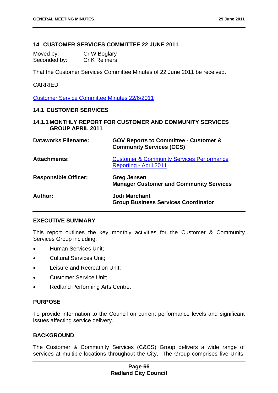### **14 CUSTOMER SERVICES COMMITTEE 22 JUNE 2011**

| Moved by:    | Cr W Boglary        |
|--------------|---------------------|
| Seconded by: | <b>Cr K Reimers</b> |

That the Customer Services Committee Minutes of 22 June 2011 be received.

## CARRIED

Customer Service Committee Minutes 22/6/2011

#### **14.1 CUSTOMER SERVICES**

**14.1.1 MONTHLY REPORT FOR CUSTOMER AND COMMUNITY SERVICES GROUP APRIL 2011** 

| <b>Dataworks Filename:</b>  | <b>GOV Reports to Committee - Customer &amp;</b><br><b>Community Services (CCS)</b> |
|-----------------------------|-------------------------------------------------------------------------------------|
| <b>Attachments:</b>         | <b>Customer &amp; Community Services Performance</b><br>Reporting - April 2011      |
| <b>Responsible Officer:</b> | <b>Greg Jensen</b><br><b>Manager Customer and Community Services</b>                |
| Author:                     | Jodi Marchant<br><b>Group Business Services Coordinator</b>                         |

#### **EXECUTIVE SUMMARY**

This report outlines the key monthly activities for the Customer & Community Services Group including:

- Human Services Unit:
- Cultural Services Unit;
- **•** Leisure and Recreation Unit;
- Customer Service Unit;
- Redland Performing Arts Centre.

#### **PURPOSE**

To provide information to the Council on current performance levels and significant issues affecting service delivery.

### **BACKGROUND**

The Customer & Community Services (C&CS) Group delivers a wide range of services at multiple locations throughout the City. The Group comprises five Units;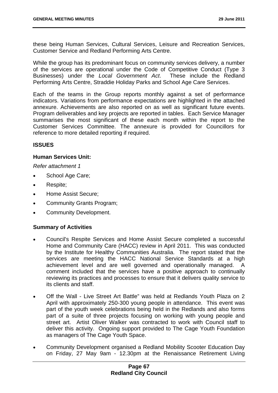these being Human Services, Cultural Services, Leisure and Recreation Services, Customer Service and Redland Performing Arts Centre.

While the group has its predominant focus on community services delivery, a number of the services are operational under the Code of Competitive Conduct (Type 3 Businesses) under the *Local Government Act*. These include the Redland Performing Arts Centre, Straddie Holiday Parks and School Age Care Services.

Each of the teams in the Group reports monthly against a set of performance indicators. Variations from performance expectations are highlighted in the attached annexure. Achievements are also reported on as well as significant future events. Program deliverables and key projects are reported in tables. Each Service Manager summarises the most significant of these each month within the report to the Customer Services Committee. The annexure is provided for Councillors for reference to more detailed reporting if required.

# **ISSUES**

# **Human Services Unit:**

*Refer attachment 1* 

- School Age Care;
- Respite;
- Home Assist Secure;
- Community Grants Program;
- Community Development.

# **Summary of Activities**

- Council's Respite Services and Home Assist Secure completed a successful Home and Community Care (HACC) review in April 2011. This was conducted by the Institute for Healthy Communities Australia. The report stated that the services are meeting the HACC National Service Standards at a high achievement level and are well governed and operationally managed. A comment included that the services have a positive approach to continually reviewing its practices and processes to ensure that it delivers quality service to its clients and staff.
- Off the Wall Live Street Art Battle" was held at Redlands Youth Plaza on 2 April with approximately 250-300 young people in attendance. This event was part of the youth week celebrations being held in the Redlands and also forms part of a suite of three projects focusing on working with young people and street art. Artist Oliver Walker was contracted to work with Council staff to deliver this activity. Ongoing support provided to The Cage Youth Foundation as managers of The Cage Youth Space.
- Community Development organised a Redland Mobility Scooter Education Day on Friday, 27 May 9am - 12.30pm at the Renaissance Retirement Living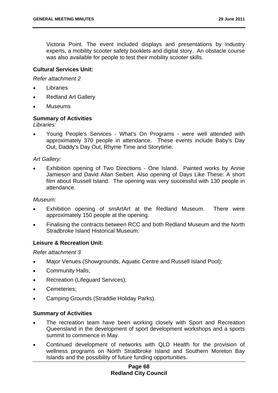Victoria Point. The event included displays and presentations by industry experts, a mobility scooter safety booklets and digital story. An obstacle course was also available for people to test their mobility scooter skills.

## **Cultural Services Unit:**

### *Refer attachment 2*

- Libraries
- Redland Art Gallery
- Museums

### **Summary of Activities**

*Libraries:* 

 Young People's Services - What's On Programs - were well attended with approximately 370 people in attendance. These events include Baby's Day Out, Daddy's Day Out, Rhyme Time and Storytime.

### *Art Gallery:*

 Exhibition opening of Two Directions - One Island. Painted works by Annie Jamieson and David Allan Seibert. Also opening of Days Like These: A short film about Russell Island. The opening was very successful with 130 people in attendance.

### *Museum:*

- Exhibition opening of smArtArt at the Redland Museum. There were approximately 150 people at the opening.
- Finalising the contracts between RCC and both Redland Museum and the North Stradbroke Island Historical Museum.

### **Leisure & Recreation Unit:**

*Refer attachment 3* 

- Major Venues (Showgrounds, Aquatic Centre and Russell Island Pool);
- Community Halls;
- Recreation (Lifeguard Services):
- Cemeteries;
- Camping Grounds (Straddie Holiday Parks).

### **Summary of Activities**

- The recreation team have been working closely with Sport and Recreation Queensland in the development of sport development workshops and a sports summit to commence in May.
- Continued development of networks with QLD Health for the provision of wellness programs on North Stradbroke Island and Southern Moreton Bay Islands and the possibility of future funding opportunities.

### **Page 68 Redland City Council**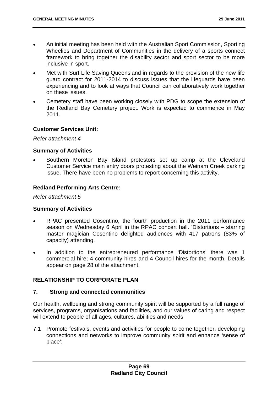- An initial meeting has been held with the Australian Sport Commission, Sporting Wheelies and Department of Communities in the delivery of a sports connect framework to bring together the disability sector and sport sector to be more inclusive in sport.
- Met with Surf Life Saving Queensland in regards to the provision of the new life guard contract for 2011-2014 to discuss issues that the lifeguards have been experiencing and to look at ways that Council can collaboratively work together on these issues.
- Cemetery staff have been working closely with PDG to scope the extension of the Redland Bay Cemetery project. Work is expected to commence in May 2011.

### **Customer Services Unit:**

*Refer attachment 4* 

### **Summary of Activities**

 Southern Moreton Bay Island protestors set up camp at the Cleveland Customer Service main entry doors protesting about the Weinam Creek parking issue. There have been no problems to report concerning this activity.

### **Redland Performing Arts Centre:**

*Refer attachment 5* 

### **Summary of Activities**

- RPAC presented Cosentino, the fourth production in the 2011 performance season on Wednesday 6 April in the RPAC concert hall. 'Distortions – starring master magician Cosentino delighted audiences with 417 patrons (83% of capacity) attending.
- In addition to the entrepreneured performance 'Distortions' there was 1 commercial hire; 4 community hires and 4 Council hires for the month. Details appear on page 28 of the attachment.

# **RELATIONSHIP TO CORPORATE PLAN**

### **7. Strong and connected communities**

Our health, wellbeing and strong community spirit will be supported by a full range of services, programs, organisations and facilities, and our values of caring and respect will extend to people of all ages, cultures, abilities and needs

7.1 Promote festivals, events and activities for people to come together, developing connections and networks to improve community spirit and enhance 'sense of place';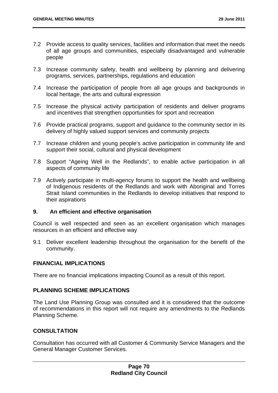- 7.2 Provide access to quality services, facilities and information that meet the needs of all age groups and communities, especially disadvantaged and vulnerable people
- 7.3 Increase community safety, health and wellbeing by planning and delivering programs, services, partnerships, regulations and education
- 7.4 Increase the participation of people from all age groups and backgrounds in local heritage, the arts and cultural expression
- 7.5 Increase the physical activity participation of residents and deliver programs and incentives that strengthen opportunities for sport and recreation
- 7.6 Provide practical programs, support and guidance to the community sector in its delivery of highly valued support services and community projects
- 7.7 Increase children and young people's active participation in community life and support their social, cultural and physical development
- 7.8 Support "Ageing Well in the Redlands", to enable active participation in all aspects of community life
- 7.9 Actively participate in multi-agency forums to support the health and wellbeing of Indigenous residents of the Redlands and work with Aboriginal and Torres Strait Island communities in the Redlands to develop initiatives that respond to their aspirations

### **9. An efficient and effective organisation**

Council is well respected and seen as an excellent organisation which manages resources in an efficient and effective way

9.1 Deliver excellent leadership throughout the organisation for the benefit of the community.

# **FINANCIAL IMPLICATIONS**

There are no financial implications impacting Council as a result of this report.

# **PLANNING SCHEME IMPLICATIONS**

The Land Use Planning Group was consulted and it is considered that the outcome of recommendations in this report will not require any amendments to the Redlands Planning Scheme.

# **CONSULTATION**

Consultation has occurred with all Customer & Community Service Managers and the General Manager Customer Services.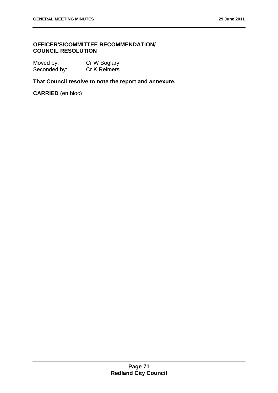# **OFFICER'S/COMMITTEE RECOMMENDATION/ COUNCIL RESOLUTION**

| Moved by:    | Cr W Boglary |
|--------------|--------------|
| Seconded by: | Cr K Reimers |

**That Council resolve to note the report and annexure.** 

**CARRIED** (en bloc)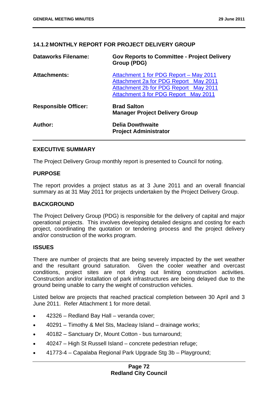# **14.1.2 MONTHLY REPORT FOR PROJECT DELIVERY GROUP**

| <b>Dataworks Filename:</b>  | <b>Gov Reports to Committee - Project Delivery</b><br>Group (PDG)                                                                                                |
|-----------------------------|------------------------------------------------------------------------------------------------------------------------------------------------------------------|
| <b>Attachments:</b>         | Attachment 1 for PDG Report - May 2011<br>Attachment 2a for PDG Report May 2011<br>Attachment 2b for PDG Report May 2011<br>Attachment 3 for PDG Report May 2011 |
| <b>Responsible Officer:</b> | <b>Brad Salton</b><br><b>Manager Project Delivery Group</b>                                                                                                      |
| Author:                     | <b>Delia Dowthwaite</b><br><b>Project Administrator</b>                                                                                                          |

### **EXECUTIVE SUMMARY**

The Project Delivery Group monthly report is presented to Council for noting.

### **PURPOSE**

The report provides a project status as at 3 June 2011 and an overall financial summary as at 31 May 2011 for projects undertaken by the Project Delivery Group.

### **BACKGROUND**

The Project Delivery Group (PDG) is responsible for the delivery of capital and major operational projects. This involves developing detailed designs and costing for each project, coordinating the quotation or tendering process and the project delivery and/or construction of the works program.

### **ISSUES**

There are number of projects that are being severely impacted by the wet weather and the resultant ground saturation. Given the cooler weather and overcast conditions, project sites are not drying out limiting construction activities. Construction and/or installation of park infrastructures are being delayed due to the ground being unable to carry the weight of construction vehicles.

Listed below are projects that reached practical completion between 30 April and 3 June 2011. Refer Attachment 1 for more detail.

- 42326 Redland Bay Hall veranda cover;
- 40291 Timothy & Mel Sts, Macleay Island drainage works;
- 40182 Sanctuary Dr, Mount Cotton bus turnaround;
- 40247 High St Russell Island concrete pedestrian refuge;
- 41773-4 Capalaba Regional Park Upgrade Stg 3b Playground;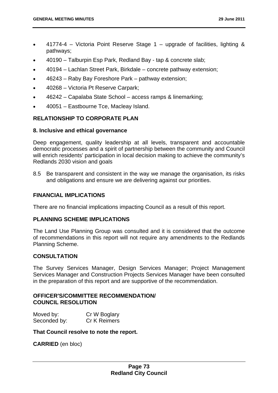- 41774-4 Victoria Point Reserve Stage 1 upgrade of facilities, lighting & pathways;
- 40190 Talburpin Esp Park, Redland Bay tap & concrete slab;
- 40194 Lachlan Street Park, Birkdale concrete pathway extension;
- 46243 Raby Bay Foreshore Park pathway extension;
- 40268 Victoria Pt Reserve Carpark;
- 46242 Capalaba State School access ramps & linemarking;
- 40051 Eastbourne Tce, Macleay Island.

# **RELATIONSHIP TO CORPORATE PLAN**

### **8. Inclusive and ethical governance**

Deep engagement, quality leadership at all levels, transparent and accountable democratic processes and a spirit of partnership between the community and Council will enrich residents' participation in local decision making to achieve the community's Redlands 2030 vision and goals

8.5 Be transparent and consistent in the way we manage the organisation, its risks and obligations and ensure we are delivering against our priorities.

#### **FINANCIAL IMPLICATIONS**

There are no financial implications impacting Council as a result of this report.

### **PLANNING SCHEME IMPLICATIONS**

The Land Use Planning Group was consulted and it is considered that the outcome of recommendations in this report will not require any amendments to the Redlands Planning Scheme.

### **CONSULTATION**

The Survey Services Manager, Design Services Manager; Project Management Services Manager and Construction Projects Services Manager have been consulted in the preparation of this report and are supportive of the recommendation.

# **OFFICER'S/COMMITTEE RECOMMENDATION/ COUNCIL RESOLUTION**

| Moved by:    | Cr W Boglary        |
|--------------|---------------------|
| Seconded by: | <b>Cr K Reimers</b> |

#### **That Council resolve to note the report.**

**CARRIED** (en bloc)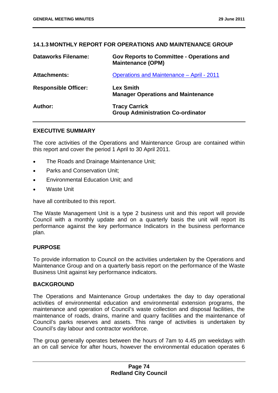# **14.1.3 MONTHLY REPORT FOR OPERATIONS AND MAINTENANCE GROUP**

| <b>Dataworks Filename:</b>  | <b>Gov Reports to Committee - Operations and</b><br><b>Maintenance (OPM)</b> |
|-----------------------------|------------------------------------------------------------------------------|
| <b>Attachments:</b>         | <b>Operations and Maintenance - April - 2011</b>                             |
| <b>Responsible Officer:</b> | <b>Lex Smith</b><br><b>Manager Operations and Maintenance</b>                |
| Author:                     | <b>Tracy Carrick</b><br><b>Group Administration Co-ordinator</b>             |

### **EXECUTIVE SUMMARY**

The core activities of the Operations and Maintenance Group are contained within this report and cover the period 1 April to 30 April 2011.

- The Roads and Drainage Maintenance Unit;
- Parks and Conservation Unit;
- Environmental Education Unit; and
- Waste Unit

have all contributed to this report.

The Waste Management Unit is a type 2 business unit and this report will provide Council with a monthly update and on a quarterly basis the unit will report its performance against the key performance Indicators in the business performance plan.

### **PURPOSE**

To provide information to Council on the activities undertaken by the Operations and Maintenance Group and on a quarterly basis report on the performance of the Waste Business Unit against key performance indicators.

### **BACKGROUND**

The Operations and Maintenance Group undertakes the day to day operational activities of environmental education and environmental extension programs, the maintenance and operation of Council's waste collection and disposal facilities, the maintenance of roads, drains, marine and quarry facilities and the maintenance of Council's parks reserves and assets. This range of activities is undertaken by Council's day labour and contractor workforce.

The group generally operates between the hours of 7am to 4.45 pm weekdays with an on call service for after hours, however the environmental education operates 6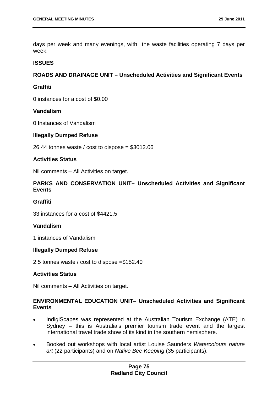days per week and many evenings, with the waste facilities operating 7 days per week.

### **ISSUES**

## **ROADS AND DRAINAGE UNIT – Unscheduled Activities and Significant Events**

## **Graffiti**

0 instances for a cost of \$0.00

### **Vandalism**

0 Instances of Vandalism

### **Illegally Dumped Refuse**

26.44 tonnes waste / cost to dispose =  $$3012.06$ 

### **Activities Status**

Nil comments – All Activities on target.

# **PARKS AND CONSERVATION UNIT– Unscheduled Activities and Significant Events**

### **Graffiti**

33 instances for a cost of \$4421.5

### **Vandalism**

1 instances of Vandalism

### **Illegally Dumped Refuse**

2.5 tonnes waste / cost to dispose =\$152.40

### **Activities Status**

Nil comments – All Activities on target.

### **ENVIRONMENTAL EDUCATION UNIT– Unscheduled Activities and Significant Events**

- IndigiScapes was represented at the Australian Tourism Exchange (ATE) in Sydney – this is Australia's premier tourism trade event and the largest international travel trade show of its kind in the southern hemisphere.
- Booked out workshops with local artist Louise Saunders *Watercolours nature art* (22 participants) and on *Native Bee Keeping* (35 participants).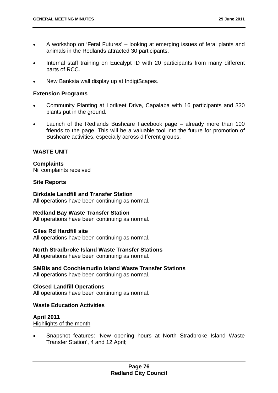- A workshop on 'Feral Futures' looking at emerging issues of feral plants and animals in the Redlands attracted 30 participants.
- Internal staff training on Eucalypt ID with 20 participants from many different parts of RCC.
- New Banksia wall display up at IndigiScapes.

### **Extension Programs**

- Community Planting at Lorikeet Drive, Capalaba with 16 participants and 330 plants put in the ground.
- Launch of the Redlands Bushcare Facebook page already more than 100 friends to the page. This will be a valuable tool into the future for promotion of Bushcare activities, especially across different groups.

### **WASTE UNIT**

**Complaints**  Nil complaints received

### **Site Reports**

**Birkdale Landfill and Transfer Station**  All operations have been continuing as normal.

### **Redland Bay Waste Transfer Station**

All operations have been continuing as normal.

### **Giles Rd Hardfill site**

All operations have been continuing as normal.

### **North Stradbroke Island Waste Transfer Stations**

All operations have been continuing as normal.

### **SMBIs and Coochiemudlo Island Waste Transfer Stations**

All operations have been continuing as normal.

### **Closed Landfill Operations**

All operations have been continuing as normal.

# **Waste Education Activities**

# **April 2011**

Highlights of the month

 Snapshot features: 'New opening hours at North Stradbroke Island Waste Transfer Station', 4 and 12 April;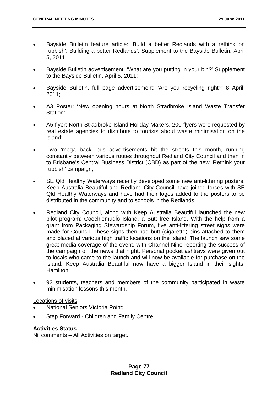- Bayside Bulletin feature article: 'Build a better Redlands with a rethink on rubbish'. Building a better Redlands'. Supplement to the Bayside Bulletin, April 5, 2011;
- Bayside Bulletin advertisement: 'What are you putting in your bin?' Supplement to the Bayside Bulletin, April 5, 2011;
- Bayside Bulletin, full page advertisement: 'Are you recycling right?' 8 April, 2011;
- A3 Poster: 'New opening hours at North Stradbroke Island Waste Transfer Station';
- A5 flyer: North Stradbroke Island Holiday Makers. 200 flyers were requested by real estate agencies to distribute to tourists about waste minimisation on the island;
- Two 'mega back' bus advertisements hit the streets this month, running constantly between various routes throughout Redland City Council and then in to Brisbane's Central Business District (CBD) as part of the new 'Rethink your rubbish' campaign;
- SE Qld Healthy Waterways recently developed some new anti-littering posters. Keep Australia Beautiful and Redland City Council have joined forces with SE Qld Healthy Waterways and have had their logos added to the posters to be distributed in the community and to schools in the Redlands;
- Redland City Council, along with Keep Australia Beautiful launched the new pilot program: Coochiemudlo Island, a Butt free Island. With the help from a grant from Packaging Stewardship Forum, five anti-littering street signs were made for Council. These signs then had butt (cigarette) bins attached to them and placed at various high traffic locations on the Island. The launch saw some great media coverage of the event, with Channel Nine reporting the success of the campaign on the news that night. Personal pocket ashtrays were given out to locals who came to the launch and will now be available for purchase on the island. Keep Australia Beautiful now have a bigger Island in their sights: Hamilton;
- 92 students, teachers and members of the community participated in waste minimisation lessons this month.

### Locations of visits

- National Seniors Victoria Point;
- Step Forward Children and Family Centre.

# **Activities Status**

Nil comments – All Activities on target.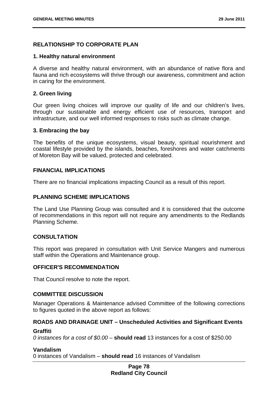# **RELATIONSHIP TO CORPORATE PLAN**

### **1. Healthy natural environment**

A diverse and healthy natural environment, with an abundance of native flora and fauna and rich ecosystems will thrive through our awareness, commitment and action in caring for the environment.

### **2. Green living**

Our green living choices will improve our quality of life and our children's lives, through our sustainable and energy efficient use of resources, transport and infrastructure, and our well informed responses to risks such as climate change.

### **3. Embracing the bay**

The benefits of the unique ecosystems, visual beauty, spiritual nourishment and coastal lifestyle provided by the islands, beaches, foreshores and water catchments of Moreton Bay will be valued, protected and celebrated.

### **FINANCIAL IMPLICATIONS**

There are no financial implications impacting Council as a result of this report.

### **PLANNING SCHEME IMPLICATIONS**

The Land Use Planning Group was consulted and it is considered that the outcome of recommendations in this report will not require any amendments to the Redlands Planning Scheme.

### **CONSULTATION**

This report was prepared in consultation with Unit Service Mangers and numerous staff within the Operations and Maintenance group.

### **OFFICER'S RECOMMENDATION**

That Council resolve to note the report.

# **COMMITTEE DISCUSSION**

Manager Operations & Maintenance advised Committee of the following corrections to figures quoted in the above report as follows:

### **ROADS AND DRAINAGE UNIT – Unscheduled Activities and Significant Events**

### **Graffiti**

*0 instances for a cost of \$0.00* – **should read** 13 instances for a cost of \$250.00

### **Vandalism**

0 instances of Vandalism – **should read** 16 instances of Vandalism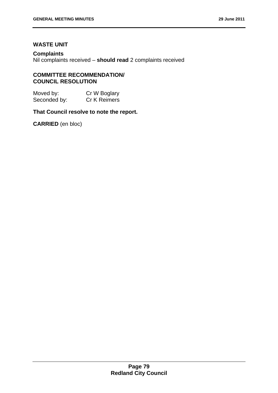# **WASTE UNIT**

## **Complaints**

Nil complaints received – **should read** 2 complaints received

### **COMMITTEE RECOMMENDATION/ COUNCIL RESOLUTION**

| Moved by:    | Cr W Boglary |
|--------------|--------------|
| Seconded by: | Cr K Reimers |

### **That Council resolve to note the report.**

**CARRIED** (en bloc)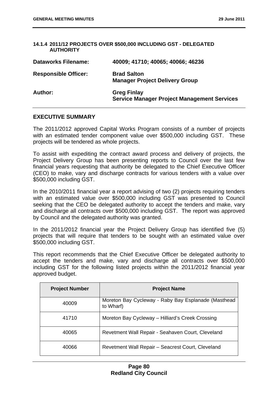#### **14.1.4 2011/12 PROJECTS OVER \$500,000 INCLUDING GST - DELEGATED AUTHORITY**

| <b>Dataworks Filename:</b>  | 40009; 41710; 40065; 40066; 46236                                        |
|-----------------------------|--------------------------------------------------------------------------|
| <b>Responsible Officer:</b> | <b>Brad Salton</b><br><b>Manager Project Delivery Group</b>              |
| <b>Author:</b>              | <b>Greg Finlay</b><br><b>Service Manager Project Management Services</b> |

### **EXECUTIVE SUMMARY**

The 2011/2012 approved Capital Works Program consists of a number of projects with an estimated tender component value over \$500,000 including GST. These projects will be tendered as whole projects.

To assist with expediting the contract award process and delivery of projects, the Project Delivery Group has been presenting reports to Council over the last few financial years requesting that authority be delegated to the Chief Executive Officer (CEO) to make, vary and discharge contracts for various tenders with a value over \$500,000 including GST.

In the 2010/2011 financial year a report advising of two (2) projects requiring tenders with an estimated value over \$500,000 including GST was presented to Council seeking that the CEO be delegated authority to accept the tenders and make, vary and discharge all contracts over \$500,000 including GST. The report was approved by Council and the delegated authority was granted.

In the 2011/2012 financial year the Project Delivery Group has identified five (5) projects that will require that tenders to be sought with an estimated value over \$500,000 including GST.

This report recommends that the Chief Executive Officer be delegated authority to accept the tenders and make, vary and discharge all contracts over \$500,000 including GST for the following listed projects within the 2011/2012 financial year approved budget.

| <b>Project Number</b> | <b>Project Name</b>                                              |
|-----------------------|------------------------------------------------------------------|
| 40009                 | Moreton Bay Cycleway - Raby Bay Esplanade (Masthead<br>to Wharf) |
| 41710                 | Moreton Bay Cycleway - Hilliard's Creek Crossing                 |
| 40065                 | Revetment Wall Repair - Seahaven Court, Cleveland                |
| 40066                 | Revetment Wall Repair - Seacrest Court, Cleveland                |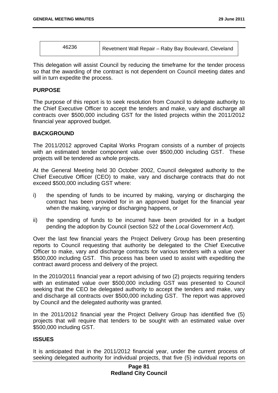| Revetment Wall Repair - Raby Bay Boulevard, Cleveland |
|-------------------------------------------------------|
|                                                       |

This delegation will assist Council by reducing the timeframe for the tender process so that the awarding of the contract is not dependent on Council meeting dates and will in turn expedite the process.

### **PURPOSE**

The purpose of this report is to seek resolution from Council to delegate authority to the Chief Executive Officer to accept the tenders and make, vary and discharge all contracts over \$500,000 including GST for the listed projects within the 2011/2012 financial year approved budget.

### **BACKGROUND**

The 2011/2012 approved Capital Works Program consists of a number of projects with an estimated tender component value over \$500,000 including GST. These projects will be tendered as whole projects.

At the General Meeting held 30 October 2002, Council delegated authority to the Chief Executive Officer (CEO) to make, vary and discharge contracts that do not exceed \$500,000 including GST where:

- i) the spending of funds to be incurred by making, varying or discharging the contract has been provided for in an approved budget for the financial year when the making, varying or discharging happens, or
- ii) the spending of funds to be incurred have been provided for in a budget pending the adoption by Council (section 522 of the *Local Government Act*).

Over the last few financial years the Project Delivery Group has been presenting reports to Council requesting that authority be delegated to the Chief Executive Officer to make, vary and discharge contracts for various tenders with a value over \$500,000 including GST. This process has been used to assist with expediting the contract award process and delivery of the project.

In the 2010/2011 financial year a report advising of two (2) projects requiring tenders with an estimated value over \$500,000 including GST was presented to Council seeking that the CEO be delegated authority to accept the tenders and make, vary and discharge all contracts over \$500,000 including GST. The report was approved by Council and the delegated authority was granted.

In the 2011/2012 financial year the Project Delivery Group has identified five (5) projects that will require that tenders to be sought with an estimated value over \$500,000 including GST.

### **ISSUES**

It is anticipated that in the 2011/2012 financial year, under the current process of seeking delegated authority for individual projects, that five (5) individual reports on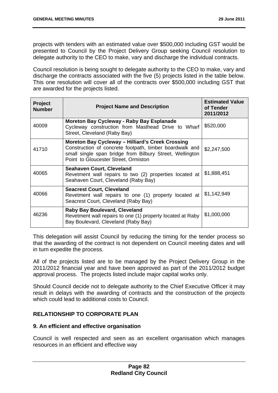projects with tenders with an estimated value over \$500,000 including GST would be presented to Council by the Project Delivery Group seeking Council resolution to delegate authority to the CEO to make, vary and discharge the individual contracts.

Council resolution is being sought to delegate authority to the CEO to make, vary and discharge the contracts associated with the five (5) projects listed in the table below. This one resolution will cover all of the contracts over \$500,000 including GST that are awarded for the projects listed.

| <b>Project</b><br><b>Number</b> | <b>Project Name and Description</b>                                                                                                                                                                             | <b>Estimated Value</b><br>of Tender<br>2011/2012 |
|---------------------------------|-----------------------------------------------------------------------------------------------------------------------------------------------------------------------------------------------------------------|--------------------------------------------------|
| 40009                           | Moreton Bay Cycleway - Raby Bay Esplanade<br>Cycleway construction from Masthead Drive to Wharf<br>Street, Cleveland (Raby Bay)                                                                                 | \$520,000                                        |
| 41710                           | Moreton Bay Cycleway - Hilliard's Creek Crossing<br>Construction of concrete footpath, timber boardwalk and<br>small single span bridge from Bilbury Street, Wellington<br>Point to Gloucester Street, Ormiston | \$2,247,500                                      |
| 40065                           | <b>Seahaven Court, Cleveland</b><br>Revetment wall repairs to two (2) properties located at<br>Seahaven Court, Cleveland (Raby Bay)                                                                             | \$1,888,451                                      |
| 40066                           | <b>Seacrest Court, Cleveland</b><br>Revetment wall repairs to one (1) property located at<br>Seacrest Court, Cleveland (Raby Bay)                                                                               | \$1,142,949                                      |
| 46236                           | <b>Raby Bay Boulevard, Cleveland</b><br>Revetment wall repairs to one (1) property located at Raby<br>Bay Boulevard, Cleveland (Raby Bay)                                                                       | \$1,000,000                                      |

This delegation will assist Council by reducing the timing for the tender process so that the awarding of the contract is not dependent on Council meeting dates and will in turn expedite the process.

All of the projects listed are to be managed by the Project Delivery Group in the 2011/2012 financial year and have been approved as part of the 2011/2012 budget approval process. The projects listed include major capital works only.

Should Council decide not to delegate authority to the Chief Executive Officer it may result in delays with the awarding of contracts and the construction of the projects which could lead to additional costs to Council.

# **RELATIONSHIP TO CORPORATE PLAN**

# **9. An efficient and effective organisation**

Council is well respected and seen as an excellent organisation which manages resources in an efficient and effective way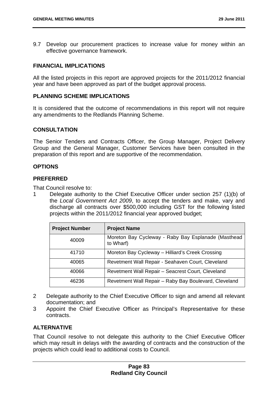9.7 Develop our procurement practices to increase value for money within an effective governance framework.

# **FINANCIAL IMPLICATIONS**

All the listed projects in this report are approved projects for the 2011/2012 financial year and have been approved as part of the budget approval process.

## **PLANNING SCHEME IMPLICATIONS**

It is considered that the outcome of recommendations in this report will not require any amendments to the Redlands Planning Scheme.

### **CONSULTATION**

The Senior Tenders and Contracts Officer, the Group Manager, Project Delivery Group and the General Manager, Customer Services have been consulted in the preparation of this report and are supportive of the recommendation.

### **OPTIONS**

### **PREFERRED**

That Council resolve to:

1 Delegate authority to the Chief Executive Officer under section 257 (1)(b) of the *Local Government Act 2009*, to accept the tenders and make, vary and discharge all contracts over \$500,000 including GST for the following listed projects within the 2011/2012 financial year approved budget;

| <b>Project Number</b> | <b>Project Name</b>                                              |
|-----------------------|------------------------------------------------------------------|
| 40009                 | Moreton Bay Cycleway - Raby Bay Esplanade (Masthead<br>to Wharf) |
| 41710                 | Moreton Bay Cycleway - Hilliard's Creek Crossing                 |
| 40065                 | Revetment Wall Repair - Seahaven Court, Cleveland                |
| 40066                 | Revetment Wall Repair - Seacrest Court, Cleveland                |
| 46236                 | Revetment Wall Repair - Raby Bay Boulevard, Cleveland            |

- 2 Delegate authority to the Chief Executive Officer to sign and amend all relevant documentation; and
- 3 Appoint the Chief Executive Officer as Principal's Representative for these contracts.

# **ALTERNATIVE**

That Council resolve to not delegate this authority to the Chief Executive Officer which may result in delays with the awarding of contracts and the construction of the projects which could lead to additional costs to Council.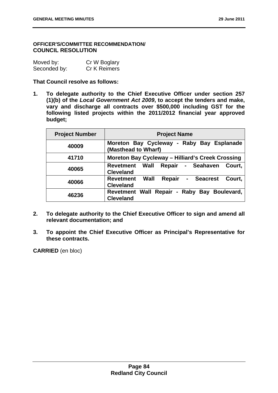### **OFFICER'S/COMMITTEE RECOMMENDATION/ COUNCIL RESOLUTION**

| Moved by:    | Cr W Boglary |
|--------------|--------------|
| Seconded by: | Cr K Reimers |

## **That Council resolve as follows:**

**1. To delegate authority to the Chief Executive Officer under section 257 (1)(b) of the** *Local Government Act 2009***, to accept the tenders and make, vary and discharge all contracts over \$500,000 including GST for the following listed projects within the 2011/2012 financial year approved budget;** 

| <b>Project Number</b> | <b>Project Name</b>                                                      |
|-----------------------|--------------------------------------------------------------------------|
| 40009                 | Moreton Bay Cycleway - Raby Bay Esplanade<br>(Masthead to Wharf)         |
| 41710                 | Moreton Bay Cycleway - Hilliard's Creek Crossing                         |
| 40065                 | Wall<br>Repair - Seahaven Court,<br><b>Revetment</b><br><b>Cleveland</b> |
| 40066                 | Wall<br>Revetment<br>Repair<br>- Seacrest<br>Court.<br><b>Cleveland</b>  |
| 46236                 | Revetment Wall Repair - Raby Bay Boulevard,<br><b>Cleveland</b>          |

- **2. To delegate authority to the Chief Executive Officer to sign and amend all relevant documentation; and**
- **3. To appoint the Chief Executive Officer as Principal's Representative for these contracts.**

**CARRIED** (en bloc)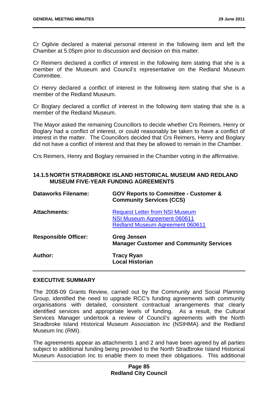Cr Ogilvie declared a material personal interest in the following item and left the Chamber at 5.05pm prior to discussion and decision on this matter.

Cr Reimers declared a conflict of interest in the following item stating that she is a member of the Museum and Council's representative on the Redland Museum Committee.

Cr Henry declared a conflict of interest in the following item stating that she is a member of the Redland Museum.

Cr Boglary declared a conflict of interest in the following item stating that she is a member of the Redland Museum.

The Mayor asked the remaining Councillors to decide whether Crs Reimers, Henry or Boglary had a conflict of interest, or could reasonably be taken to have a conflict of interest in the matter. The Councillors decided that Crs Reimers, Henry and Boglary did not have a conflict of interest and that they be allowed to remain in the Chamber.

Crs Reimers, Henry and Boglary remained in the Chamber voting in the affirmative.

### **14.1.5 NORTH STRADBROKE ISLAND HISTORICAL MUSEUM AND REDLAND MUSEUM FIVE-YEAR FUNDING AGREEMENTS**

| <b>Dataworks Filename:</b>  | <b>GOV Reports to Committee - Customer &amp;</b><br><b>Community Services (CCS)</b>                                   |
|-----------------------------|-----------------------------------------------------------------------------------------------------------------------|
| <b>Attachments:</b>         | <b>Request Letter from NSI Museum</b><br><b>NSI Museum Agreement 060611</b><br><b>Redland Museum Agreement 060611</b> |
| <b>Responsible Officer:</b> | <b>Greg Jensen</b><br><b>Manager Customer and Community Services</b>                                                  |
| Author:                     | Tracy Ryan<br><b>Local Historian</b>                                                                                  |

### **EXECUTIVE SUMMARY**

The 2008-09 Grants Review, carried out by the Community and Social Planning Group, identified the need to upgrade RCC's funding agreements with community organisations with detailed, consistent contractual arrangements that clearly identified services and appropriate levels of funding. As a result, the Cultural Services Manager undertook a review of Council's agreements with the North Stradbroke Island Historical Museum Association Inc (NSIHMA) and the Redland Museum Inc (RMI).

The agreements appear as attachments 1 and 2 and have been agreed by all parties subject to additional funding being provided to the North Stradbroke Island Historical Museum Association Inc to enable them to meet their obligations. This additional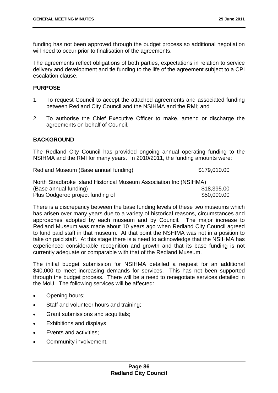funding has not been approved through the budget process so additional negotiation will need to occur prior to finalisation of the agreements.

The agreements reflect obligations of both parties, expectations in relation to service delivery and development and tie funding to the life of the agreement subject to a CPI escalation clause.

### **PURPOSE**

- 1. To request Council to accept the attached agreements and associated funding between Redland City Council and the NSIHMA and the RMI; and
- 2. To authorise the Chief Executive Officer to make, amend or discharge the agreements on behalf of Council.

### **BACKGROUND**

The Redland City Council has provided ongoing annual operating funding to the NSIHMA and the RMI for many years. In 2010/2011, the funding amounts were:

Redland Museum (Base annual funding)  $$179,010.00$ 

| North Stradbroke Island Historical Museum Association Inc (NSIHMA) |             |
|--------------------------------------------------------------------|-------------|
| (Base annual funding)                                              | \$18,395.00 |
| Plus Oodgeroo project funding of                                   | \$50,000.00 |

There is a discrepancy between the base funding levels of these two museums which has arisen over many years due to a variety of historical reasons, circumstances and approaches adopted by each museum and by Council. The major increase to Redland Museum was made about 10 years ago when Redland City Council agreed to fund paid staff in that museum. At that point the NSHIMA was not in a position to take on paid staff. At this stage there is a need to acknowledge that the NSIHMA has experienced considerable recognition and growth and that its base funding is not currently adequate or comparable with that of the Redland Museum.

The initial budget submission for NSIHMA detailed a request for an additional \$40,000 to meet increasing demands for services. This has not been supported through the budget process. There will be a need to renegotiate services detailed in the MoU. The following services will be affected:

- Opening hours;
- Staff and volunteer hours and training;
- Grant submissions and acquittals;
- Exhibitions and displays;
- Events and activities:
- Community involvement.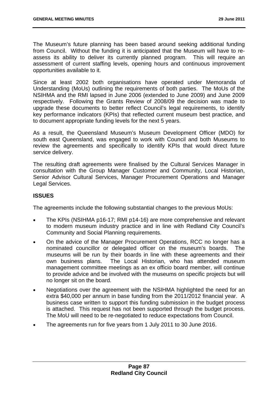The Museum's future planning has been based around seeking additional funding from Council. Without the funding it is anticipated that the Museum will have to reassess its ability to deliver its currently planned program. This will require an assessment of current staffing levels, opening hours and continuous improvement opportunities available to it.

Since at least 2002 both organisations have operated under Memoranda of Understanding (MoUs) outlining the requirements of both parties. The MoUs of the NSIHMA and the RMI lapsed in June 2006 (extended to June 2009) and June 2009 respectively. Following the Grants Review of 2008/09 the decision was made to upgrade these documents to better reflect Council's legal requirements, to identify key performance indicators (KPIs) that reflected current museum best practice, and to document appropriate funding levels for the next 5 years.

As a result, the Queensland Museum's Museum Development Officer (MDO) for south east Queensland, was engaged to work with Council and both Museums to review the agreements and specifically to identify KPIs that would direct future service delivery.

The resulting draft agreements were finalised by the Cultural Services Manager in consultation with the Group Manager Customer and Community, Local Historian, Senior Advisor Cultural Services, Manager Procurement Operations and Manager Legal Services.

# **ISSUES**

The agreements include the following substantial changes to the previous MoUs:

- The KPIs (NSIHMA p16-17; RMI p14-16) are more comprehensive and relevant to modern museum industry practice and in line with Redland City Council's Community and Social Planning requirements.
- On the advice of the Manager Procurement Operations, RCC no longer has a nominated councillor or delegated officer on the museum's boards. The museums will be run by their boards in line with these agreements and their own business plans. The Local Historian, who has attended museum management committee meetings as an ex officio board member, will continue to provide advice and be involved with the museums on specific projects but will no longer sit on the board.
- Negotiations over the agreement with the NSIHMA highlighted the need for an extra \$40,000 per annum in base funding from the 2011/2012 financial year. A business case written to support this funding submission in the budget process is attached. This request has not been supported through the budget process. The MoU will need to be re-negotiated to reduce expectations from Council.
- The agreements run for five years from 1 July 2011 to 30 June 2016.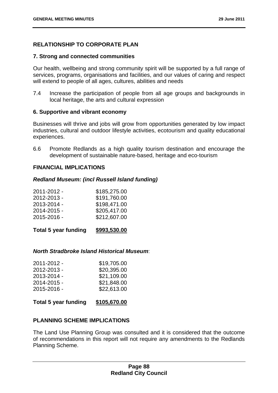# **RELATIONSHIP TO CORPORATE PLAN**

### **7. Strong and connected communities**

Our health, wellbeing and strong community spirit will be supported by a full range of services, programs, organisations and facilities, and our values of caring and respect will extend to people of all ages, cultures, abilities and needs

7.4 Increase the participation of people from all age groups and backgrounds in local heritage, the arts and cultural expression

### **6. Supportive and vibrant economy**

Businesses will thrive and jobs will grow from opportunities generated by low impact industries, cultural and outdoor lifestyle activities, ecotourism and quality educational experiences.

6.6 Promote Redlands as a high quality tourism destination and encourage the development of sustainable nature-based, heritage and eco-tourism

### **FINANCIAL IMPLICATIONS**

### *Redland Museum: (incl Russell Island funding)*

| 2011-2012 - | \$185,275.00 |
|-------------|--------------|
| 2012-2013 - | \$191,760.00 |
| 2013-2014 - | \$198,471.00 |
| 2014-2015 - | \$205,417.00 |
| 2015-2016 - | \$212,607.00 |
|             |              |

| <b>Total 5 year funding</b> | \$993,530.00 |
|-----------------------------|--------------|
|-----------------------------|--------------|

### *North Stradbroke Island Historical Museum*:

| \$19,705.00 |
|-------------|
| \$20,395.00 |
| \$21,109.00 |
| \$21,848.00 |
| \$22,613.00 |
|             |

### **Total 5 year funding \$105,670.00**

# **PLANNING SCHEME IMPLICATIONS**

The Land Use Planning Group was consulted and it is considered that the outcome of recommendations in this report will not require any amendments to the Redlands Planning Scheme.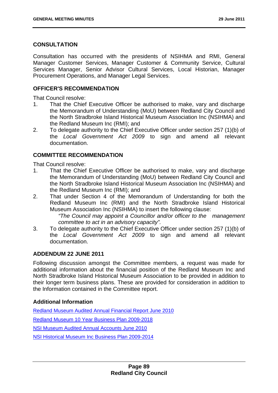### **CONSULTATION**

Consultation has occurred with the presidents of NSIHMA and RMI, General Manager Customer Services, Manager Customer & Community Service, Cultural Services Manager, Senior Advisor Cultural Services, Local Historian, Manager Procurement Operations, and Manager Legal Services.

## **OFFICER'S RECOMMENDATION**

That Council resolve:

- 1. That the Chief Executive Officer be authorised to make, vary and discharge the Memorandum of Understanding (MoU) between Redland City Council and the North Stradbroke Island Historical Museum Association Inc (NSIHMA) and the Redland Museum Inc (RMI); and
- 2. To delegate authority to the Chief Executive Officer under section 257 (1)(b) of the *Local Government Act 2009* to sign and amend all relevant documentation.

# **COMMITTEE RECOMMENDATION**

That Council resolve:

- 1. That the Chief Executive Officer be authorised to make, vary and discharge the Memorandum of Understanding (MoU) between Redland City Council and the North Stradbroke Island Historical Museum Association Inc (NSIHMA) and the Redland Museum Inc (RMI); and
- 2. That under Section 4 of the Memorandum of Understanding for both the Redland Museum Inc (RMI) and the North Stradbroke Island Historical Museum Association Inc (NSIHMA) to insert the following clause:

*"The Council may appoint a Councillor and/or officer to the management committee to act in an advisory capacity".* 

3. To delegate authority to the Chief Executive Officer under section 257 (1)(b) of the *Local Government Act 2009* to sign and amend all relevant documentation.

# **ADDENDUM 22 JUNE 2011**

Following discussion amongst the Committee members, a request was made for additional information about the financial position of the Redland Museum Inc and North Stradbroke Island Historical Museum Association to be provided in addition to their longer term business plans. These are provided for consideration in addition to the Information contained in the Committee report.

# **Additional Information**

Redland Museum Audited Annual Financial Report June 2010 Redland Museum 10 Year Business Plan 2009-2018 NSI Museum Audited Annual Accounts June 2010 NSI Historical Museum Inc Business Plan 2009-2014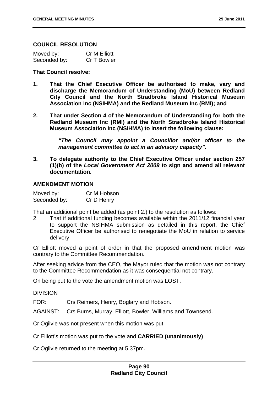### **COUNCIL RESOLUTION**

| Moved by:    | <b>Cr M Elliott</b> |
|--------------|---------------------|
| Seconded by: | Cr T Bowler         |

#### **That Council resolve:**

- **1. That the Chief Executive Officer be authorised to make, vary and discharge the Memorandum of Understanding (MoU) between Redland City Council and the North Stradbroke Island Historical Museum Association Inc (NSIHMA) and the Redland Museum Inc (RMI); and**
- **2. That under Section 4 of the Memorandum of Understanding for both the Redland Museum Inc (RMI) and the North Stradbroke Island Historical Museum Association Inc (NSIHMA) to insert the following clause:**

*"The Council may appoint a Councillor and/or officer to the management committee to act in an advisory capacity".* 

**3. To delegate authority to the Chief Executive Officer under section 257 (1)(b) of the** *Local Government Act 2009* **to sign and amend all relevant documentation.** 

### **AMENDMENT MOTION**

Moved by: Cr M Hobson Seconded by: Cr D Henry

That an additional point be added (as point 2.) to the resolution as follows:

2. That if additional funding becomes available within the 2011/12 financial year to support the NSIHMA submission as detailed in this report, the Chief Executive Officer be authorised to renegotiate the MoU in relation to service delivery;

Cr Elliott moved a point of order in that the proposed amendment motion was contrary to the Committee Recommendation.

After seeking advice from the CEO, the Mayor ruled that the motion was not contrary to the Committee Recommendation as it was consequential not contrary.

On being put to the vote the amendment motion was LOST.

DIVISION

FOR: Crs Reimers, Henry, Boglary and Hobson.

AGAINST: Crs Burns, Murray, Elliott, Bowler, Williams and Townsend.

Cr Ogilvie was not present when this motion was put.

Cr Elliott's motion was put to the vote and **CARRIED (unanimously)** 

Cr Ogilvie returned to the meeting at 5.37pm.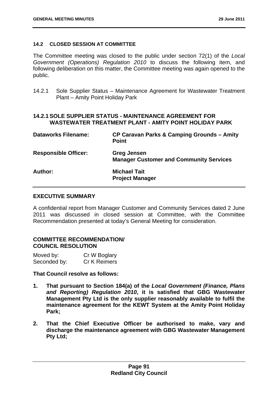### **14.2 CLOSED SESSION AT COMMITTEE**

The Committee meeting was closed to the public under section 72(1) of the *Local Government (Operations) Regulation 2010* to discuss the following item, and following deliberation on this matter, the Committee meeting was again opened to the public.

14.2.1 Sole Supplier Status – Maintenance Agreement for Wastewater Treatment Plant – Amity Point Holiday Park

### **14.2.1 SOLE SUPPLIER STATUS - MAINTENANCE AGREEMENT FOR WASTEWATER TREATMENT PLANT - AMITY POINT HOLIDAY PARK**

| <b>Dataworks Filename:</b>  | CP Caravan Parks & Camping Grounds - Amity<br><b>Point</b>    |
|-----------------------------|---------------------------------------------------------------|
| <b>Responsible Officer:</b> | Greg Jensen<br><b>Manager Customer and Community Services</b> |
| Author:                     | <b>Michael Tait</b><br><b>Project Manager</b>                 |

### **EXECUTIVE SUMMARY**

A confidential report from Manager Customer and Community Services dated 2 June 2011 was discussed in closed session at Committee, with the Committee Recommendation presented at today's General Meeting for consideration.

# **COMMITTEE RECOMMENDATION/ COUNCIL RESOLUTION**

| Moved by:    | Cr W Boglary |
|--------------|--------------|
| Seconded by: | Cr K Reimers |

# **That Council resolve as follows:**

- **1. That pursuant to Section 184(a) of the** *Local Government (Finance, Plans and Reporting) Regulation 2010***, it is satisfied that GBG Wastewater Management Pty Ltd is the only supplier reasonably available to fulfil the maintenance agreement for the KEWT System at the Amity Point Holiday Park;**
- **2. That the Chief Executive Officer be authorised to make, vary and discharge the maintenance agreement with GBG Wastewater Management Pty Ltd;**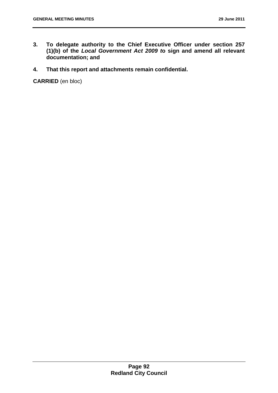- **3. To delegate authority to the Chief Executive Officer under section 257 (1)(b) of the** *Local Government Act 2009 t***o sign and amend all relevant documentation; and**
- **4. That this report and attachments remain confidential.**

**CARRIED** (en bloc)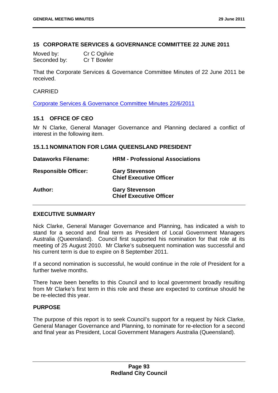### **15 CORPORATE SERVICES & GOVERNANCE COMMITTEE 22 JUNE 2011**

| Moved by:    | Cr C Ogilvie |
|--------------|--------------|
| Seconded by: | Cr T Bowler  |

That the Corporate Services & Governance Committee Minutes of 22 June 2011 be received.

### CARRIED

Corporate Services & Governance Committee Minutes 22/6/2011

### **15.1 OFFICE OF CEO**

Mr N Clarke, General Manager Governance and Planning declared a conflict of interest in the following item.

### **15.1.1 NOMINATION FOR LGMA QUEENSLAND PRESIDENT**

| <b>Dataworks Filename:</b>  | <b>HRM - Professional Associations</b>                  |
|-----------------------------|---------------------------------------------------------|
| <b>Responsible Officer:</b> | <b>Gary Stevenson</b><br><b>Chief Executive Officer</b> |
| Author:                     | <b>Gary Stevenson</b><br><b>Chief Executive Officer</b> |

### **EXECUTIVE SUMMARY**

Nick Clarke, General Manager Governance and Planning, has indicated a wish to stand for a second and final term as President of Local Government Managers Australia (Queensland). Council first supported his nomination for that role at its meeting of 25 August 2010. Mr Clarke's subsequent nomination was successful and his current term is due to expire on 8 September 2011.

If a second nomination is successful, he would continue in the role of President for a further twelve months.

There have been benefits to this Council and to local government broadly resulting from Mr Clarke's first term in this role and these are expected to continue should he be re-elected this year.

### **PURPOSE**

The purpose of this report is to seek Council's support for a request by Nick Clarke, General Manager Governance and Planning, to nominate for re-election for a second and final year as President, Local Government Managers Australia (Queensland).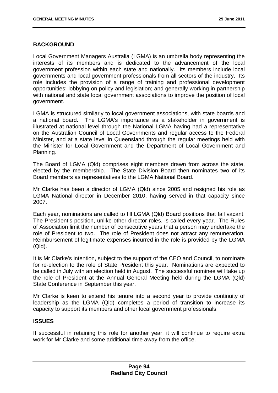### **BACKGROUND**

Local Government Managers Australia (LGMA) is an umbrella body representing the interests of its members and is dedicated to the advancement of the local government profession within each state and nationally. Its members include local governments and local government professionals from all sectors of the industry. Its role includes the provision of a range of training and professional development opportunities; lobbying on policy and legislation; and generally working in partnership with national and state local government associations to improve the position of local government.

LGMA is structured similarly to local government associations, with state boards and a national board. The LGMA's importance as a stakeholder in government is illustrated at national level through the National LGMA having had a representative on the Australian Council of Local Governments and regular access to the Federal Minister, and at a state level in Queensland through the regular meetings held with the Minister for Local Government and the Department of Local Government and Planning.

The Board of LGMA (Qld) comprises eight members drawn from across the state, elected by the membership. The State Division Board then nominates two of its Board members as representatives to the LGMA National Board.

Mr Clarke has been a director of LGMA (Qld) since 2005 and resigned his role as LGMA National director in December 2010, having served in that capacity since 2007.

Each year, nominations are called to fill LGMA (Qld) Board positions that fall vacant. The President's position, unlike other director roles, is called every year. The Rules of Association limit the number of consecutive years that a person may undertake the role of President to two. The role of President does not attract any remuneration. Reimbursement of legitimate expenses incurred in the role is provided by the LGMA (Qld).

It is Mr Clarke's intention, subject to the support of the CEO and Council, to nominate for re-election to the role of State President this year. Nominations are expected to be called in July with an election held in August. The successful nominee will take up the role of President at the Annual General Meeting held during the LGMA (Qld) State Conference in September this year.

Mr Clarke is keen to extend his tenure into a second year to provide continuity of leadership as the LGMA (Qld) completes a period of transition to increase its capacity to support its members and other local government professionals.

# **ISSUES**

If successful in retaining this role for another year, it will continue to require extra work for Mr Clarke and some additional time away from the office.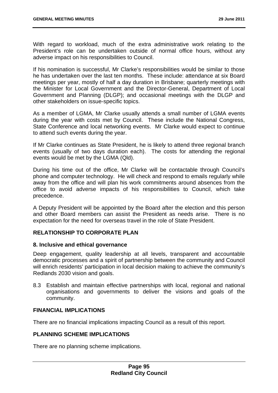With regard to workload, much of the extra administrative work relating to the President's role can be undertaken outside of normal office hours, without any adverse impact on his responsibilities to Council.

If his nomination is successful, Mr Clarke's responsibilities would be similar to those he has undertaken over the last ten months. These include: attendance at six Board meetings per year, mostly of half a day duration in Brisbane; quarterly meetings with the Minister for Local Government and the Director-General, Department of Local Government and Planning (DLGP); and occasional meetings with the DLGP and other stakeholders on issue-specific topics.

As a member of LGMA, Mr Clarke usually attends a small number of LGMA events during the year with costs met by Council. These include the National Congress, State Conference and local networking events. Mr Clarke would expect to continue to attend such events during the year.

If Mr Clarke continues as State President, he is likely to attend three regional branch events (usually of two days duration each). The costs for attending the regional events would be met by the LGMA (Qld).

During his time out of the office, Mr Clarke will be contactable through Council's phone and computer technology. He will check and respond to emails regularly while away from the office and will plan his work commitments around absences from the office to avoid adverse impacts of his responsibilities to Council, which take precedence.

A Deputy President will be appointed by the Board after the election and this person and other Board members can assist the President as needs arise. There is no expectation for the need for overseas travel in the role of State President.

# **RELATIONSHIP TO CORPORATE PLAN**

### **8. Inclusive and ethical governance**

Deep engagement, quality leadership at all levels, transparent and accountable democratic processes and a spirit of partnership between the community and Council will enrich residents' participation in local decision making to achieve the community's Redlands 2030 vision and goals.

8.3 Establish and maintain effective partnerships with local, regional and national organisations and governments to deliver the visions and goals of the community.

### **FINANCIAL IMPLICATIONS**

There are no financial implications impacting Council as a result of this report.

### **PLANNING SCHEME IMPLICATIONS**

There are no planning scheme implications.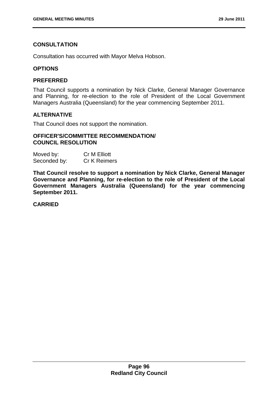# **CONSULTATION**

Consultation has occurred with Mayor Melva Hobson.

### **OPTIONS**

### **PREFERRED**

That Council supports a nomination by Nick Clarke, General Manager Governance and Planning, for re-election to the role of President of the Local Government Managers Australia (Queensland) for the year commencing September 2011.

# **ALTERNATIVE**

That Council does not support the nomination.

### **OFFICER'S/COMMITTEE RECOMMENDATION/ COUNCIL RESOLUTION**

| Moved by:    | Cr M Elliott        |
|--------------|---------------------|
| Seconded by: | <b>Cr K Reimers</b> |

**That Council resolve to support a nomination by Nick Clarke, General Manager Governance and Planning, for re-election to the role of President of the Local Government Managers Australia (Queensland) for the year commencing September 2011.** 

# **CARRIED**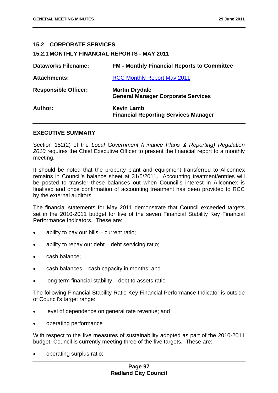### **15.2 CORPORATE SERVICES**

#### **15.2.1 MONTHLY FINANCIAL REPORTS - MAY 2011**

| <b>Dataworks Filename:</b>  | <b>FM - Monthly Financial Reports to Committee</b>                 |
|-----------------------------|--------------------------------------------------------------------|
| <b>Attachments:</b>         | <b>RCC Monthly Report May 2011</b>                                 |
| <b>Responsible Officer:</b> | <b>Martin Drydale</b><br><b>General Manager Corporate Services</b> |
| Author:                     | <b>Kevin Lamb</b><br><b>Financial Reporting Services Manager</b>   |

#### **EXECUTIVE SUMMARY**

Section 152(2) of the *Local Government (Finance Plans & Reporting) Regulation 2010* requires the Chief Executive Officer to present the financial report to a monthly meeting.

It should be noted that the property plant and equipment transferred to Allconnex remains in Council's balance sheet at 31/5/2011. Accounting treatment/entries will be posted to transfer these balances out when Council's interest in Allconnex is finalised and once confirmation of accounting treatment has been provided to RCC by the external auditors.

The financial statements for May 2011 demonstrate that Council exceeded targets set in the 2010-2011 budget for five of the seven Financial Stability Key Financial Performance Indicators. These are:

- ability to pay our bills current ratio;
- ability to repay our debt debt servicing ratio;
- cash balance;
- cash balances cash capacity in months; and
- long term financial stability debt to assets ratio

The following Financial Stability Ratio Key Financial Performance Indicator is outside of Council's target range:

- level of dependence on general rate revenue; and
- operating performance

With respect to the five measures of sustainability adopted as part of the 2010-2011 budget, Council is currently meeting three of the five targets. These are:

operating surplus ratio;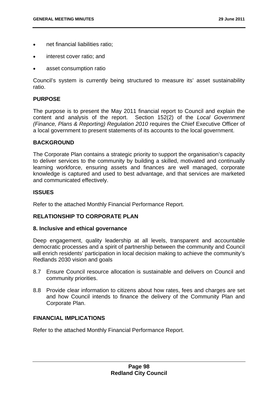- net financial liabilities ratio;
- interest cover ratio; and
- asset consumption ratio

Council's system is currently being structured to measure its' asset sustainability ratio.

### **PURPOSE**

The purpose is to present the May 2011 financial report to Council and explain the content and analysis of the report. Section 152(2) of the *Local Government (Finance, Plans & Reporting) Regulation 2010* requires the Chief Executive Officer of a local government to present statements of its accounts to the local government.

### **BACKGROUND**

The Corporate Plan contains a strategic priority to support the organisation's capacity to deliver services to the community by building a skilled, motivated and continually learning workforce, ensuring assets and finances are well managed, corporate knowledge is captured and used to best advantage, and that services are marketed and communicated effectively.

### **ISSUES**

Refer to the attached Monthly Financial Performance Report.

# **RELATIONSHIP TO CORPORATE PLAN**

### **8. Inclusive and ethical governance**

Deep engagement, quality leadership at all levels, transparent and accountable democratic processes and a spirit of partnership between the community and Council will enrich residents' participation in local decision making to achieve the community's Redlands 2030 vision and goals

- 8.7 Ensure Council resource allocation is sustainable and delivers on Council and community priorities.
- 8.8 Provide clear information to citizens about how rates, fees and charges are set and how Council intends to finance the delivery of the Community Plan and Corporate Plan.

### **FINANCIAL IMPLICATIONS**

Refer to the attached Monthly Financial Performance Report.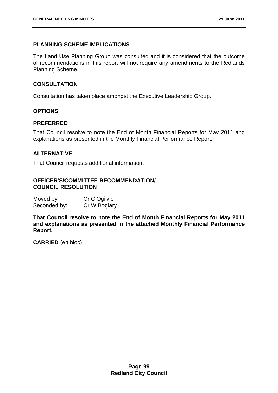# **PLANNING SCHEME IMPLICATIONS**

The Land Use Planning Group was consulted and it is considered that the outcome of recommendations in this report will not require any amendments to the Redlands Planning Scheme.

### **CONSULTATION**

Consultation has taken place amongst the Executive Leadership Group.

# **OPTIONS**

### **PREFERRED**

That Council resolve to note the End of Month Financial Reports for May 2011 and explanations as presented in the Monthly Financial Performance Report.

### **ALTERNATIVE**

That Council requests additional information.

### **OFFICER'S/COMMITTEE RECOMMENDATION/ COUNCIL RESOLUTION**

| Moved by:    | Cr C Ogilvie |
|--------------|--------------|
| Seconded by: | Cr W Boglary |

**That Council resolve to note the End of Month Financial Reports for May 2011 and explanations as presented in the attached Monthly Financial Performance Report.** 

**CARRIED** (en bloc)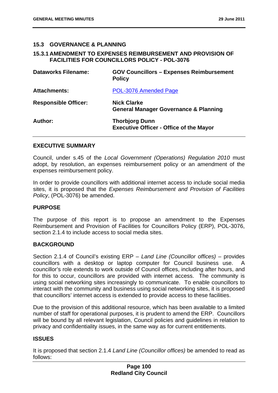### **15.3 GOVERNANCE & PLANNING**

### **15.3.1 AMENDMENT TO EXPENSES REIMBURSEMENT AND PROVISION OF FACILITIES FOR COUNCILLORS POLICY - POL-3076**

| <b>Dataworks Filename:</b>  | <b>GOV Councillors - Expenses Reimbursement</b><br><b>Policy</b>        |
|-----------------------------|-------------------------------------------------------------------------|
| <b>Attachments:</b>         | POL-3076 Amended Page                                                   |
| <b>Responsible Officer:</b> | <b>Nick Clarke</b><br><b>General Manager Governance &amp; Planning</b>  |
| Author:                     | <b>Thorbjorg Dunn</b><br><b>Executive Officer - Office of the Mayor</b> |

### **EXECUTIVE SUMMARY**

Council, under s.45 of the *Local Government (Operations) Regulation 2010* must adopt, by resolution, an expenses reimbursement policy or an amendment of the expenses reimbursement policy.

In order to provide councillors with additional internet access to include social media sites, it is proposed that the *Expenses Reimbursement and Provision of Facilities Policy*, (POL-3076) be amended.

# **PURPOSE**

The purpose of this report is to propose an amendment to the Expenses Reimbursement and Provision of Facilities for Councillors Policy (ERP), POL-3076, section 2.1.4 to include access to social media sites.

### **BACKGROUND**

Section 2.1.4 of Council's existing ERP – *Land Line (Councillor offices)* – provides councillors with a desktop or laptop computer for Council business use. A councillor's role extends to work outside of Council offices, including after hours, and for this to occur, councillors are provided with internet access. The community is using social networking sites increasingly to communicate. To enable councillors to interact with the community and business using social networking sites, it is proposed that councillors' internet access is extended to provide access to these facilities.

Due to the provision of this additional resource, which has been available to a limited number of staff for operational purposes, it is prudent to amend the ERP. Councillors will be bound by all relevant legislation. Council policies and guidelines in relation to privacy and confidentiality issues, in the same way as for current entitlements.

# **ISSUES**

It is proposed that section 2.1.4 *Land Line (Councillor offices)* be amended to read as follows: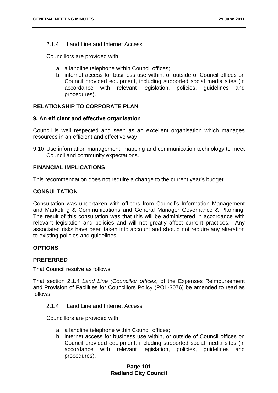### 2.1.4 Land Line and Internet Access

Councillors are provided with:

- a. a landline telephone within Council offices;
- b. internet access for business use within, or outside of Council offices on Council provided equipment, including supported social media sites (in accordance with relevant legislation, policies, guidelines and procedures).

# **RELATIONSHIP TO CORPORATE PLAN**

### **9. An efficient and effective organisation**

Council is well respected and seen as an excellent organisation which manages resources in an efficient and effective way

9.10 Use information management, mapping and communication technology to meet Council and community expectations.

### **FINANCIAL IMPLICATIONS**

This recommendation does not require a change to the current year's budget.

# **CONSULTATION**

Consultation was undertaken with officers from Council's Information Management and Marketing & Communications and General Manager Governance & Planning. The result of this consultation was that this will be administered in accordance with relevant legislation and policies and will not greatly affect current practices. Any associated risks have been taken into account and should not require any alteration to existing policies and guidelines.

# **OPTIONS**

# **PREFERRED**

That Council resolve as follows:

That section 2.1.4 *Land Line (Councillor offices)* of the Expenses Reimbursement and Provision of Facilities for Councillors Policy (POL-3076) be amended to read as follows:

### 2.1.4 Land Line and Internet Access

Councillors are provided with:

- a. a landline telephone within Council offices;
- b. internet access for business use within, or outside of Council offices on Council provided equipment, including supported social media sites (in accordance with relevant legislation, policies, guidelines and procedures).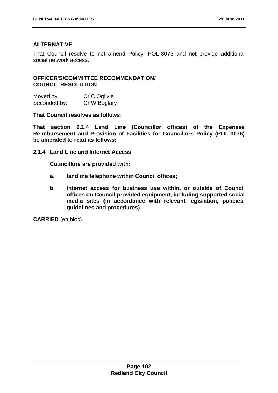### **ALTERNATIVE**

That Council resolve to not amend Policy, POL-3076 and not provide additional social network access.

### **OFFICER'S/COMMITTEE RECOMMENDATION/ COUNCIL RESOLUTION**

| Moved by:    | Cr C Ogilvie |
|--------------|--------------|
| Seconded by: | Cr W Boglary |

**That Council resolves as follows:** 

**That section 2.1.4 Land Line (Councillor offices) of the Expenses Reimbursement and Provision of Facilities for Councillors Policy (POL-3076) be amended to read as follows:** 

**2.1.4 Land Line and Internet Access** 

**Councillors are provided with:** 

- **a. landline telephone within Council offices;**
- **b. internet access for business use within, or outside of Council offices on Council provided equipment, including supported social media sites (in accordance with relevant legislation, policies, guidelines and procedures).**

**CARRIED** (en bloc)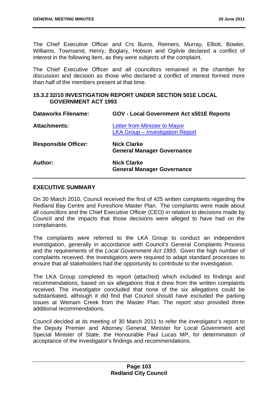The Chief Executive Officer and Crs Burns, Reimers, Murray, Elliott, Bowler, Williams, Townsend, Henry, Boglary, Hobson and Ogilvie declared a conflict of interest in the following item, as they were subjects of the complaint.

The Chief Executive Officer and all councillors remained in the chamber for discussion and decision as those who declared a conflict of interest formed more than half of the members present at that time.

### **15.3.2 32/10 INVESTIGATION REPORT UNDER SECTION 501E LOCAL GOVERNMENT ACT 1993**

| <b>Dataworks Filename:</b>  | <b>GOV - Local Government Act s501E Reports</b>                          |
|-----------------------------|--------------------------------------------------------------------------|
| <b>Attachments:</b>         | Letter from Minister to Mayor<br><b>LKA Group - Investigation Report</b> |
| <b>Responsible Officer:</b> | <b>Nick Clarke</b><br><b>General Manager Governance</b>                  |
| Author:                     | <b>Nick Clarke</b><br><b>General Manager Governance</b>                  |

### **EXECUTIVE SUMMARY**

On 30 March 2010, Council received the first of 425 written complaints regarding the Redland Bay Centre and Foreshore Master Plan. The complaints were made about all councillors and the Chief Executive Officer (CEO) in relation to decisions made by Council and the impacts that those decisions were alleged to have had on the complainants.

The complaints were referred to the LKA Group to conduct an independent investigation, generally in accordance with Council's General Complaints Process and the requirements of the *Local Government Act 1993*. Given the high number of complaints received, the investigators were required to adapt standard processes to ensure that all stakeholders had the opportunity to contribute to the investigation.

The LKA Group completed its report (attached) which included its findings and recommendations, based on six allegations that it drew from the written complaints received. The investigator concluded that none of the six allegations could be substantiated, although it did find that Council should have excluded the parking issues at Weinam Creek from the Master Plan. The report also provided three additional recommendations.

Council decided at its meeting of 30 March 2011 to refer the investigator's report to the Deputy Premier and Attorney General, Minister for Local Government and Special Minister of State, the Honourable Paul Lucas MP, for determination of acceptance of the investigator's findings and recommendations.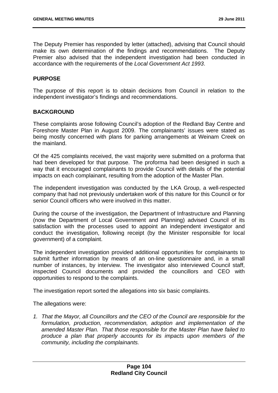The Deputy Premier has responded by letter (attached), advising that Council should make its own determination of the findings and recommendations. The Deputy Premier also advised that the independent investigation had been conducted in accordance with the requirements of the *Local Government Act 1993*.

### **PURPOSE**

The purpose of this report is to obtain decisions from Council in relation to the independent investigator's findings and recommendations.

#### **BACKGROUND**

These complaints arose following Council's adoption of the Redland Bay Centre and Foreshore Master Plan in August 2009. The complainants' issues were stated as being mostly concerned with plans for parking arrangements at Weinam Creek on the mainland.

Of the 425 complaints received, the vast majority were submitted on a proforma that had been developed for that purpose. The proforma had been designed in such a way that it encouraged complainants to provide Council with details of the potential impacts on each complainant, resulting from the adoption of the Master Plan.

The independent investigation was conducted by the LKA Group, a well-respected company that had not previously undertaken work of this nature for this Council or for senior Council officers who were involved in this matter.

During the course of the investigation, the Department of Infrastructure and Planning (now the Department of Local Government and Planning) advised Council of its satisfaction with the processes used to appoint an independent investigator and conduct the investigation, following receipt (by the Minister responsible for local government) of a complaint.

The independent investigation provided additional opportunities for complainants to submit further information by means of an on-line questionnaire and, in a small number of instances, by interview. The investigator also interviewed Council staff, inspected Council documents and provided the councillors and CEO with opportunities to respond to the complaints.

The investigation report sorted the allegations into six basic complaints.

The allegations were:

*1. That the Mayor, all Councillors and the CEO of the Council are responsible for the formulation, production, recommendation, adoption and implementation of the amended Master Plan. That those responsible for the Master Plan have failed to produce a plan that properly accounts for its impacts upon members of the community, including the complainants.*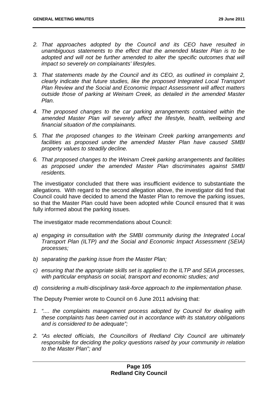- *2. That approaches adopted by the Council and its CEO have resulted in unambiguous statements to the effect that the amended Master Plan is to be*  adopted and will not be further amended to alter the specific outcomes that will *impact so severely on complainants' lifestyles.*
- *3. That statements made by the Council and its CEO, as outlined in complaint 2, clearly indicate that future studies, like the proposed Integrated Local Transport Plan Review and the Social and Economic Impact Assessment will affect matters outside those of parking at Weinam Creek, as detailed in the amended Master Plan.*
- *4. The proposed changes to the car parking arrangements contained within the amended Master Plan will severely affect the lifestyle, health, wellbeing and financial situation of the complainants.*
- *5. That the proposed changes to the Weinam Creek parking arrangements and facilities as proposed under the amended Master Plan have caused SMBI property values to steadily decline.*
- *6. That proposed changes to the Weinam Creek parking arrangements and facilities as proposed under the amended Master Plan discriminates against SMBI residents.*

The investigator concluded that there was insufficient evidence to substantiate the allegations. With regard to the second allegation above, the investigator did find that Council could have decided to amend the Master Plan to remove the parking issues, so that the Master Plan could have been adopted while Council ensured that it was fully informed about the parking issues.

The investigator made recommendations about Council:

- *a) engaging in consultation with the SMBI community during the Integrated Local Transport Plan (ILTP) and the Social and Economic Impact Assessment (SEIA) processes;*
- *b) separating the parking issue from the Master Plan;*
- *c) ensuring that the appropriate skills set is applied to the ILTP and SEIA processes, with particular emphasis on social, transport and economic studies; and*
- *d) considering a multi-disciplinary task-force approach to the implementation phase.*

The Deputy Premier wrote to Council on 6 June 2011 advising that:

- *1. ".... the complaints management process adopted by Council for dealing with these complaints has been carried out in accordance with its statutory obligations and is considered to be adequate";*
- *2. "As elected officials, the Councillors of Redland City Council are ultimately responsible for deciding the policy questions raised by your community in relation to the Master Plan"; and*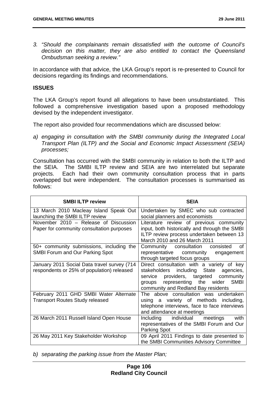*3. "Should the complainants remain dissatisfied with the outcome of Council's decision on this matter, they are also entitled to contact the Queensland Ombudsman seeking a review."* 

In accordance with that advice, the LKA Group's report is re-presented to Council for decisions regarding its findings and recommendations.

### **ISSUES**

The LKA Group's report found all allegations to have been unsubstantiated. This followed a comprehensive investigation based upon a proposed methodology devised by the independent investigator.

The report also provided four recommendations which are discussed below:

*a) engaging in consultation with the SMBI community during the Integrated Local Transport Plan (ILTP) and the Social and Economic Impact Assessment (SEIA) processes;* 

Consultation has occurred with the SMBI community in relation to both the ILTP and the SEIA. The SMBI ILTP review and SEIA are two interrelated but separate projects. Each had their own community consultation process that in parts overlapped but were independent. The consultation processes is summarised as follows:

| <b>SMBI ILTP review</b>                                                                   | <b>SEIA</b>                                                                                                                                                                                                               |
|-------------------------------------------------------------------------------------------|---------------------------------------------------------------------------------------------------------------------------------------------------------------------------------------------------------------------------|
| 13 March 2010 Macleay Island Speak Out<br>launching the SMBI ILTP review                  | Undertaken by SMEC who sub contracted<br>social planners and economists                                                                                                                                                   |
| November 2010 - Release of Discussion<br>Paper for community consultation purposes        | Literature review of previous community<br>input, both historically and through the SMBI<br>ILTP review process undertaken between 13<br>March 2010 and 26 March 2011                                                     |
| 50+ community submissions, including the<br><b>SMBI Forum and Our Parking Spot</b>        | Community consultation consisted<br>Ωf<br>representative community<br>engagement<br>through targeted focus groups                                                                                                         |
| January 2011 Social Data travel survey (714<br>respondents or 25% of population) released | Direct consultation with a variety of key<br>including State agencies,<br>stakeholders<br>providers, targeted community<br>service<br>groups representing the wider<br><b>SMBI</b><br>community and Redland Bay residents |
| February 2011 GHD SMBI Water Alternate<br><b>Transport Routes Study released</b>          | The above consultation was undertaken<br>a variety of methods including,<br>using<br>telephone interviews, face to face interviews<br>and attendance at meetings                                                          |
| 26 March 2011 Russell Island Open House                                                   | with<br>Including individual<br>meetings<br>representatives of the SMBI Forum and Our<br>Parking Spot                                                                                                                     |
| 26 May 2011 Key Stakeholder Workshop                                                      | 09 April 2011 Findings to date presented to<br>the SMBI Communities Advisory Committee                                                                                                                                    |

*b) separating the parking issue from the Master Plan;*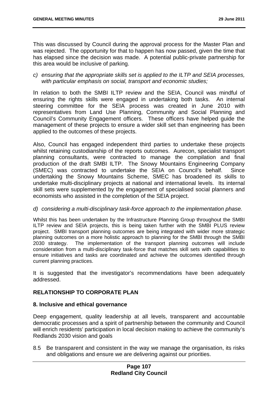This was discussed by Council during the approval process for the Master Plan and was rejected. The opportunity for that to happen has now passed, given the time that has elapsed since the decision was made. A potential public-private partnership for this area would be inclusive of parking.

*c) ensuring that the appropriate skills set is applied to the ILTP and SEIA processes, with particular emphasis on social, transport and economic studies;* 

In relation to both the SMBI ILTP review and the SEIA, Council was mindful of ensuring the rights skills were engaged in undertaking both tasks. An internal steering committee for the SEIA process was created in June 2010 with representatives from Land Use Planning, Community and Social Planning and Council's Community Engagement officers. These officers have helped guide the management of these projects to ensure a wider skill set than engineering has been applied to the outcomes of these projects.

Also, Council has engaged independent third parties to undertake these projects whilst retaining custodianship of the reports outcomes. Aurecon, specialist transport planning consultants, were contracted to manage the compilation and final production of the draft SMBI ILTP. The Snowy Mountains Engineering Company (SMEC) was contracted to undertake the SEIA on Council's behalf. Since undertaking the Snowy Mountains Scheme, SMEC has broadened its skills to undertake multi-disciplinary projects at national and international levels. Its internal skill sets were supplemented by the engagement of specialised social planners and economists who assisted in the completion of the SEIA project.

#### *d) considering a multi-disciplinary task-force approach to the implementation phase.*

Whilst this has been undertaken by the Infrastructure Planning Group throughout the SMBI ILTP review and SEIA projects, this is being taken further with the SMBI PLUS review project. SMBI transport planning outcomes are being integrated with wider more strategic planning outcomes on a more holistic approach to planning for the SMBI through the SMBI 2030 strategy. The implementation of the transport planning outcomes will include consideration from a multi-disciplinary task-force that matches skill sets with capabilities to ensure initiatives and tasks are coordinated and achieve the outcomes identified through current planning practices.

It is suggested that the investigator's recommendations have been adequately addressed.

### **RELATIONSHIP TO CORPORATE PLAN**

#### **8. Inclusive and ethical governance**

Deep engagement, quality leadership at all levels, transparent and accountable democratic processes and a spirit of partnership between the community and Council will enrich residents' participation in local decision making to achieve the community's Redlands 2030 vision and goals

8.5 Be transparent and consistent in the way we manage the organisation, its risks and obligations and ensure we are delivering against our priorities.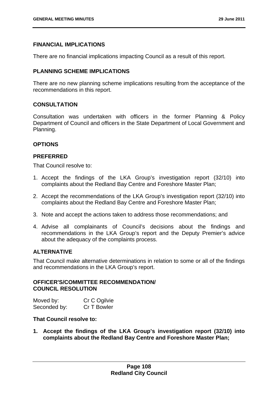### **FINANCIAL IMPLICATIONS**

There are no financial implications impacting Council as a result of this report.

### **PLANNING SCHEME IMPLICATIONS**

There are no new planning scheme implications resulting from the acceptance of the recommendations in this report.

### **CONSULTATION**

Consultation was undertaken with officers in the former Planning & Policy Department of Council and officers in the State Department of Local Government and Planning.

### **OPTIONS**

### **PREFERRED**

That Council resolve to:

- 1. Accept the findings of the LKA Group's investigation report (32/10) into complaints about the Redland Bay Centre and Foreshore Master Plan;
- 2. Accept the recommendations of the LKA Group's investigation report (32/10) into complaints about the Redland Bay Centre and Foreshore Master Plan;
- 3. Note and accept the actions taken to address those recommendations; and
- 4. Advise all complainants of Council's decisions about the findings and recommendations in the LKA Group's report and the Deputy Premier's advice about the adequacy of the complaints process.

### **ALTERNATIVE**

That Council make alternative determinations in relation to some or all of the findings and recommendations in the LKA Group's report.

### **OFFICER'S/COMMITTEE RECOMMENDATION/ COUNCIL RESOLUTION**

| Moved by:    | Cr C Ogilvie |
|--------------|--------------|
| Seconded by: | Cr T Bowler  |

#### **That Council resolve to:**

**1. Accept the findings of the LKA Group's investigation report (32/10) into complaints about the Redland Bay Centre and Foreshore Master Plan;**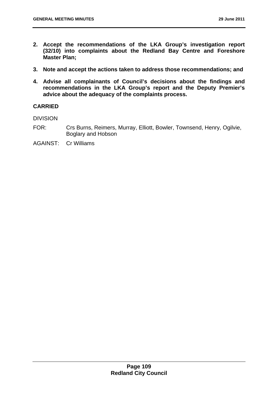- **2. Accept the recommendations of the LKA Group's investigation report (32/10) into complaints about the Redland Bay Centre and Foreshore Master Plan;**
- **3. Note and accept the actions taken to address those recommendations; and**
- **4. Advise all complainants of Council's decisions about the findings and recommendations in the LKA Group's report and the Deputy Premier's advice about the adequacy of the complaints process.**

### **CARRIED**

DIVISION

- FOR: Crs Burns, Reimers, Murray, Elliott, Bowler, Townsend, Henry, Ogilvie, Boglary and Hobson
- AGAINST: Cr Williams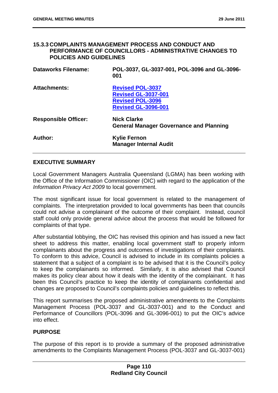#### **15.3.3 COMPLAINTS MANAGEMENT PROCESS AND CONDUCT AND PERFORMANCE OF COUNCILLORS - ADMINISTRATIVE CHANGES TO POLICIES AND GUIDELINES**

| <b>Dataworks Filename:</b>  | POL-3037, GL-3037-001, POL-3096 and GL-3096-<br>001                                                            |
|-----------------------------|----------------------------------------------------------------------------------------------------------------|
| <b>Attachments:</b>         | <b>Revised POL-3037</b><br><b>Revised GL-3037-001</b><br><b>Revised POL-3096</b><br><b>Revised GL-3096-001</b> |
| <b>Responsible Officer:</b> | <b>Nick Clarke</b><br><b>General Manager Governance and Planning</b>                                           |
| Author:                     | <b>Kylie Fernon</b><br><b>Manager Internal Audit</b>                                                           |

### **EXECUTIVE SUMMARY**

Local Government Managers Australia Queensland (LGMA) has been working with the Office of the Information Commissioner (OIC) with regard to the application of the *Information Privacy Act 2009* to local government.

The most significant issue for local government is related to the management of complaints. The interpretation provided to local governments has been that councils could not advise a complainant of the outcome of their complaint. Instead, council staff could only provide general advice about the process that would be followed for complaints of that type.

After substantial lobbying, the OIC has revised this opinion and has issued a new fact sheet to address this matter, enabling local government staff to properly inform complainants about the progress and outcomes of investigations of their complaints. To conform to this advice, Council is advised to include in its complaints policies a statement that a subject of a complaint is to be advised that it is the Council's policy to keep the complainants so informed. Similarly, it is also advised that Council makes its policy clear about how it deals with the identity of the complainant. It has been this Council's practice to keep the identity of complainants confidential and changes are proposed to Council's complaints policies and guidelines to reflect this.

This report summarises the proposed administrative amendments to the Complaints Management Process (POL-3037 and GL-3037-001) and to the Conduct and Performance of Councillors (POL-3096 and GL-3096-001) to put the OIC's advice into effect.

### **PURPOSE**

The purpose of this report is to provide a summary of the proposed administrative amendments to the Complaints Management Process (POL-3037 and GL-3037-001)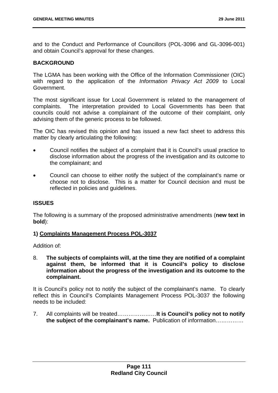and to the Conduct and Performance of Councillors (POL-3096 and GL-3096-001) and obtain Council's approval for these changes.

### **BACKGROUND**

The LGMA has been working with the Office of the Information Commissioner (OIC) with regard to the application of the *Information Privacy Act 2009* to Local Government.

The most significant issue for Local Government is related to the management of complaints. The interpretation provided to Local Governments has been that councils could not advise a complainant of the outcome of their complaint, only advising them of the generic process to be followed.

The OIC has revised this opinion and has issued a new fact sheet to address this matter by clearly articulating the following:

- Council notifies the subject of a complaint that it is Council's usual practice to disclose information about the progress of the investigation and its outcome to the complainant; and
- Council can choose to either notify the subject of the complainant's name or choose not to disclose. This is a matter for Council decision and must be reflected in policies and guidelines.

### **ISSUES**

The following is a summary of the proposed administrative amendments (**new text in bold**):

#### **1) Complaints Management Process POL-3037**

Addition of:

8. **The subjects of complaints will, at the time they are notified of a complaint against them, be informed that it is Council's policy to disclose information about the progress of the investigation and its outcome to the complainant.**

It is Council's policy not to notify the subject of the complainant's name. To clearly reflect this in Council's Complaints Management Process POL-3037 the following needs to be included:

7. All complaints will be treated…………………**It is Council's policy not to notify the subject of the complainant's name.** Publication of information……………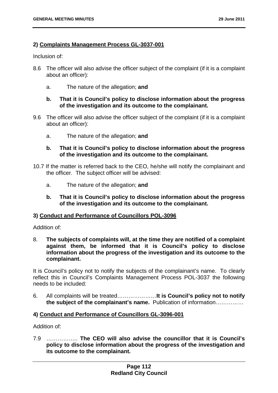### **2) Complaints Management Process GL-3037-001**

Inclusion of:

- 8.6 The officer will also advise the officer subject of the complaint (if it is a complaint about an officer):
	- a. The nature of the allegation; **and**

### **b. That it is Council's policy to disclose information about the progress of the investigation and its outcome to the complainant.**

- 9.6 The officer will also advise the officer subject of the complaint (if it is a complaint about an officer):
	- a. The nature of the allegation; **and**

### **b. That it is Council's policy to disclose information about the progress of the investigation and its outcome to the complainant.**

- 10.7 If the matter is referred back to the CEO, he/she will notify the complainant and the officer. The subject officer will be advised:
	- a. The nature of the allegation; **and**
	- **b. That it is Council's policy to disclose information about the progress of the investigation and its outcome to the complainant.**

### **3) Conduct and Performance of Councillors POL-3096**

Addition of:

8. **The subjects of complaints will, at the time they are notified of a complaint against them, be informed that it is Council's policy to disclose information about the progress of the investigation and its outcome to the complainant.**

It is Council's policy not to notify the subjects of the complainant's name. To clearly reflect this in Council's Complaints Management Process POL-3037 the following needs to be included:

6. All complaints will be treated…………………**It is Council's policy not to notify the subject of the complainant's name.** Publication of information……………

#### **4) Conduct and Performance of Councillors GL-3096-001**

Addition of:

7.9 …………….. **The CEO will also advise the councillor that it is Council's policy to disclose information about the progress of the investigation and its outcome to the complainant.**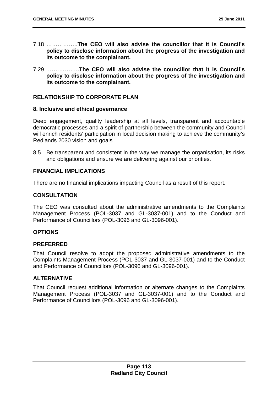- 7.18 ……………..**The CEO will also advise the councillor that it is Council's policy to disclose information about the progress of the investigation and its outcome to the complainant.**
- 7.29 ……………..**The CEO will also advise the councillor that it is Council's policy to disclose information about the progress of the investigation and its outcome to the complainant.**

### **RELATIONSHIP TO CORPORATE PLAN**

#### **8. Inclusive and ethical governance**

Deep engagement, quality leadership at all levels, transparent and accountable democratic processes and a spirit of partnership between the community and Council will enrich residents' participation in local decision making to achieve the community's Redlands 2030 vision and goals

8.5 Be transparent and consistent in the way we manage the organisation, its risks and obligations and ensure we are delivering against our priorities.

# **FINANCIAL IMPLICATIONS**

There are no financial implications impacting Council as a result of this report.

### **CONSULTATION**

The CEO was consulted about the administrative amendments to the Complaints Management Process (POL-3037 and GL-3037-001) and to the Conduct and Performance of Councillors (POL-3096 and GL-3096-001).

### **OPTIONS**

#### **PREFERRED**

That Council resolve to adopt the proposed administrative amendments to the Complaints Management Process (POL-3037 and GL-3037-001) and to the Conduct and Performance of Councillors (POL-3096 and GL-3096-001).

# **ALTERNATIVE**

That Council request additional information or alternate changes to the Complaints Management Process (POL-3037 and GL-3037-001) and to the Conduct and Performance of Councillors (POL-3096 and GL-3096-001).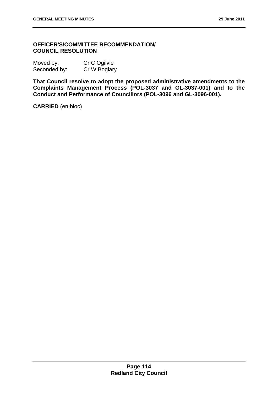### **OFFICER'S/COMMITTEE RECOMMENDATION/ COUNCIL RESOLUTION**

| Moved by:    | Cr C Ogilvie |
|--------------|--------------|
| Seconded by: | Cr W Boglary |

**That Council resolve to adopt the proposed administrative amendments to the Complaints Management Process (POL-3037 and GL-3037-001) and to the Conduct and Performance of Councillors (POL-3096 and GL-3096-001).** 

**CARRIED** (en bloc)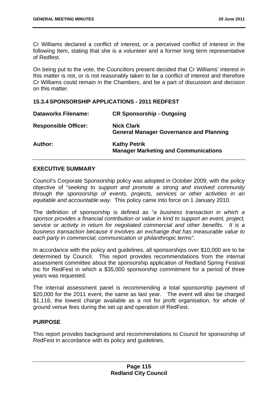Cr Williams declared a conflict of interest, or a perceived conflict of interest in the following Item, stating that she is a volunteer and a former long term representative of Redfest.

On being put to the vote, the Councillors present decided that Cr Williams' interest in this matter is not, or is not reasonably taken to be a conflict of interest and therefore Cr Williams could remain in the Chambers, and be a part of discussion and decision on this matter.

#### **15.3.4 SPONSORSHIP APPLICATIONS - 2011 REDFEST**

| <b>Dataworks Filename:</b>  | <b>CR Sponsorship - Outgoing</b>                                    |
|-----------------------------|---------------------------------------------------------------------|
| <b>Responsible Officer:</b> | <b>Nick Clark</b><br><b>General Manager Governance and Planning</b> |
| Author:                     | <b>Kathy Petrik</b><br><b>Manager Marketing and Communications</b>  |

### **EXECUTIVE SUMMARY**

Council's Corporate Sponsorship policy was adopted in October 2009, with the policy objective of "*seeking to support and promote a strong and involved community through the sponsorship of events, projects, services or other activities in an equitable and accountable way.* This policy came into force on 1 January 2010.

The definition of sponsorship is defined as "*a business transaction in which a sponsor provides a financial contribution or value in kind to support an event, project, service or activity in return for negotiated commercial and other benefits. It is a business transaction because it involves an exchange that has measurable value to each party in commercial, communication or philanthropic terms".* 

In accordance with the policy and guidelines, all sponsorships over \$10,000 are to be determined by Council. This report provides recommendations from the internal assessment committee about the sponsorship application of Redland Spring Festival Inc for RedFest in which a \$35,000 sponsorship commitment for a period of three years was requested.

The internal assessment panel is recommending a total sponsorship payment of \$20,000 for the 2011 event, the same as last year. The event will also be charged \$1,116, the lowest charge available as a not for profit organisation, for whole of ground venue fees during the set up and operation of RedFest.

### **PURPOSE**

This report provides background and recommendations to Council for sponsorship of RedFest in accordance with its policy and guidelines.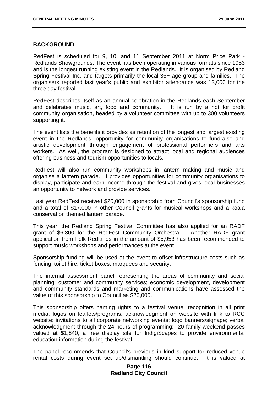#### **BACKGROUND**

RedFest is scheduled for 9, 10, and 11 September 2011 at Norm Price Park - Redlands Showgrounds. The event has been operating in various formats since 1953 and is the longest running existing event in the Redlands. It is organised by Redland Spring Festival Inc. and targets primarily the local 35+ age group and families. The organisers reported last year's public and exhibitor attendance was 13,000 for the three day festival.

RedFest describes itself as an annual celebration in the Redlands each September and celebrates music, art, food and community. It is run by a not for profit community organisation, headed by a volunteer committee with up to 300 volunteers supporting it.

The event lists the benefits it provides as retention of the longest and largest existing event in the Redlands, opportunity for community organisations to fundraise and artistic development through engagement of professional performers and arts workers. As well, the program is designed to attract local and regional audiences offering business and tourism opportunities to locals.

RedFest will also run community workshops in lantern making and music and organise a lantern parade. It provides opportunities for community organisations to display, participate and earn income through the festival and gives local businesses an opportunity to network and provide services.

Last year RedFest received \$20,000 in sponsorship from Council's sponsorship fund and a total of \$17,000 in other Council grants for musical workshops and a koala conservation themed lantern parade.

This year, the Redland Spring Festival Committee has also applied for an RADF grant of \$6,300 for the RedFest Community Orchestra. Another RADF grant application from Folk Redlands in the amount of \$5,953 has been recommended to support music workshops and performances at the event.

Sponsorship funding will be used at the event to offset infrastructure costs such as fencing, toilet hire, ticket boxes, marquees and security.

The internal assessment panel representing the areas of community and social planning; customer and community services; economic development, development and community standards and marketing and communications have assessed the value of this sponsorship to Council as \$20,000.

This sponsorship offers naming rights to a festival venue, recognition in all print media; logos on leaflets/programs; acknowledgment on website with link to RCC website; invitations to all corporate networking events; logo banners/signage; verbal acknowledgment through the 24 hours of programming; 20 family weekend passes valued at \$1,840; a free display site for IndigiScapes to provide environmental education information during the festival.

The panel recommends that Council's previous in kind support for reduced venue rental costs during event set up/dismantling should continue. It is valued at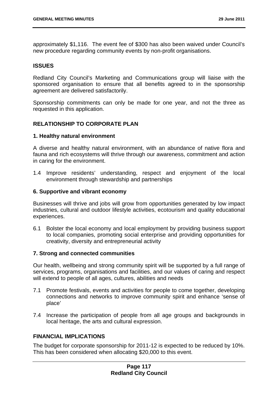approximately \$1,116. The event fee of \$300 has also been waived under Council's new procedure regarding community events by non-profit organisations.

### **ISSUES**

Redland City Council's Marketing and Communications group will liaise with the sponsored organisation to ensure that all benefits agreed to in the sponsorship agreement are delivered satisfactorily.

Sponsorship commitments can only be made for one year, and not the three as requested in this application.

### **RELATIONSHIP TO CORPORATE PLAN**

#### **1. Healthy natural environment**

A diverse and healthy natural environment, with an abundance of native flora and fauna and rich ecosystems will thrive through our awareness, commitment and action in caring for the environment.

1.4 Improve residents' understanding, respect and enjoyment of the local environment through stewardship and partnerships

#### **6. Supportive and vibrant economy**

Businesses will thrive and jobs will grow from opportunities generated by low impact industries, cultural and outdoor lifestyle activities, ecotourism and quality educational experiences.

6.1 Bolster the local economy and local employment by providing business support to local companies, promoting social enterprise and providing opportunities for creativity, diversity and entrepreneurial activity

#### **7. Strong and connected communities**

Our health, wellbeing and strong community spirit will be supported by a full range of services, programs, organisations and facilities, and our values of caring and respect will extend to people of all ages, cultures, abilities and needs

- 7.1 Promote festivals, events and activities for people to come together, developing connections and networks to improve community spirit and enhance 'sense of place'
- 7.4 Increase the participation of people from all age groups and backgrounds in local heritage, the arts and cultural expression.

#### **FINANCIAL IMPLICATIONS**

The budget for corporate sponsorship for 2011-12 is expected to be reduced by 10%. This has been considered when allocating \$20,000 to this event.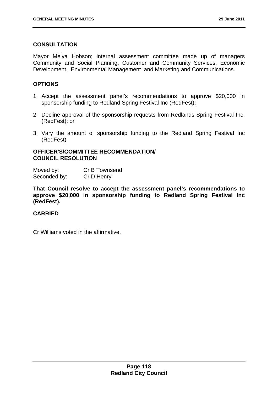## **CONSULTATION**

Mayor Melva Hobson; internal assessment committee made up of managers Community and Social Planning, Customer and Community Services, Economic Development, Environmental Management and Marketing and Communications.

### **OPTIONS**

- 1. Accept the assessment panel's recommendations to approve \$20,000 in sponsorship funding to Redland Spring Festival Inc (RedFest);
- 2. Decline approval of the sponsorship requests from Redlands Spring Festival Inc. (RedFest); or
- 3. Vary the amount of sponsorship funding to the Redland Spring Festival Inc (RedFest)

### **OFFICER'S/COMMITTEE RECOMMENDATION/ COUNCIL RESOLUTION**

Moved by: Cr B Townsend Seconded by: Cr D Henry

**That Council resolve to accept the assessment panel's recommendations to approve \$20,000 in sponsorship funding to Redland Spring Festival Inc (RedFest).** 

### **CARRIED**

Cr Williams voted in the affirmative.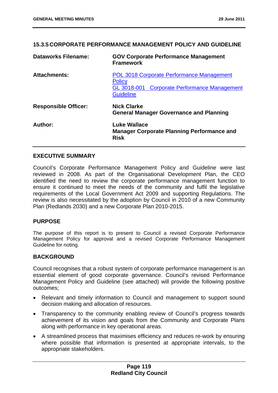### **15.3.5 CORPORATE PERFORMANCE MANAGEMENT POLICY AND GUIDELINE**

| <b>Dataworks Filename:</b>  | <b>GOV Corporate Performance Management</b><br><b>Framework</b>                                                                       |
|-----------------------------|---------------------------------------------------------------------------------------------------------------------------------------|
| <b>Attachments:</b>         | <b>POL 3018 Corporate Performance Management</b><br><b>Policy</b><br>GL 3018-001 Corporate Performance Management<br><b>Guideline</b> |
| <b>Responsible Officer:</b> | <b>Nick Clarke</b><br><b>General Manager Governance and Planning</b>                                                                  |
| Author:                     | <b>Luke Wallace</b><br><b>Manager Corporate Planning Performance and</b><br><b>Risk</b>                                               |

### **EXECUTIVE SUMMARY**

Council's Corporate Performance Management Policy and Guideline were last reviewed in 2008. As part of the Organisational Development Plan, the CEO identified the need to review the corporate performance management function to ensure it continued to meet the needs of the community and fulfil the legislative requirements of the Local Government Act 2009 and supporting Regulations. The review is also necessitated by the adoption by Council in 2010 of a new Community Plan (Redlands 2030) and a new Corporate Plan 2010-2015.

#### **PURPOSE**

The purpose of this report is to present to Council a revised Corporate Performance Management Policy for approval and a revised Corporate Performance Management Guideline for noting.

### **BACKGROUND**

Council recognises that a robust system of corporate performance management is an essential element of good corporate governance. Council's revised Performance Management Policy and Guideline (see attached) will provide the following positive outcomes;

- Relevant and timely information to Council and management to support sound decision making and allocation of resources.
- Transparency to the community enabling review of Council's progress towards achievement of its vision and goals from the Community and Corporate Plans along with performance in key operational areas.
- A streamlined process that maximises efficiency and reduces re-work by ensuring where possible that information is presented at appropriate intervals, to the appropriate stakeholders.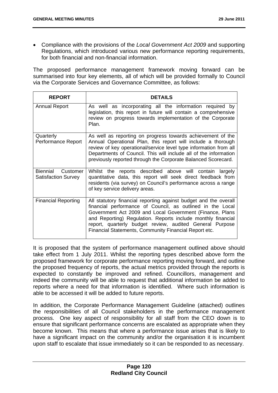Compliance with the provisions of the *Local Government Act 2009* and supporting Regulations, which introduced various new performance reporting requirements, for both financial and non-financial information.

The proposed performance management framework moving forward can be summarised into four key elements, all of which will be provided formally to Council via the Corporate Services and Governance Committee, as follows:

| <b>REPORT</b>                                      | <b>DETAILS</b>                                                                                                                                                                                                                                                                                                                                                                  |
|----------------------------------------------------|---------------------------------------------------------------------------------------------------------------------------------------------------------------------------------------------------------------------------------------------------------------------------------------------------------------------------------------------------------------------------------|
| <b>Annual Report</b>                               | As well as incorporating all the information required by<br>legislation, this report in future will contain a comprehensive<br>review on progress towards implementation of the Corporate<br>Plan.                                                                                                                                                                              |
| Quarterly<br>Performance Report                    | As well as reporting on progress towards achievement of the<br>Annual Operational Plan, this report will include a thorough<br>review of key operational/service level type information from all<br>Departments of Council. This will include all of the information<br>previously reported through the Corporate Balanced Scorecard.                                           |
| Biennial<br>Customer<br><b>Satisfaction Survey</b> | Whilst the reports described above will contain largely<br>quantitative data, this report will seek direct feedback from<br>residents (via survey) on Council's performance across a range<br>of key service delivery areas.                                                                                                                                                    |
| <b>Financial Reporting</b>                         | All statutory financial reporting against budget and the overall<br>financial performance of Council, as outlined in the Local<br>Government Act 2009 and Local Government (Finance, Plans<br>and Reporting) Regulation. Reports include monthly financial<br>report, quarterly budget review, audited General Purpose<br>Financial Statements, Community Financial Report etc. |

It is proposed that the system of performance management outlined above should take effect from 1 July 2011. Whilst the reporting types described above form the proposed framework for corporate performance reporting moving forward, and outline the proposed frequency of reports, the actual metrics provided through the reports is expected to constantly be improved and refined. Councillors, management and indeed the community will be able to request that additional information be added to reports where a need for that information is identified. Where such information is able to be accessed it will be added to future reports.

In addition, the Corporate Performance Management Guideline (attached) outlines the responsibilities of all Council stakeholders in the performance management process. One key aspect of responsibility for all staff from the CEO down is to ensure that significant performance concerns are escalated as appropriate when they become known. This means that where a performance issue arises that is likely to have a significant impact on the community and/or the organisation it is incumbent upon staff to escalate that issue immediately so it can be responded to as necessary.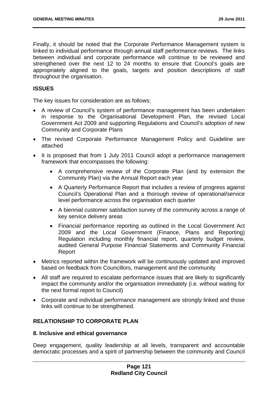Finally, it should be noted that the Corporate Performance Management system is linked to individual performance through annual staff performance reviews. The links between individual and corporate performance will continue to be reviewed and strengthened over the next 12 to 24 months to ensure that Council's goals are appropriately aligned to the goals, targets and position descriptions of staff throughout the organisation.

# **ISSUES**

The key issues for consideration are as follows;

- A review of Council's system of performance management has been undertaken in response to the Organisational Development Plan, the revised Local Government Act 2009 and supporting Regulations and Council's adoption of new Community and Corporate Plans
- The revised Corporate Performance Management Policy and Guideline are attached
- It is proposed that from 1 July 2011 Council adopt a performance management framework that encompasses the following:
	- A comprehensive review of the Corporate Plan (and by extension the Community Plan) via the Annual Report each year
	- A Quarterly Performance Report that includes a review of progress against Council's Operational Plan and a thorough review of operational/service level performance across the organisation each quarter
	- A biennial customer satisfaction survey of the community across a range of key service delivery areas
	- Financial performance reporting as outlined in the Local Government Act 2009 and the Local Government (Finance, Plans and Reporting) Regulation including monthly financial report, quarterly budget review, audited General Purpose Financial Statements and Community Financial Report
- Metrics reported within the framework will be continuously updated and improved based on feedback from Councillors, management and the community
- All staff are required to escalate performance issues that are likely to significantly impact the community and/or the organisation immediately (i.e. without waiting for the next formal report to Council)
- Corporate and individual performance management are strongly linked and those links will continue to be strengthened.

# **RELATIONSHIP TO CORPORATE PLAN**

### **8. Inclusive and ethical governance**

Deep engagement, quality leadership at all levels, transparent and accountable democratic processes and a spirit of partnership between the community and Council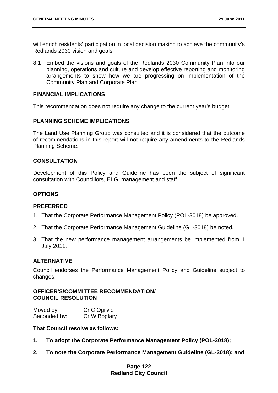will enrich residents' participation in local decision making to achieve the community's Redlands 2030 vision and goals

8.1 Embed the visions and goals of the Redlands 2030 Community Plan into our planning, operations and culture and develop effective reporting and monitoring arrangements to show how we are progressing on implementation of the Community Plan and Corporate Plan

### **FINANCIAL IMPLICATIONS**

This recommendation does not require any change to the current year's budget.

### **PLANNING SCHEME IMPLICATIONS**

The Land Use Planning Group was consulted and it is considered that the outcome of recommendations in this report will not require any amendments to the Redlands Planning Scheme.

#### **CONSULTATION**

Development of this Policy and Guideline has been the subject of significant consultation with Councillors, ELG, management and staff.

### **OPTIONS**

#### **PREFERRED**

- 1. That the Corporate Performance Management Policy (POL-3018) be approved.
- 2. That the Corporate Performance Management Guideline (GL-3018) be noted.
- 3. That the new performance management arrangements be implemented from 1 July 2011.

### **ALTERNATIVE**

Council endorses the Performance Management Policy and Guideline subject to changes.

### **OFFICER'S/COMMITTEE RECOMMENDATION/ COUNCIL RESOLUTION**

| Moved by:    | Cr C Ogilvie |
|--------------|--------------|
| Seconded by: | Cr W Boglary |

#### **That Council resolve as follows:**

- **1. To adopt the Corporate Performance Management Policy (POL-3018);**
- **2. To note the Corporate Performance Management Guideline (GL-3018); and**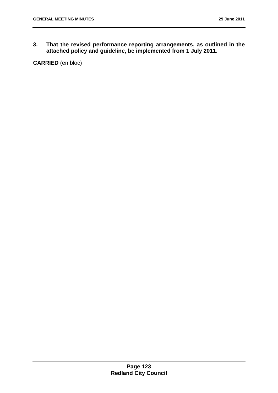**3. That the revised performance reporting arrangements, as outlined in the attached policy and guideline, be implemented from 1 July 2011.** 

**CARRIED** (en bloc)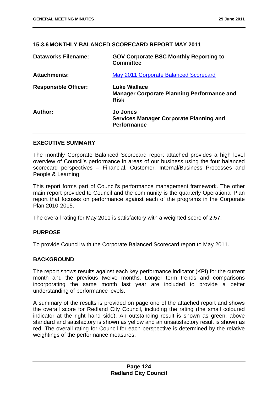### **15.3.6 MONTHLY BALANCED SCORECARD REPORT MAY 2011**

| <b>Dataworks Filename:</b>  | <b>GOV Corporate BSC Monthly Reporting to</b><br><b>Committee</b>                |
|-----------------------------|----------------------------------------------------------------------------------|
| <b>Attachments:</b>         | May 2011 Corporate Balanced Scorecard                                            |
| <b>Responsible Officer:</b> | Luke Wallace<br><b>Manager Corporate Planning Performance and</b><br><b>Risk</b> |
| Author:                     | <b>Jo Jones</b><br>Services Manager Corporate Planning and<br><b>Performance</b> |

### **EXECUTIVE SUMMARY**

The monthly Corporate Balanced Scorecard report attached provides a high level overview of Council's performance in areas of our business using the four balanced scorecard perspectives – Financial, Customer, Internal/Business Processes and People & Learning.

This report forms part of Council's performance management framework. The other main report provided to Council and the community is the quarterly Operational Plan report that focuses on performance against each of the programs in the Corporate Plan 2010-2015.

The overall rating for May 2011 is satisfactory with a weighted score of 2.57.

### **PURPOSE**

To provide Council with the Corporate Balanced Scorecard report to May 2011.

### **BACKGROUND**

The report shows results against each key performance indicator (KPI) for the current month and the previous twelve months. Longer term trends and comparisons incorporating the same month last year are included to provide a better understanding of performance levels.

A summary of the results is provided on page one of the attached report and shows the overall score for Redland City Council, including the rating (the small coloured indicator at the right hand side). An outstanding result is shown as green, above standard and satisfactory is shown as yellow and an unsatisfactory result is shown as red. The overall rating for Council for each perspective is determined by the relative weightings of the performance measures.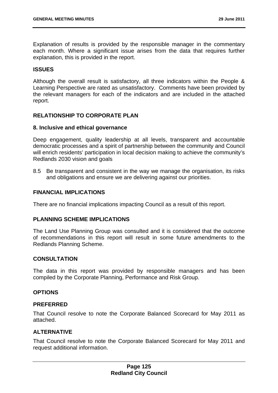Explanation of results is provided by the responsible manager in the commentary each month. Where a significant issue arises from the data that requires further explanation, this is provided in the report.

#### **ISSUES**

Although the overall result is satisfactory, all three indicators within the People & Learning Perspective are rated as unsatisfactory. Comments have been provided by the relevant managers for each of the indicators and are included in the attached report.

### **RELATIONSHIP TO CORPORATE PLAN**

#### **8. Inclusive and ethical governance**

Deep engagement, quality leadership at all levels, transparent and accountable democratic processes and a spirit of partnership between the community and Council will enrich residents' participation in local decision making to achieve the community's Redlands 2030 vision and goals

8.5 Be transparent and consistent in the way we manage the organisation, its risks and obligations and ensure we are delivering against our priorities.

### **FINANCIAL IMPLICATIONS**

There are no financial implications impacting Council as a result of this report.

#### **PLANNING SCHEME IMPLICATIONS**

The Land Use Planning Group was consulted and it is considered that the outcome of recommendations in this report will result in some future amendments to the Redlands Planning Scheme.

#### **CONSULTATION**

The data in this report was provided by responsible managers and has been compiled by the Corporate Planning, Performance and Risk Group.

#### **OPTIONS**

#### **PREFERRED**

That Council resolve to note the Corporate Balanced Scorecard for May 2011 as attached.

#### **ALTERNATIVE**

That Council resolve to note the Corporate Balanced Scorecard for May 2011 and request additional information.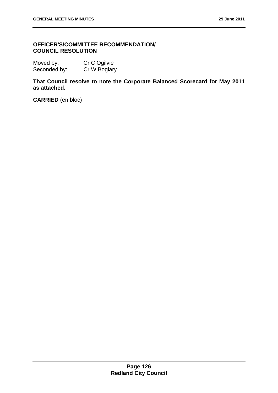# **OFFICER'S/COMMITTEE RECOMMENDATION/ COUNCIL RESOLUTION**

| Moved by:    | Cr C Ogilvie |
|--------------|--------------|
| Seconded by: | Cr W Boglary |

**That Council resolve to note the Corporate Balanced Scorecard for May 2011 as attached.** 

**CARRIED** (en bloc)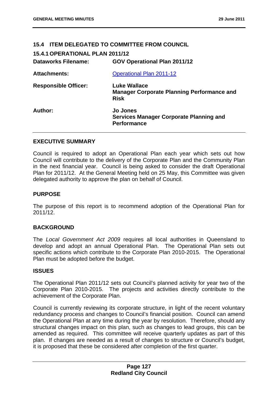# **15.4 ITEM DELEGATED TO COMMITTEE FROM COUNCIL**

**15.4.1 OPERATIONAL PLAN 2011/12** 

| <b>Dataworks Filename:</b>  | <b>GOV Operational Plan 2011/12</b>                                                     |
|-----------------------------|-----------------------------------------------------------------------------------------|
| <b>Attachments:</b>         | <b>Operational Plan 2011-12</b>                                                         |
| <b>Responsible Officer:</b> | <b>Luke Wallace</b><br><b>Manager Corporate Planning Performance and</b><br><b>Risk</b> |
| Author:                     | <b>Jo Jones</b><br><b>Services Manager Corporate Planning and</b><br><b>Performance</b> |

### **EXECUTIVE SUMMARY**

Council is required to adopt an Operational Plan each year which sets out how Council will contribute to the delivery of the Corporate Plan and the Community Plan in the next financial year. Council is being asked to consider the draft Operational Plan for 2011/12. At the General Meeting held on 25 May, this Committee was given delegated authority to approve the plan on behalf of Council.

### **PURPOSE**

The purpose of this report is to recommend adoption of the Operational Plan for 2011/12.

### **BACKGROUND**

The *Local Government Act 2009* requires all local authorities in Queensland to develop and adopt an annual Operational Plan. The Operational Plan sets out specific actions which contribute to the Corporate Plan 2010-2015. The Operational Plan must be adopted before the budget.

#### **ISSUES**

The Operational Plan 2011/12 sets out Council's planned activity for year two of the Corporate Plan 2010-2015. The projects and activities directly contribute to the achievement of the Corporate Plan.

Council is currently reviewing its corporate structure, in light of the recent voluntary redundancy process and changes to Council's financial position. Council can amend the Operational Plan at any time during the year by resolution. Therefore, should any structural changes impact on this plan, such as changes to lead groups, this can be amended as required. This committee will receive quarterly updates as part of this plan. If changes are needed as a result of changes to structure or Council's budget, it is proposed that these be considered after completion of the first quarter.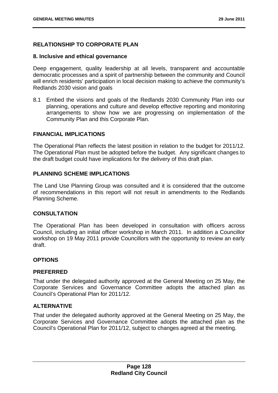## **RELATIONSHIP TO CORPORATE PLAN**

#### **8. Inclusive and ethical governance**

Deep engagement, quality leadership at all levels, transparent and accountable democratic processes and a spirit of partnership between the community and Council will enrich residents' participation in local decision making to achieve the community's Redlands 2030 vision and goals

8.1 Embed the visions and goals of the Redlands 2030 Community Plan into our planning, operations and culture and develop effective reporting and monitoring arrangements to show how we are progressing on implementation of the Community Plan and this Corporate Plan.

#### **FINANCIAL IMPLICATIONS**

The Operational Plan reflects the latest position in relation to the budget for 2011/12. The Operational Plan must be adopted before the budget. Any significant changes to the draft budget could have implications for the delivery of this draft plan.

### **PLANNING SCHEME IMPLICATIONS**

The Land Use Planning Group was consulted and it is considered that the outcome of recommendations in this report will not result in amendments to the Redlands Planning Scheme.

#### **CONSULTATION**

The Operational Plan has been developed in consultation with officers across Council, including an initial officer workshop in March 2011. In addition a Councillor workshop on 19 May 2011 provide Councillors with the opportunity to review an early draft.

### **OPTIONS**

#### **PREFERRED**

That under the delegated authority approved at the General Meeting on 25 May, the Corporate Services and Governance Committee adopts the attached plan as Council's Operational Plan for 2011/12.

### **ALTERNATIVE**

That under the delegated authority approved at the General Meeting on 25 May, the Corporate Services and Governance Committee adopts the attached plan as the Council's Operational Plan for 2011/12, subject to changes agreed at the meeting.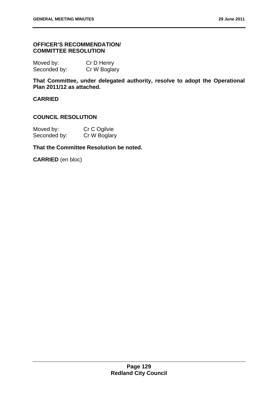### **OFFICER'S RECOMMENDATION/ COMMITTEE RESOLUTION**

| Moved by:    | Cr D Henry   |
|--------------|--------------|
| Seconded by: | Cr W Boglary |

**That Committee, under delegated authority, resolve to adopt the Operational Plan 2011/12 as attached.** 

## **CARRIED**

#### **COUNCIL RESOLUTION**

| Moved by:    | Cr C Ogilvie |
|--------------|--------------|
| Seconded by: | Cr W Boglary |

### **That the Committee Resolution be noted.**

**CARRIED** (en bloc)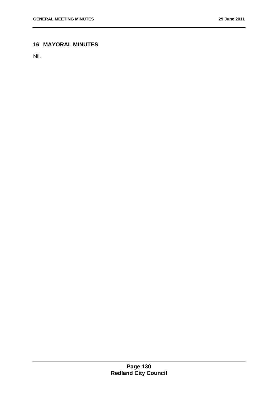# **16 MAYORAL MINUTES**

Nil.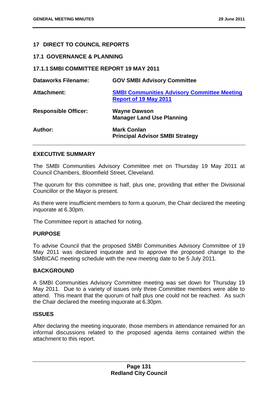### **17 DIRECT TO COUNCIL REPORTS**

### **17.1 GOVERNANCE & PLANNING**

### **17.1.1 SMBI COMMITTEE REPORT 19 MAY 2011**

| <b>Dataworks Filename:</b>  | <b>GOV SMBI Advisory Committee</b>                                                 |
|-----------------------------|------------------------------------------------------------------------------------|
| <b>Attachment:</b>          | <b>SMBI Communities Advisory Committee Meeting</b><br><b>Report of 19 May 2011</b> |
| <b>Responsible Officer:</b> | <b>Wayne Dawson</b><br><b>Manager Land Use Planning</b>                            |
| Author:                     | <b>Mark Conlan</b><br><b>Principal Advisor SMBI Strategy</b>                       |

#### **EXECUTIVE SUMMARY**

The SMBI Communities Advisory Committee met on Thursday 19 May 2011 at Council Chambers, Bloomfield Street, Cleveland.

The quorum for this committee is half, plus one, providing that either the Divisional Councillor or the Mayor is present.

As there were insufficient members to form a quorum, the Chair declared the meeting inquorate at 6.30pm.

The Committee report is attached for noting.

#### **PURPOSE**

To advise Council that the proposed SMBI Communities Advisory Committee of 19 May 2011 was declared inquorate and to approve the proposed change to the SMBICAC meeting schedule with the new meeting date to be 5 July 2011.

#### **BACKGROUND**

A SMBI Communities Advisory Committee meeting was set down for Thursday 19 May 2011. Due to a variety of issues only three Committee members were able to attend. This meant that the quorum of half plus one could not be reached. As such the Chair declared the meeting inquorate at 6.30pm.

### **ISSUES**

After declaring the meeting inquorate, those members in attendance remained for an informal discussions related to the proposed agenda items contained within the attachment to this report.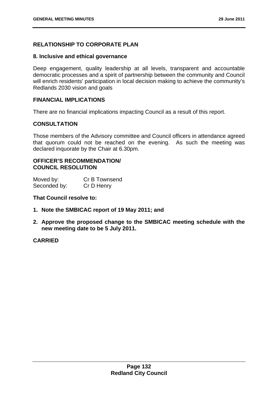# **RELATIONSHIP TO CORPORATE PLAN**

#### **8. Inclusive and ethical governance**

Deep engagement, quality leadership at all levels, transparent and accountable democratic processes and a spirit of partnership between the community and Council will enrich residents' participation in local decision making to achieve the community's Redlands 2030 vision and goals

#### **FINANCIAL IMPLICATIONS**

There are no financial implications impacting Council as a result of this report.

#### **CONSULTATION**

Those members of the Advisory committee and Council officers in attendance agreed that quorum could not be reached on the evening. As such the meeting was declared inquorate by the Chair at 6.30pm.

### **OFFICER'S RECOMMENDATION/ COUNCIL RESOLUTION**

| Moved by:    | Cr B Townsend |
|--------------|---------------|
| Seconded by: | Cr D Henry    |

#### **That Council resolve to:**

- **1. Note the SMBICAC report of 19 May 2011; and**
- **2. Approve the proposed change to the SMBICAC meeting schedule with the new meeting date to be 5 July 2011.**

#### **CARRIED**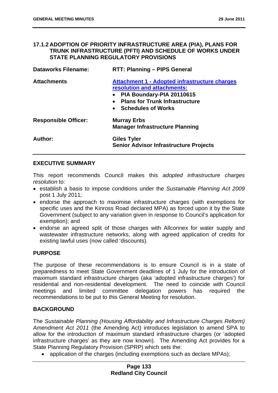### **17.1.2 ADOPTION OF PRIORITY INFRASTRUCTURE AREA (PIA), PLANS FOR TRUNK INFRASTRUCTURE (PFTI) AND SCHEDULE OF WORKS UNDER STATE PLANNING REGULATORY PROVISIONS**

| <b>Dataworks Filename:</b>  | <b>RTT: Planning - PIPS General</b>                                                                                                                                                                                           |
|-----------------------------|-------------------------------------------------------------------------------------------------------------------------------------------------------------------------------------------------------------------------------|
| <b>Attachments</b>          | <b>Attachment 1 - Adopted infrastructure charges</b><br>resolution and attachments:<br>PIA Boundary-PIA 20110615<br>$\bullet$<br><b>Plans for Trunk Infrastructure</b><br>$\bullet$<br><b>Schedules of Works</b><br>$\bullet$ |
| <b>Responsible Officer:</b> | <b>Murray Erbs</b><br><b>Manager Infrastructure Planning</b>                                                                                                                                                                  |
| Author:                     | Giles Tyler<br><b>Senior Advisor Infrastructure Projects</b>                                                                                                                                                                  |

### **EXECUTIVE SUMMARY**

This report recommends Council makes this *adopted infrastructure charges resolution* to:

- establish a basis to impose conditions under the *Sustainable Planning Act 2009* post 1 July 2011*;*
- endorse the approach to maximise infrastructure charges (with exemptions for specific uses and the Kinross Road declared MPA) as forced upon it by the State Government (subject to any variation given in response to Council's application for exemption); and
- endorse an agreed split of those charges with Allconnex for water supply and wastewater infrastructure networks, along with agreed application of credits for existing lawful uses (now called 'discounts).

### **PURPOSE**

The purpose of these recommendations is to ensure Council is in a state of preparedness to meet State Government deadlines of 1 July for the introduction of maximum standard infrastructure charges (aka 'adopted infrastructure charges') for residential and non-residential development. The need to coincide with Council meetings and limited committee delegation powers has required the recommendations to be put to this General Meeting for resolution.

### **BACKGROUND**

The *Sustainable Planning (Housing Affordability and Infrastructure Charges Reform) Amendment Act 2011* (the Amending Act) introduces legislation to amend SPA to allow for the introduction of maximum standard infrastructure charges (or 'adopted infrastructure charges' as they are now known). The Amending Act provides for a State Planning Regulatory Provision (SPRP) which sets the:

• application of the charges (including exemptions such as declare MPAs);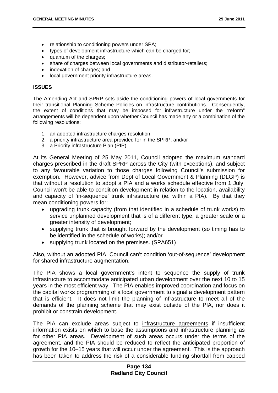- relationship to conditioning powers under SPA:
- types of development infrastructure which can be charged for;
- quantum of the charges;
- share of charges between local governments and distributor-retailers;
- indexation of charges; and
- local government priority infrastructure areas.

#### **ISSUES**

The Amending Act and SPRP sets aside the conditioning powers of local governments for their transitional Planning Scheme Policies on infrastructure contributions. Consequently, the extent of conditions that may be imposed for infrastructure under the "reform" arrangements will be dependent upon whether Council has made any or a combination of the following resolutions:

- 1. an adopted infrastructure charges resolution;
- 2. a priority infrastructure area provided for in the SPRP; and/or
- 3. a Priority infrastructure Plan (PIP).

At its General Meeting of 25 May 2011, Council adopted the maximum standard charges prescribed in the draft SPRP across the City (with exceptions), and subject to any favourable variation to those charges following Council's submission for exemption. However, advice from Dept of Local Government & Planning (DLGP) is that without a resolution to adopt a PIA and a works schedule effective from 1 July, Council won't be able to condition development in relation to the location, availability and capacity of 'in-sequence' trunk infrastructure (ie. within a PIA). By that they mean conditioning powers for:

- upgrading trunk capacity (from that identified in a schedule of trunk works) to service unplanned development that is of a different type, a greater scale or a greater intensity of development;
- supplying trunk that is brought forward by the development (so timing has to be identified in the schedule of works); and/or
- supplying trunk located on the premises. (SPA651)

Also, without an adopted PIA, Council can't condition 'out-of-sequence' development for shared infrastructure augmentation.

The PIA shows a local government's intent to sequence the supply of trunk infrastructure to accommodate anticipated urban development over the next 10 to 15 years in the most efficient way. The PIA enables improved coordination and focus on the capital works programming of a local government to signal a development pattern that is efficient. It does not limit the planning of infrastructure to meet all of the demands of the planning scheme that may exist outside of the PIA, nor does it prohibit or constrain development.

The PIA can exclude areas subject to infrastructure agreements if insufficient information exists on which to base the assumptions and infrastructure planning as for other PIA areas. Development of such areas occurs under the terms of the agreement, and the PIA should be reduced to reflect the anticipated proportion of growth for the 10–15 years that will occur under the agreement. This is the approach has been taken to address the risk of a considerable funding shortfall from capped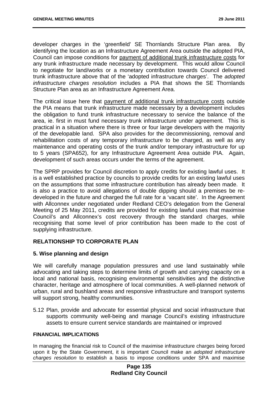developer charges in the 'greenfield' SE Thornlands Structure Plan area. By identifying the location as an Infrastructure Agreement Area outside the adopted PIA, Council can impose conditions for payment of additional trunk infrastructure costs for any trunk infrastructure made necessary by development. This would allow Council to negotiate for land/works or a monetary contribution towards Council delivered trunk infrastructure above that of the 'adopted infrastructure charges'. The *adopted infrastructure charges resolution* includes a PIA that shows the SE Thornlands Structure Plan area as an Infrastructure Agreement Area.

The critical issue here that payment of additional trunk infrastructure costs outside the PIA means that trunk infrastructure made necessary by a development includes the obligation to fund trunk infrastructure necessary to service the balance of the area, ie. first in must fund necessary trunk infrastructure under agreement. This is practical in a situation where there is three or four large developers with the majority of the developable land. SPA also provides for the decommissioning, removal and rehabilitation costs of any temporary infrastructure to be charged, as well as any maintenance and operating costs of the trunk and/or temporary infrastructure for up to 5 years (SPA652), for any Infrastructure Agreement Area outside PIA. Again, development of such areas occurs under the terms of the agreement.

The SPRP provides for Council discretion to apply credits for existing lawful uses. It is a well established practice by councils to provide credits for an existing lawful uses on the assumptions that some infrastructure contribution has already been made. It is also a practice to avoid allegations of double dipping should a premises be redeveloped in the future and charged the full rate for a 'vacant site'. In the Agreement with Allconnex under negotiated under Redland CEO's delegation from the General Meeting of 25 May 2011, credits are provided for existing lawful uses that maximise Council's and Allconnex's cost recovery through the standard charges, while recognising that some level of prior contribution has been made to the cost of supplying infrastructure.

### **RELATIONSHIP TO CORPORATE PLAN**

#### **5. Wise planning and design**

We will carefully manage population pressures and use land sustainably while advocating and taking steps to determine limits of growth and carrying capacity on a local and national basis, recognising environmental sensitivities and the distinctive character, heritage and atmosphere of local communities. A well-planned network of urban, rural and bushland areas and responsive infrastructure and transport systems will support strong, healthy communities.

5.12 Plan, provide and advocate for essential physical and social infrastructure that supports community well-being and manage Council's existing infrastructure assets to ensure current service standards are maintained or improved

#### **FINANCIAL IMPLICATIONS**

In managing the financial risk to Council of the maximise infrastructure charges being forced upon it by the State Government, it is important Council make an *adopted infrastructure charges resolution* to establish a basis to impose conditions under SPA and maximise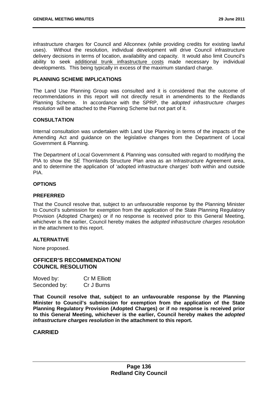infrastructure charges for Council and Allconnex (while providing credits for existing lawful uses). Without the resolution, individual development will drive Council infrastructure delivery decisions in terms of location, availability and capacity. It would also limit Council's ability to seek additional trunk infrastructure costs made necessary by individual developments. This being typically in excess of the maximum standard charge.

#### **PLANNING SCHEME IMPLICATIONS**

The Land Use Planning Group was consulted and it is considered that the outcome of recommendations in this report will not directly result in amendments to the Redlands Planning Scheme. In accordance with the SPRP, the *adopted infrastructure charges resolution* will be attached to the Planning Scheme but not part of it.

#### **CONSULTATION**

Internal consultation was undertaken with Land Use Planning in terms of the impacts of the Amending Act and guidance on the legislative changes from the Department of Local Government & Planning.

The Department of Local Government & Planning was consulted with regard to modifying the PIA to show the SE Thornlands Structure Plan area as an Infrastructure Agreement area, and to determine the application of 'adopted infrastructure charges' both within and outside PIA.

#### **OPTIONS**

#### **PREFERRED**

That the Council resolve that, subject to an unfavourable response by the Planning Minister to Council's submission for exemption from the application of the State Planning Regulatory Provision (Adopted Charges) or if no response is received prior to this General Meeting, whichever is the earlier, Council hereby makes the *adopted infrastructure charges resolution*  in the attachment to this report.

#### **ALTERNATIVE**

None proposed.

#### **OFFICER'S RECOMMENDATION/ COUNCIL RESOLUTION**

| Moved by:    | <b>Cr M Elliott</b> |
|--------------|---------------------|
| Seconded by: | Cr J Burns          |

**That Council resolve that, subject to an unfavourable response by the Planning Minister to Council's submission for exemption from the application of the State Planning Regulatory Provision (Adopted Charges) or if no response is received prior to this General Meeting, whichever is the earlier, Council hereby makes the** *adopted infrastructure charges resolution* **in the attachment to this report.** 

#### **CARRIED**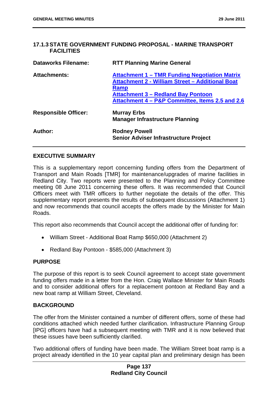### **17.1.3 STATE GOVERNMENT FUNDING PROPOSAL - MARINE TRANSPORT FACILITIES**

| <b>Dataworks Filename:</b>  | <b>RTT Planning Marine General</b>                                                                                                                                                                                     |
|-----------------------------|------------------------------------------------------------------------------------------------------------------------------------------------------------------------------------------------------------------------|
| <b>Attachments:</b>         | <b>Attachment 1 – TMR Funding Negotiation Matrix</b><br><b>Attachment 2 - William Street - Additional Boat</b><br>Ramp<br><b>Attachment 3 - Redland Bay Pontoon</b><br>Attachment 4 - P&P Committee, Items 2.5 and 2.6 |
| <b>Responsible Officer:</b> | <b>Murray Erbs</b><br><b>Manager Infrastructure Planning</b>                                                                                                                                                           |
| Author:                     | <b>Rodney Powell</b><br><b>Senior Adviser Infrastructure Project</b>                                                                                                                                                   |

### **EXECUTIVE SUMMARY**

This is a supplementary report concerning funding offers from the Department of Transport and Main Roads [TMR] for maintenance/upgrades of marine facilities in Redland City. Two reports were presented to the Planning and Policy Committee meeting 08 June 2011 concerning these offers. It was recommended that Council Officers meet with TMR officers to further negotiate the details of the offer. This supplementary report presents the results of subsequent discussions (Attachment 1) and now recommends that council accepts the offers made by the Minister for Main Roads.

This report also recommends that Council accept the additional offer of funding for:

- William Street Additional Boat Ramp \$650,000 (Attachment 2)
- Redland Bay Pontoon \$585,000 (Attachment 3)

#### **PURPOSE**

The purpose of this report is to seek Council agreement to accept state government funding offers made in a letter from the Hon. Craig Wallace Minister for Main Roads and to consider additional offers for a replacement pontoon at Redland Bay and a new boat ramp at William Street, Cleveland.

### **BACKGROUND**

The offer from the Minister contained a number of different offers, some of these had conditions attached which needed further clarification. Infrastructure Planning Group [IPG] officers have had a subsequent meeting with TMR and it is now believed that these issues have been sufficiently clarified.

Two additional offers of funding have been made. The William Street boat ramp is a project already identified in the 10 year capital plan and preliminary design has been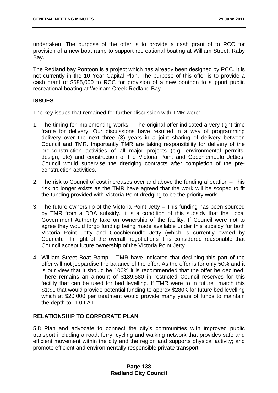undertaken. The purpose of the offer is to provide a cash grant of to RCC for provision of a new boat ramp to support recreational boating at William Street, Raby Bay.

The Redland bay Pontoon is a project which has already been designed by RCC. It is not currently in the 10 Year Capital Plan. The purpose of this offer is to provide a cash grant of \$585,000 to RCC for provision of a new pontoon to support public recreational boating at Weinam Creek Redland Bay.

## **ISSUES**

The key issues that remained for further discussion with TMR were:

- 1. The timing for implementing works The original offer indicated a very tight time frame for delivery. Our discussions have resulted in a way of programming delivery over the next three (3) years in a joint sharing of delivery between Council and TMR. Importantly TMR are taking responsibility for delivery of the pre-construction activities of all major projects (e.g. environmental permits, design, etc) and construction of the Victoria Point and Coochiemudlo Jetties. Council would supervise the dredging contracts after completion of the preconstruction activities.
- 2. The risk to Council of cost increases over and above the funding allocation This risk no longer exists as the TMR have agreed that the work will be scoped to fit the funding provided with Victoria Point dredging to be the priority work.
- 3. The future ownership of the Victoria Point Jetty This funding has been sourced by TMR from a DDA subsidy. It is a condition of this subsidy that the Local Government Authority take on ownership of the facility. If Council were not to agree they would forgo funding being made available under this subsidy for both Victoria Point Jetty and Coochiemudlo Jetty (which is currently owned by Council). In light of the overall negotiations it is considered reasonable that Council accept future ownership of the Victoria Point Jetty.
- 4. William Street Boat Ramp TMR have indicated that declining this part of the offer will not jeopardise the balance of the offer. As the offer is for only 50% and it is our view that it should be 100% it is recommended that the offer be declined. There remains an amount of \$139,580 in restricted Council reserves for this facility that can be used for bed levelling. If TMR were to in future match this \$1:\$1 that would provide potential funding to approx \$280K for future bed levelling which at \$20,000 per treatment would provide many years of funds to maintain the depth to -1.0 LAT.

# **RELATIONSHIP TO CORPORATE PLAN**

5.8 Plan and advocate to connect the city's communities with improved public transport including a road, ferry, cycling and walking network that provides safe and efficient movement within the city and the region and supports physical activity; and promote efficient and environmentally responsible private transport.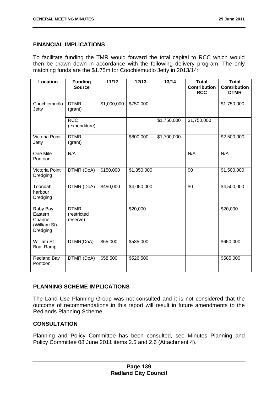## **FINANCIAL IMPLICATIONS**

To facilitate funding the TMR would forward the total capital to RCC which would then be drawn down in accordance with the following delivery program. The only matching funds are the \$1.75m for Coochiemudlo Jetty in 2013/14:

| Location                                                   | <b>Funding</b><br><b>Source</b>        | 11/12       | 12/13       | 13/14       | <b>Total</b><br><b>Contribution</b><br><b>RCC</b> | <b>Total</b><br><b>Contribution</b><br><b>DTMR</b> |
|------------------------------------------------------------|----------------------------------------|-------------|-------------|-------------|---------------------------------------------------|----------------------------------------------------|
| Coochiemudlo<br>Jetty                                      | <b>DTMR</b><br>(grant)                 | \$1,000,000 | \$750,000   |             |                                                   | \$1,750,000                                        |
|                                                            | <b>RCC</b><br>(expenditure)            |             |             | \$1,750,000 | \$1,750,000                                       |                                                    |
| Victoria Point<br>Jetty                                    | <b>DTMR</b><br>(grant)                 |             | \$800,000   | \$1,700,000 |                                                   | \$2,500,000                                        |
| One Mile<br>Pontoon                                        | N/A                                    |             |             |             | N/A                                               | N/A                                                |
| Victoria Point<br>Dredging                                 | DTMR (DoA)                             | \$150,000   | \$1,350,000 |             | $\overline{50}$                                   | \$1,500,000                                        |
| Toondah<br>harbour<br>Dredging                             | DTMR (DoA)                             | \$450,000   | \$4,050,000 |             | $\overline{30}$                                   | \$4,500,000                                        |
| Raby Bay<br>Eastern<br>Channel<br>(William St)<br>Dredging | <b>DTMR</b><br>(restricted<br>reserve) |             | \$20,000    |             |                                                   | \$20,000                                           |
| <b>William St</b><br><b>Boat Ramp</b>                      | DTMR(DoA)                              | \$65,000    | \$585,000   |             |                                                   | \$650,000                                          |
| <b>Redland Bay</b><br>Pontoon                              | DTMR (DoA)                             | \$58,500    | \$526,500   |             |                                                   | \$585,000                                          |

### **PLANNING SCHEME IMPLICATIONS**

The Land Use Planning Group was not consulted and it is not considered that the outcome of recommendations in this report will result in future amendments to the Redlands Planning Scheme.

## **CONSULTATION**

Planning and Policy Committee has been consulted, see Minutes Planning and Policy Committee 08 June 2011 items 2.5 and 2.6 (Attachment 4).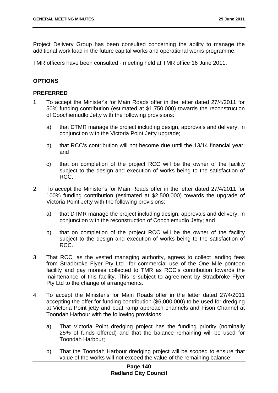Project Delivery Group has been consulted concerning the ability to manage the additional work load in the future capital works and operational works programme.

TMR officers have been consulted - meeting held at TMR office 16 June 2011.

## **OPTIONS**

#### **PREFERRED**

- 1. To accept the Minister's for Main Roads offer in the letter dated 27/4/2011 for 50% funding contribution (estimated at \$1,750,000) towards the reconstruction of Coochiemudlo Jetty with the following provisions:
	- a) that DTMR manage the project including design, approvals and delivery, in conjunction with the Victoria Point Jetty upgrade;
	- b) that RCC's contribution will not become due until the 13/14 financial year; and
	- c) that on completion of the project RCC will be the owner of the facility subject to the design and execution of works being to the satisfaction of RCC.
- 2. To accept the Minister's for Main Roads offer in the letter dated 27/4/2011 for 100% funding contribution (estimated at \$2,500,000) towards the upgrade of Victoria Point Jetty with the following provisions:
	- a) that DTMR manage the project including design, approvals and delivery, in conjunction with the reconstruction of Coochiemudlo Jetty; and
	- b) that on completion of the project RCC will be the owner of the facility subject to the design and execution of works being to the satisfaction of RCC.
- 3. That RCC, as the vested managing authority, agrees to collect landing fees from Stradbroke Flyer Pty Ltd for commercial use of the One Mile pontoon facility and pay monies collected to TMR as RCC's contribution towards the maintenance of this facility. This is subject to agreement by Stradbroke Flyer Pty Ltd to the change of arrangements.
- 4. To accept the Minister's for Main Roads offer in the letter dated 27/4/2011 accepting the offer for funding contribution (\$6,000,000) to be used for dredging at Victoria Point jetty and boat ramp approach channels and Fison Channel at Toondah Harbour with the following provisions:
	- a) That Victoria Point dredging project has the funding priority (nominally 25% of funds offered) and that the balance remaining will be used for Toondah Harbour;
	- b) That the Toondah Harbour dredging project will be scoped to ensure that value of the works will not exceed the value of the remaining balance;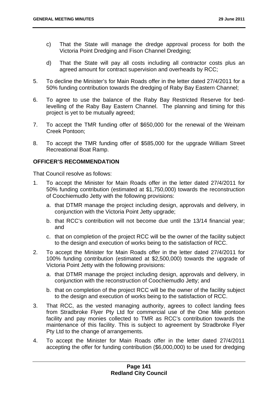- c) That the State will manage the dredge approval process for both the Victoria Point Dredging and Fison Channel Dredging;
- d) That the State will pay all costs including all contractor costs plus an agreed amount for contract supervision and overheads by RCC;
- 5. To decline the Minister's for Main Roads offer in the letter dated 27/4/2011 for a 50% funding contribution towards the dredging of Raby Bay Eastern Channel;
- 6. To agree to use the balance of the Raby Bay Restricted Reserve for bedlevelling of the Raby Bay Eastern Channel. The planning and timing for this project is yet to be mutually agreed;
- 7. To accept the TMR funding offer of \$650,000 for the renewal of the Weinam Creek Pontoon;
- 8. To accept the TMR funding offer of \$585,000 for the upgrade William Street Recreational Boat Ramp.

## **OFFICER'S RECOMMENDATION**

- 1. To accept the Minister for Main Roads offer in the letter dated 27/4/2011 for 50% funding contribution (estimated at \$1,750,000) towards the reconstruction of Coochiemudlo Jetty with the following provisions:
	- a. that DTMR manage the project including design, approvals and delivery, in conjunction with the Victoria Point Jetty upgrade;
	- b. that RCC's contribution will not become due until the 13/14 financial year; and
	- c. that on completion of the project RCC will be the owner of the facility subject to the design and execution of works being to the satisfaction of RCC.
- 2. To accept the Minister for Main Roads offer in the letter dated 27/4/2011 for 100% funding contribution (estimated at \$2,500,000) towards the upgrade of Victoria Point Jetty with the following provisions:
	- a. that DTMR manage the project including design, approvals and delivery, in conjunction with the reconstruction of Coochiemudlo Jetty; and
	- b. that on completion of the project RCC will be the owner of the facility subject to the design and execution of works being to the satisfaction of RCC.
- 3. That RCC, as the vested managing authority, agrees to collect landing fees from Stradbroke Flyer Pty Ltd for commercial use of the One Mile pontoon facility and pay monies collected to TMR as RCC's contribution towards the maintenance of this facility. This is subject to agreement by Stradbroke Flyer Pty Ltd to the change of arrangements.
- 4. To accept the Minister for Main Roads offer in the letter dated 27/4/2011 accepting the offer for funding contribution (\$6,000,000) to be used for dredging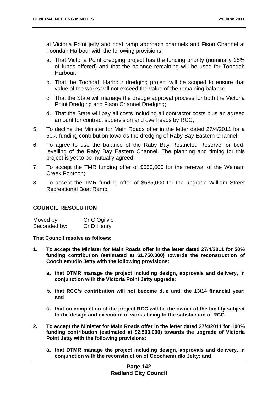at Victoria Point jetty and boat ramp approach channels and Fison Channel at Toondah Harbour with the following provisions:

- a. That Victoria Point dredging project has the funding priority (nominally 25% of funds offered) and that the balance remaining will be used for Toondah Harbour;
- b. That the Toondah Harbour dredging project will be scoped to ensure that value of the works will not exceed the value of the remaining balance;
- c. That the State will manage the dredge approval process for both the Victoria Point Dredging and Fison Channel Dredging;
- d. That the State will pay all costs including all contractor costs plus an agreed amount for contract supervision and overheads by RCC;
- 5. To decline the Minister for Main Roads offer in the letter dated 27/4/2011 for a 50% funding contribution towards the dredging of Raby Bay Eastern Channel;
- 6. To agree to use the balance of the Raby Bay Restricted Reserve for bedlevelling of the Raby Bay Eastern Channel. The planning and timing for this project is yet to be mutually agreed;
- 7. To accept the TMR funding offer of \$650,000 for the renewal of the Weinam Creek Pontoon;
- 8. To accept the TMR funding offer of \$585,000 for the upgrade William Street Recreational Boat Ramp.

## **COUNCIL RESOLUTION**

| Moved by:    | Cr C Ogilvie |
|--------------|--------------|
| Seconded by: | Cr D Henry   |

- **1. To accept the Minister for Main Roads offer in the letter dated 27/4/2011 for 50% funding contribution (estimated at \$1,750,000) towards the reconstruction of Coochiemudlo Jetty with the following provisions:** 
	- **a. that DTMR manage the project including design, approvals and delivery, in conjunction with the Victoria Point Jetty upgrade;**
	- **b. that RCC's contribution will not become due until the 13/14 financial year; and**
	- **c. that on completion of the project RCC will be the owner of the facility subject to the design and execution of works being to the satisfaction of RCC.**
- **2. To accept the Minister for Main Roads offer in the letter dated 27/4/2011 for 100% funding contribution (estimated at \$2,500,000) towards the upgrade of Victoria Point Jetty with the following provisions:** 
	- **a. that DTMR manage the project including design, approvals and delivery, in conjunction with the reconstruction of Coochiemudlo Jetty; and**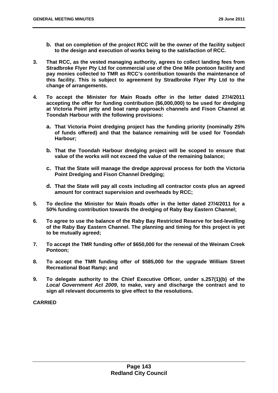- **b. that on completion of the project RCC will be the owner of the facility subject to the design and execution of works being to the satisfaction of RCC.**
- **3. That RCC, as the vested managing authority, agrees to collect landing fees from Stradbroke Flyer Pty Ltd for commercial use of the One Mile pontoon facility and pay monies collected to TMR as RCC's contribution towards the maintenance of this facility. This is subject to agreement by Stradbroke Flyer Pty Ltd to the change of arrangements.**
- **4. To accept the Minister for Main Roads offer in the letter dated 27/4/2011 accepting the offer for funding contribution (\$6,000,000) to be used for dredging at Victoria Point jetty and boat ramp approach channels and Fison Channel at Toondah Harbour with the following provisions:** 
	- **a. That Victoria Point dredging project has the funding priority (nominally 25% of funds offered) and that the balance remaining will be used for Toondah Harbour;**
	- **b. That the Toondah Harbour dredging project will be scoped to ensure that value of the works will not exceed the value of the remaining balance;**
	- **c. That the State will manage the dredge approval process for both the Victoria Point Dredging and Fison Channel Dredging;**
	- **d. That the State will pay all costs including all contractor costs plus an agreed amount for contract supervision and overheads by RCC;**
- **5. To decline the Minister for Main Roads offer in the letter dated 27/4/2011 for a 50% funding contribution towards the dredging of Raby Bay Eastern Channel;**
- **6. To agree to use the balance of the Raby Bay Restricted Reserve for bed-levelling of the Raby Bay Eastern Channel. The planning and timing for this project is yet to be mutually agreed;**
- **7. To accept the TMR funding offer of \$650,000 for the renewal of the Weinam Creek Pontoon;**
- **8. To accept the TMR funding offer of \$585,000 for the upgrade William Street Recreational Boat Ramp; and**
- **9. To delegate authority to the Chief Executive Officer, under s.257(1)(b) of the**  *Local Government Act 2009***, to make, vary and discharge the contract and to sign all relevant documents to give effect to the resolutions.**

**CARRIED**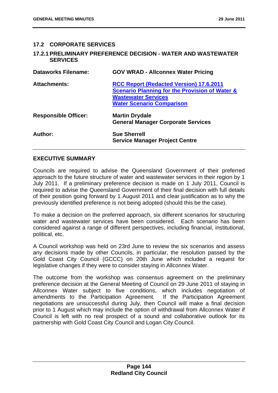## **17.2 CORPORATE SERVICES**

### **17.2.1 PRELIMINARY PREFERENCE DECISION - WATER AND WASTEWATER SERVICES**

| <b>Dataworks Filename:</b>  | <b>GOV WRAD - Allconnex Water Pricing</b>                 |
|-----------------------------|-----------------------------------------------------------|
| <b>Attachments:</b>         | <b>RCC Report (Redacted Version) 17.6.2011</b>            |
|                             | <b>Scenario Planning for the Provision of Water &amp;</b> |
|                             | <b>Wastewater Services</b>                                |
|                             | <b>Water Scenario Comparison</b>                          |
| <b>Responsible Officer:</b> | <b>Martin Drydale</b>                                     |
|                             | <b>General Manager Corporate Services</b>                 |
| Author:                     | <b>Sue Sherrell</b>                                       |
|                             | <b>Service Manager Project Centre</b>                     |

### **EXECUTIVE SUMMARY**

Councils are required to advise the Queensland Government of their preferred approach to the future structure of water and wastewater services in their region by 1 July 2011. If a preliminary preference decision is made on 1 July 2011, Council is required to advise the Queensland Government of their final decision with full details of their position going forward by 1 August 2011 and clear justification as to why the previously identified preference is not being adopted (should this be the case).

To make a decision on the preferred approach, six different scenarios for structuring water and wastewater services have been considered. Each scenario has been considered against a range of different perspectives, including financial, institutional, political, etc.

A Council workshop was held on 23rd June to review the six scenarios and assess any decisions made by other Councils, in particular, the resolution passed by the Gold Coast City Council (GCCC) on 20th June which included a request for legislative changes if they were to consider staying in Allconnex Water.

The outcome from the workshop was consensus agreement on the preliminary preference decision at the General Meeting of Council on 29 June 2011 of staying in Allconnex Water subject to five conditions, which includes negotiation of amendments to the Participation Agreement. If the Participation Agreement negotiations are unsuccessful during July, then Council will make a final decision prior to 1 August which may include the option of withdrawal from Allconnex Water if Council is left with no real prospect of a sound and collaborative outlook for its partnership with Gold Coast City Council and Logan City Council.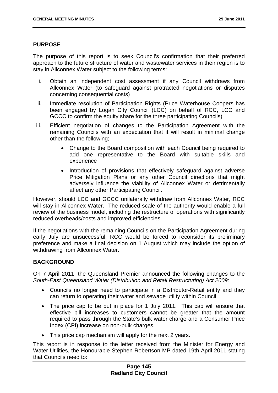### **PURPOSE**

The purpose of this report is to seek Council's confirmation that their preferred approach to the future structure of water and wastewater services in their region is to stay in Allconnex Water subject to the following terms:

- i. Obtain an independent cost assessment if any Council withdraws from Allconnex Water (to safeguard against protracted negotiations or disputes concerning consequential costs)
- ii. Immediate resolution of Participation Rights (Price Waterhouse Coopers has been engaged by Logan City Council (LCC) on behalf of RCC, LCC and GCCC to confirm the equity share for the three participating Councils)
- iii. Efficient negotiation of changes to the Participation Agreement with the remaining Councils with an expectation that it will result in minimal change other than the following;
	- Change to the Board composition with each Council being required to add one representative to the Board with suitable skills and experience
	- Introduction of provisions that effectively safeguard against adverse Price Mitigation Plans or any other Council directions that might adversely influence the viability of Allconnex Water or detrimentally affect any other Participating Council.

However, should LCC and GCCC unilaterally withdraw from Allconnex Water, RCC will stay in Allconnex Water. The reduced scale of the authority would enable a full review of the business model, including the restructure of operations with significantly reduced overheads/costs and improved efficiencies.

If the negotiations with the remaining Councils on the Participation Agreement during early July are unsuccessful, RCC would be forced to reconsider its preliminary preference and make a final decision on 1 August which may include the option of withdrawing from Allconnex Water.

## **BACKGROUND**

On 7 April 2011, the Queensland Premier announced the following changes to the *South-East Queensland Water (Distribution and Retail Restructuring) Act 2009:* 

- Councils no longer need to participate in a Distributor-Retail entity and they can return to operating their water and sewage utility within Council
- The price cap to be put in place for 1 July 2011. This cap will ensure that effective bill increases to customers cannot be greater that the amount required to pass through the State's bulk water charge and a Consumer Price Index (CPI) increase on non-bulk charges.
- This price cap mechanism will apply for the next 2 years.

This report is in response to the letter received from the Minister for Energy and Water Utilities, the Honourable Stephen Robertson MP dated 19th April 2011 stating that Councils need to: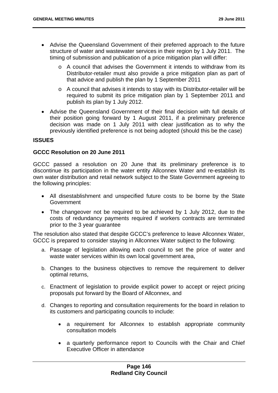- Advise the Queensland Government of their preferred approach to the future structure of water and wastewater services in their region by 1 July 2011. The timing of submission and publication of a price mitigation plan will differ:
	- o A council that advises the Government it intends to withdraw from its Distributor-retailer must also provide a price mitigation plan as part of that advice and publish the plan by 1 September 2011
	- o A council that advises it intends to stay with its Distributor-retailer will be required to submit its price mitigation plan by 1 September 2011 and publish its plan by 1 July 2012.
- Advise the Queensland Government of their final decision with full details of their position going forward by 1 August 2011, if a preliminary preference decision was made on 1 July 2011 with clear justification as to why the previously identified preference is not being adopted (should this be the case)

## **ISSUES**

## **GCCC Resolution on 20 June 2011**

GCCC passed a resolution on 20 June that its preliminary preference is to discontinue its participation in the water entity Allconnex Water and re-establish its own water distribution and retail network subject to the State Government agreeing to the following principles:

- All disestablishment and unspecified future costs to be borne by the State Government
- The changeover not be required to be achieved by 1 July 2012, due to the costs of redundancy payments required if workers contracts are terminated prior to the 3 year guarantee

The resolution also stated that despite GCCC's preference to leave Allconnex Water, GCCC is prepared to consider staying in Allconnex Water subject to the following:

- a. Passage of legislation allowing each council to set the price of water and waste water services within its own local government area,
- b. Changes to the business objectives to remove the requirement to deliver optimal returns,
- c. Enactment of legislation to provide explicit power to accept or reject pricing proposals put forward by the Board of Allconnex, and
- d. Changes to reporting and consultation requirements for the board in relation to its customers and participating councils to include:
	- a requirement for Allconnex to establish appropriate community consultation models
	- a quarterly performance report to Councils with the Chair and Chief Executive Officer in attendance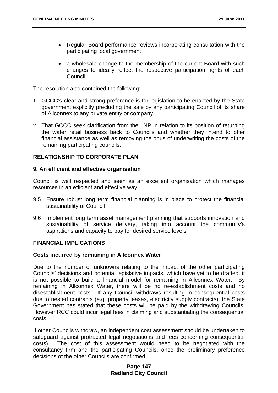- Regular Board performance reviews incorporating consultation with the participating local government
- a wholesale change to the membership of the current Board with such changes to ideally reflect the respective participation rights of each Council.

The resolution also contained the following:

- 1. GCCC's clear and strong preference is for legislation to be enacted by the State government explicitly precluding the sale by any participating Council of its share of Allconnex to any private entity or company.
- 2. That GCCC seek clarification from the LNP in relation to its position of returning the water retail business back to Councils and whether they intend to offer financial assistance as well as removing the onus of underwriting the costs of the remaining participating councils.

# **RELATIONSHIP TO CORPORATE PLAN**

### **9. An efficient and effective organisation**

Council is well respected and seen as an excellent organisation which manages resources in an efficient and effective way:

- 9.5 Ensure robust long term financial planning is in place to protect the financial sustainability of Council
- 9.6 Implement long term asset management planning that supports innovation and sustainability of service delivery, taking into account the community's aspirations and capacity to pay for desired service levels

## **FINANCIAL IMPLICATIONS**

#### **Costs incurred by remaining in Allconnex Water**

Due to the number of unknowns relating to the impact of the other participating Councils' decisions and potential legislative impacts, which have yet to be drafted, it is not possible to build a financial model for remaining in Allconnex Water. By remaining in Allconnex Water, there will be no re-establishment costs and no disestablishment costs. If any Council withdraws resulting in consequential costs due to nested contracts (e.g. property leases, electricity supply contracts), the State Government has stated that these costs will be paid by the withdrawing Councils. However RCC could incur legal fees in claiming and substantiating the consequential costs.

If other Councils withdraw, an independent cost assessment should be undertaken to safeguard against protracted legal negotiations and fees concerning consequential costs). The cost of this assessment would need to be negotiated with the consultancy firm and the participating Councils, once the preliminary preference decisions of the other Councils are confirmed.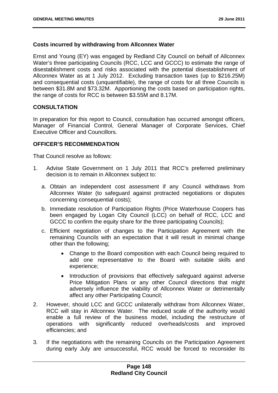### **Costs incurred by withdrawing from Allconnex Water**

Ernst and Young (EY) was engaged by Redland City Council on behalf of Allconnex Water's three participating Councils (RCC, LCC and GCCC) to estimate the range of disestablishment costs and risks associated with the potential disestablishment of Allconnex Water as at 1 July 2012. Excluding transaction taxes (up to \$216.25M) and consequential costs (unquantifiable), the range of costs for all three Councils is between \$31.8M and \$73.32M. Apportioning the costs based on participation rights, the range of costs for RCC is between \$3.55M and 8.17M.

### **CONSULTATION**

In preparation for this report to Council, consultation has occurred amongst officers, Manager of Financial Control, General Manager of Corporate Services, Chief Executive Officer and Councillors.

### **OFFICER'S RECOMMENDATION**

- 1. Advise State Government on 1 July 2011 that RCC's preferred preliminary decision is to remain in Allconnex subject to:
	- a. Obtain an independent cost assessment if any Council withdraws from Allconnex Water (to safeguard against protracted negotiations or disputes concerning consequential costs);
	- b. Immediate resolution of Participation Rights (Price Waterhouse Coopers has been engaged by Logan City Council (LCC) on behalf of RCC, LCC and GCCC to confirm the equity share for the three participating Councils);
	- c. Efficient negotiation of changes to the Participation Agreement with the remaining Councils with an expectation that it will result in minimal change other than the following;
		- Change to the Board composition with each Council being required to add one representative to the Board with suitable skills and experience;
		- Introduction of provisions that effectively safeguard against adverse Price Mitigation Plans or any other Council directions that might adversely influence the viability of Allconnex Water or detrimentally affect any other Participating Council;
- 2. However, should LCC and GCCC unilaterally withdraw from Allconnex Water, RCC will stay in Allconnex Water. The reduced scale of the authority would enable a full review of the business model, including the restructure of operations with significantly reduced overheads/costs and improved efficiencies; and
- 3. If the negotiations with the remaining Councils on the Participation Agreement during early July are unsuccessful, RCC would be forced to reconsider its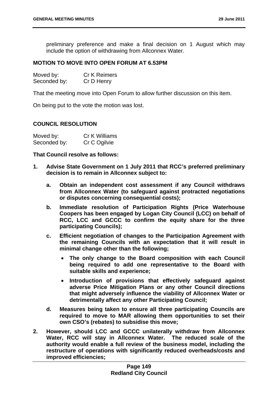preliminary preference and make a final decision on 1 August which may include the option of withdrawing from Allconnex Water.

### **MOTION TO MOVE INTO OPEN FORUM AT 6.53PM**

| Moved by:    | <b>Cr K Reimers</b> |
|--------------|---------------------|
| Seconded by: | Cr D Henry          |

That the meeting move into Open Forum to allow further discussion on this item.

On being put to the vote the motion was lost.

#### **COUNCIL RESOLUTION**

| Moved by:    | Cr K Williams |
|--------------|---------------|
| Seconded by: | Cr C Ogilvie  |

- **1. Advise State Government on 1 July 2011 that RCC's preferred preliminary decision is to remain in Allconnex subject to:** 
	- **a. Obtain an independent cost assessment if any Council withdraws from Allconnex Water (to safeguard against protracted negotiations or disputes concerning consequential costs);**
	- **b. Immediate resolution of Participation Rights (Price Waterhouse Coopers has been engaged by Logan City Council (LCC) on behalf of RCC, LCC and GCCC to confirm the equity share for the three participating Councils);**
	- **c. Efficient negotiation of changes to the Participation Agreement with the remaining Councils with an expectation that it will result in minimal change other than the following;** 
		- **The only change to the Board composition with each Council being required to add one representative to the Board with suitable skills and experience;**
		- **Introduction of provisions that effectively safeguard against adverse Price Mitigation Plans or any other Council directions that might adversely influence the viability of Allconnex Water or detrimentally affect any other Participating Council;**
	- **d. Measures being taken to ensure all three participating Councils are required to move to MAR allowing them opportunities to set their own CSO's (rebates) to subsidise this move;**
- **2. However, should LCC and GCCC unilaterally withdraw from Allconnex Water, RCC will stay in Allconnex Water. The reduced scale of the authority would enable a full review of the business model, including the restructure of operations with significantly reduced overheads/costs and improved efficiencies;**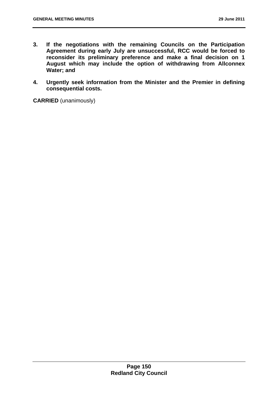- **3. If the negotiations with the remaining Councils on the Participation Agreement during early July are unsuccessful, RCC would be forced to reconsider its preliminary preference and make a final decision on 1 August which may include the option of withdrawing from Allconnex Water; and**
- **4. Urgently seek information from the Minister and the Premier in defining consequential costs.**

**CARRIED** (unanimously)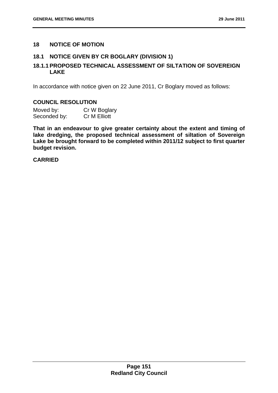## **18 NOTICE OF MOTION**

## **18.1 NOTICE GIVEN BY CR BOGLARY (DIVISION 1)**

# **18.1.1 PROPOSED TECHNICAL ASSESSMENT OF SILTATION OF SOVEREIGN LAKE**

In accordance with notice given on 22 June 2011, Cr Boglary moved as follows:

### **COUNCIL RESOLUTION**

| Moved by:    | Cr W Boglary |
|--------------|--------------|
| Seconded by: | Cr M Elliott |

**That in an endeavour to give greater certainty about the extent and timing of lake dredging, the proposed technical assessment of siltation of Sovereign Lake be brought forward to be completed within 2011/12 subject to first quarter budget revision.** 

### **CARRIED**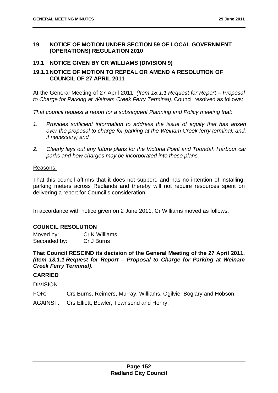### **19 NOTICE OF MOTION UNDER SECTION 59 OF LOCAL GOVERNMENT (OPERATIONS) REGULATION 2010**

## **19.1 NOTICE GIVEN BY CR WILLIAMS (DIVISION 9)**

## **19.1.1 NOTICE OF MOTION TO REPEAL OR AMEND A RESOLUTION OF COUNCIL OF 27 APRIL 2011**

At the General Meeting of 27 April 2011, *(Item 18.1.1 Request for Report – Proposal to Charge for Parking at Weinam Creek Ferry Terminal)*, Council resolved as follows:

*That council request a report for a subsequent Planning and Policy meeting that:* 

- *1. Provides sufficient information to address the issue of equity that has arisen over the proposal to charge for parking at the Weinam Creek ferry terminal; and, if necessary; and*
- *2. Clearly lays out any future plans for the Victoria Point and Toondah Harbour car parks and how charges may be incorporated into these plans.*

### Reasons:

That this council affirms that it does not support, and has no intention of installing, parking meters across Redlands and thereby will not require resources spent on delivering a report for Council's consideration.

In accordance with notice given on 2 June 2011, Cr Williams moved as follows:

## **COUNCIL RESOLUTION**

Moved by: Cr K Williams Seconded by: Cr J Burns

**That Council RESCIND its decision of the General Meeting of the 27 April 2011,**  *(Item 18.1.1 Request for Report – Proposal to Charge for Parking at Weinam Creek Ferry Terminal)***.** 

## **CARRIED**

DIVISION

FOR: Crs Burns, Reimers, Murray, Williams, Ogilvie, Boglary and Hobson.

AGAINST: Crs Elliott, Bowler, Townsend and Henry.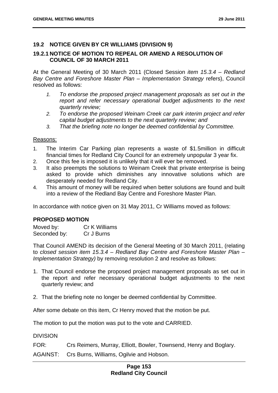## **19.2 NOTICE GIVEN BY CR WILLIAMS (DIVISION 9)**

## **19.2.1 NOTICE OF MOTION TO REPEAL OR AMEND A RESOLUTION OF COUNCIL OF 30 MARCH 2011**

At the General Meeting of 30 March 2011 (Closed Session *item 15.3.4 – Redland Bay Centre and Foreshore Master Plan – Implementation Strategy* refers), Council resolved as follows:

- *1. To endorse the proposed project management proposals as set out in the report and refer necessary operational budget adjustments to the next quarterly review;*
- *2. To endorse the proposed Weinam Creek car park interim project and refer capital budget adjustments to the next quarterly review; and*
- *3. That the briefing note no longer be deemed confidential by Committee.*

#### Reasons:

- 1. The Interim Car Parking plan represents a waste of \$1.5million in difficult financial times for Redland City Council for an extremely unpopular 3 year fix.
- 2. Once this fee is imposed it is unlikely that it will ever be removed.
- 3. It also preempts the solutions to Weinam Creek that private enterprise is being asked to provide which diminishes any innovative solutions which are desperately needed for Redland City.
- 4. This amount of money will be required when better solutions are found and built into a review of the Redland Bay Centre and Foreshore Master Plan.

In accordance with notice given on 31 May 2011, Cr Williams moved as follows:

## **PROPOSED MOTION**

Moved by: Cr K Williams Seconded by: Cr J Burns

That Council AMEND its decision of the General Meeting of 30 March 2011, (relating to *closed session item 15.3.4 – Redland Bay Centre and Foreshore Master Plan – Implementation Strategy)* by removing resolution 2 and resolve as follows:

- 1. That Council endorse the proposed project management proposals as set out in the report and refer necessary operational budget adjustments to the next quarterly review; and
- 2. That the briefing note no longer be deemed confidential by Committee.

After some debate on this item, Cr Henry moved that the motion be put.

The motion to put the motion was put to the vote and CARRIED.

### **DIVISION**

FOR: Crs Reimers, Murray, Elliott, Bowler, Townsend, Henry and Boglary.

AGAINST: Crs Burns, Williams, Ogilvie and Hobson.